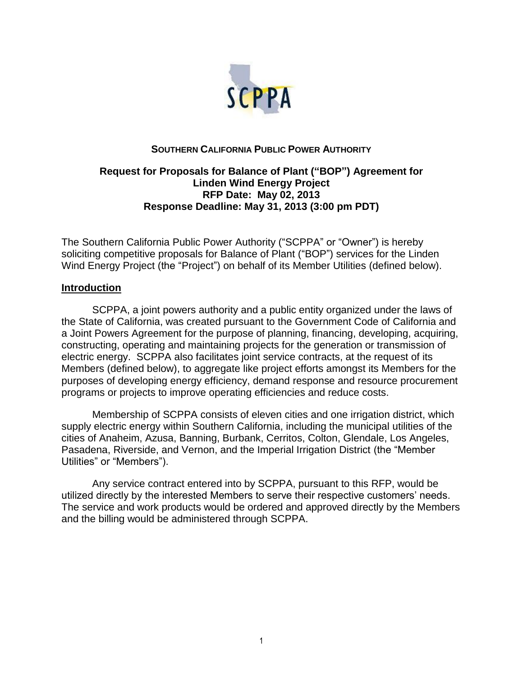

# **SOUTHERN CALIFORNIA PUBLIC POWER AUTHORITY**

# **Request for Proposals for Balance of Plant ("BOP") Agreement for Linden Wind Energy Project RFP Date: May 02, 2013 Response Deadline: May 31, 2013 (3:00 pm PDT)**

The Southern California Public Power Authority ("SCPPA" or "Owner") is hereby soliciting competitive proposals for Balance of Plant ("BOP") services for the Linden Wind Energy Project (the "Project") on behalf of its Member Utilities (defined below).

## **Introduction**

SCPPA, a joint powers authority and a public entity organized under the laws of the State of California, was created pursuant to the Government Code of California and a Joint Powers Agreement for the purpose of planning, financing, developing, acquiring, constructing, operating and maintaining projects for the generation or transmission of electric energy. SCPPA also facilitates joint service contracts, at the request of its Members (defined below), to aggregate like project efforts amongst its Members for the purposes of developing energy efficiency, demand response and resource procurement programs or projects to improve operating efficiencies and reduce costs.

Membership of SCPPA consists of eleven cities and one irrigation district, which supply electric energy within Southern California, including the municipal utilities of the cities of Anaheim, Azusa, Banning, Burbank, Cerritos, Colton, Glendale, Los Angeles, Pasadena, Riverside, and Vernon, and the Imperial Irrigation District (the "Member Utilities" or "Members").

Any service contract entered into by SCPPA, pursuant to this RFP, would be utilized directly by the interested Members to serve their respective customers' needs. The service and work products would be ordered and approved directly by the Members and the billing would be administered through SCPPA.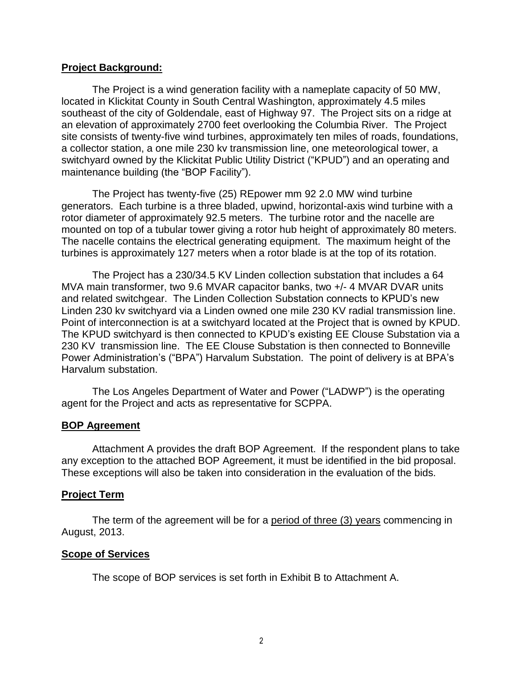## **Project Background:**

The Project is a wind generation facility with a nameplate capacity of 50 MW, located in Klickitat County in South Central Washington, approximately 4.5 miles southeast of the city of Goldendale, east of Highway 97. The Project sits on a ridge at an elevation of approximately 2700 feet overlooking the Columbia River. The Project site consists of twenty-five wind turbines, approximately ten miles of roads, foundations, a collector station, a one mile 230 kv transmission line, one meteorological tower, a switchyard owned by the Klickitat Public Utility District ("KPUD") and an operating and maintenance building (the "BOP Facility").

The Project has twenty-five (25) REpower mm 92 2.0 MW wind turbine generators. Each turbine is a three bladed, upwind, horizontal-axis wind turbine with a rotor diameter of approximately 92.5 meters. The turbine rotor and the nacelle are mounted on top of a tubular tower giving a rotor hub height of approximately 80 meters. The nacelle contains the electrical generating equipment. The maximum height of the turbines is approximately 127 meters when a rotor blade is at the top of its rotation.

The Project has a 230/34.5 KV Linden collection substation that includes a 64 MVA main transformer, two 9.6 MVAR capacitor banks, two +/- 4 MVAR DVAR units and related switchgear. The Linden Collection Substation connects to KPUD's new Linden 230 kv switchyard via a Linden owned one mile 230 KV radial transmission line. Point of interconnection is at a switchyard located at the Project that is owned by KPUD. The KPUD switchyard is then connected to KPUD's existing EE Clouse Substation via a 230 KV transmission line. The EE Clouse Substation is then connected to Bonneville Power Administration's ("BPA") Harvalum Substation. The point of delivery is at BPA's Harvalum substation.

The Los Angeles Department of Water and Power ("LADWP") is the operating agent for the Project and acts as representative for SCPPA.

# **BOP Agreement**

Attachment A provides the draft BOP Agreement. If the respondent plans to take any exception to the attached BOP Agreement, it must be identified in the bid proposal. These exceptions will also be taken into consideration in the evaluation of the bids.

# **Project Term**

The term of the agreement will be for a period of three (3) years commencing in August, 2013.

# **Scope of Services**

The scope of BOP services is set forth in Exhibit B to Attachment A.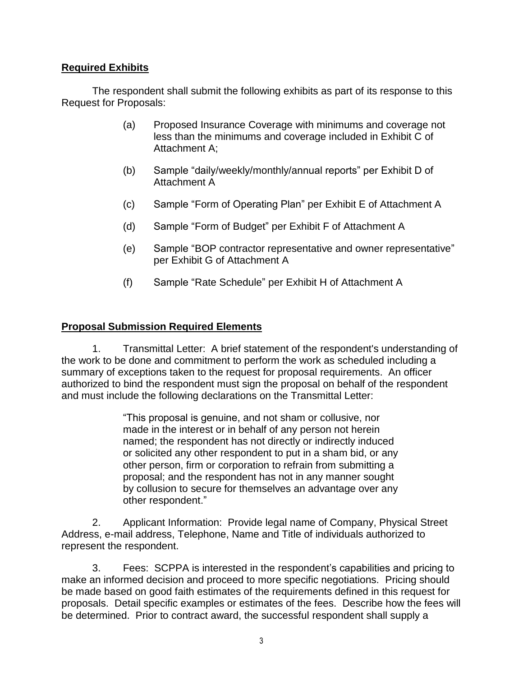# **Required Exhibits**

The respondent shall submit the following exhibits as part of its response to this Request for Proposals:

- (a) Proposed Insurance Coverage with minimums and coverage not less than the minimums and coverage included in Exhibit C of Attachment A;
- (b) Sample "daily/weekly/monthly/annual reports" per Exhibit D of Attachment A
- (c) Sample "Form of Operating Plan" per Exhibit E of Attachment A
- (d) Sample "Form of Budget" per Exhibit F of Attachment A
- (e) Sample "BOP contractor representative and owner representative" per Exhibit G of Attachment A
- (f) Sample "Rate Schedule" per Exhibit H of Attachment A

# **Proposal Submission Required Elements**

1. Transmittal Letter: A brief statement of the respondent's understanding of the work to be done and commitment to perform the work as scheduled including a summary of exceptions taken to the request for proposal requirements. An officer authorized to bind the respondent must sign the proposal on behalf of the respondent and must include the following declarations on the Transmittal Letter:

> "This proposal is genuine, and not sham or collusive, nor made in the interest or in behalf of any person not herein named; the respondent has not directly or indirectly induced or solicited any other respondent to put in a sham bid, or any other person, firm or corporation to refrain from submitting a proposal; and the respondent has not in any manner sought by collusion to secure for themselves an advantage over any other respondent."

2. Applicant Information: Provide legal name of Company, Physical Street Address, e-mail address, Telephone, Name and Title of individuals authorized to represent the respondent.

3. Fees: SCPPA is interested in the respondent's capabilities and pricing to make an informed decision and proceed to more specific negotiations. Pricing should be made based on good faith estimates of the requirements defined in this request for proposals. Detail specific examples or estimates of the fees. Describe how the fees will be determined. Prior to contract award, the successful respondent shall supply a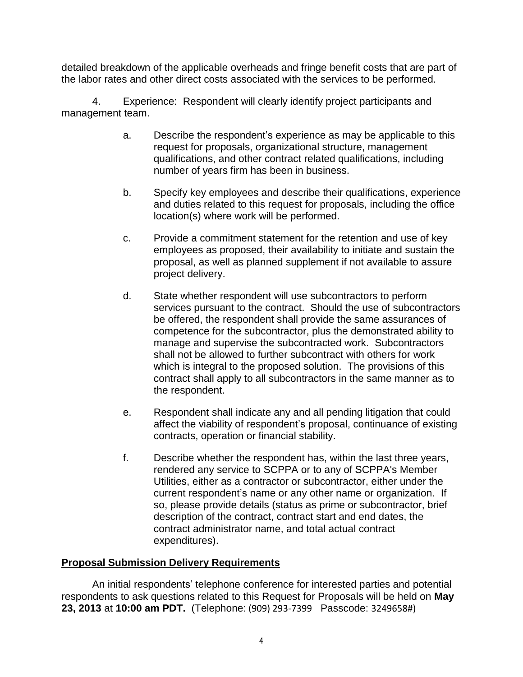detailed breakdown of the applicable overheads and fringe benefit costs that are part of the labor rates and other direct costs associated with the services to be performed.

4. Experience: Respondent will clearly identify project participants and management team.

- a. Describe the respondent's experience as may be applicable to this request for proposals, organizational structure, management qualifications, and other contract related qualifications, including number of years firm has been in business.
- b. Specify key employees and describe their qualifications, experience and duties related to this request for proposals, including the office location(s) where work will be performed.
- c. Provide a commitment statement for the retention and use of key employees as proposed, their availability to initiate and sustain the proposal, as well as planned supplement if not available to assure project delivery.
- d. State whether respondent will use subcontractors to perform services pursuant to the contract. Should the use of subcontractors be offered, the respondent shall provide the same assurances of competence for the subcontractor, plus the demonstrated ability to manage and supervise the subcontracted work. Subcontractors shall not be allowed to further subcontract with others for work which is integral to the proposed solution. The provisions of this contract shall apply to all subcontractors in the same manner as to the respondent.
- e. Respondent shall indicate any and all pending litigation that could affect the viability of respondent's proposal, continuance of existing contracts, operation or financial stability.
- f. Describe whether the respondent has, within the last three years, rendered any service to SCPPA or to any of SCPPA's Member Utilities, either as a contractor or subcontractor, either under the current respondent's name or any other name or organization. If so, please provide details (status as prime or subcontractor, brief description of the contract, contract start and end dates, the contract administrator name, and total actual contract expenditures).

# **Proposal Submission Delivery Requirements**

An initial respondents' telephone conference for interested parties and potential respondents to ask questions related to this Request for Proposals will be held on **May 23, 2013** at **10:00 am PDT.** (Telephone: (909) 293-7399 Passcode: 3249658#)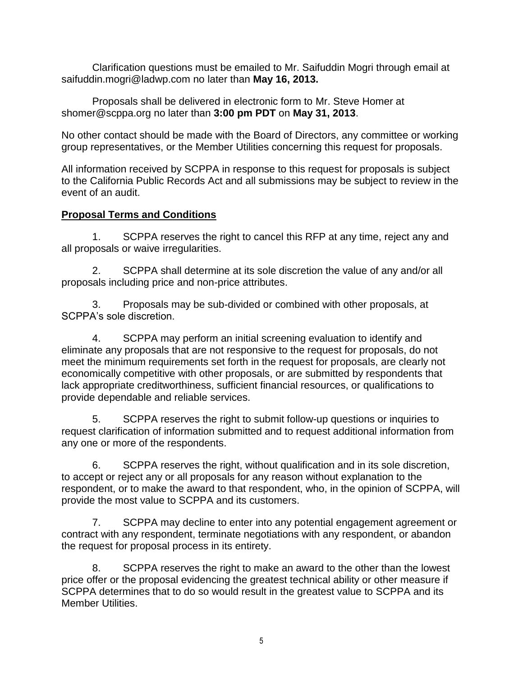Clarification questions must be emailed to Mr. Saifuddin Mogri through email at saifuddin.mogri@ladwp.com no later than **May 16, 2013.**

Proposals shall be delivered in electronic form to Mr. Steve Homer at shomer@scppa.org no later than **3:00 pm PDT** on **May 31, 2013**.

No other contact should be made with the Board of Directors, any committee or working group representatives, or the Member Utilities concerning this request for proposals.

All information received by SCPPA in response to this request for proposals is subject to the California Public Records Act and all submissions may be subject to review in the event of an audit.

# **Proposal Terms and Conditions**

1. SCPPA reserves the right to cancel this RFP at any time, reject any and all proposals or waive irregularities.

2. SCPPA shall determine at its sole discretion the value of any and/or all proposals including price and non-price attributes.

3. Proposals may be sub-divided or combined with other proposals, at SCPPA's sole discretion.

4. SCPPA may perform an initial screening evaluation to identify and eliminate any proposals that are not responsive to the request for proposals, do not meet the minimum requirements set forth in the request for proposals, are clearly not economically competitive with other proposals, or are submitted by respondents that lack appropriate creditworthiness, sufficient financial resources, or qualifications to provide dependable and reliable services.

5. SCPPA reserves the right to submit follow-up questions or inquiries to request clarification of information submitted and to request additional information from any one or more of the respondents.

6. SCPPA reserves the right, without qualification and in its sole discretion, to accept or reject any or all proposals for any reason without explanation to the respondent, or to make the award to that respondent, who, in the opinion of SCPPA, will provide the most value to SCPPA and its customers.

7. SCPPA may decline to enter into any potential engagement agreement or contract with any respondent, terminate negotiations with any respondent, or abandon the request for proposal process in its entirety.

8. SCPPA reserves the right to make an award to the other than the lowest price offer or the proposal evidencing the greatest technical ability or other measure if SCPPA determines that to do so would result in the greatest value to SCPPA and its Member Utilities.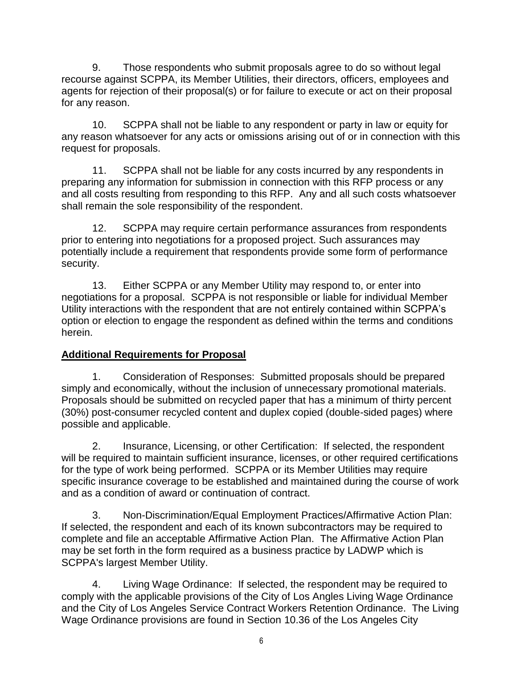9. Those respondents who submit proposals agree to do so without legal recourse against SCPPA, its Member Utilities, their directors, officers, employees and agents for rejection of their proposal(s) or for failure to execute or act on their proposal for any reason.

10. SCPPA shall not be liable to any respondent or party in law or equity for any reason whatsoever for any acts or omissions arising out of or in connection with this request for proposals.

11. SCPPA shall not be liable for any costs incurred by any respondents in preparing any information for submission in connection with this RFP process or any and all costs resulting from responding to this RFP. Any and all such costs whatsoever shall remain the sole responsibility of the respondent.

12. SCPPA may require certain performance assurances from respondents prior to entering into negotiations for a proposed project. Such assurances may potentially include a requirement that respondents provide some form of performance security.

13. Either SCPPA or any Member Utility may respond to, or enter into negotiations for a proposal. SCPPA is not responsible or liable for individual Member Utility interactions with the respondent that are not entirely contained within SCPPA's option or election to engage the respondent as defined within the terms and conditions herein.

# **Additional Requirements for Proposal**

1. Consideration of Responses: Submitted proposals should be prepared simply and economically, without the inclusion of unnecessary promotional materials. Proposals should be submitted on recycled paper that has a minimum of thirty percent (30%) post-consumer recycled content and duplex copied (double-sided pages) where possible and applicable.

2. Insurance, Licensing, or other Certification: If selected, the respondent will be required to maintain sufficient insurance, licenses, or other required certifications for the type of work being performed. SCPPA or its Member Utilities may require specific insurance coverage to be established and maintained during the course of work and as a condition of award or continuation of contract.

3. Non-Discrimination/Equal Employment Practices/Affirmative Action Plan: If selected, the respondent and each of its known subcontractors may be required to complete and file an acceptable Affirmative Action Plan. The Affirmative Action Plan may be set forth in the form required as a business practice by LADWP which is SCPPA's largest Member Utility.

4. Living Wage Ordinance: If selected, the respondent may be required to comply with the applicable provisions of the City of Los Angles Living Wage Ordinance and the City of Los Angeles Service Contract Workers Retention Ordinance. The Living Wage Ordinance provisions are found in Section 10.36 of the Los Angeles City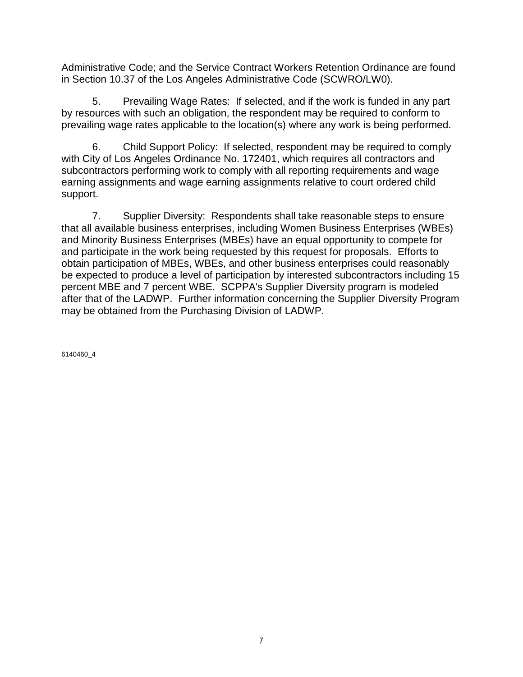Administrative Code; and the Service Contract Workers Retention Ordinance are found in Section 10.37 of the Los Angeles Administrative Code (SCWRO/LW0).

5. Prevailing Wage Rates: If selected, and if the work is funded in any part by resources with such an obligation, the respondent may be required to conform to prevailing wage rates applicable to the location(s) where any work is being performed.

6. Child Support Policy: If selected, respondent may be required to comply with City of Los Angeles Ordinance No. 172401, which requires all contractors and subcontractors performing work to comply with all reporting requirements and wage earning assignments and wage earning assignments relative to court ordered child support.

7. Supplier Diversity: Respondents shall take reasonable steps to ensure that all available business enterprises, including Women Business Enterprises (WBEs) and Minority Business Enterprises (MBEs) have an equal opportunity to compete for and participate in the work being requested by this request for proposals. Efforts to obtain participation of MBEs, WBEs, and other business enterprises could reasonably be expected to produce a level of participation by interested subcontractors including 15 percent MBE and 7 percent WBE. SCPPA's Supplier Diversity program is modeled after that of the LADWP. Further information concerning the Supplier Diversity Program may be obtained from the Purchasing Division of LADWP.

6140460\_4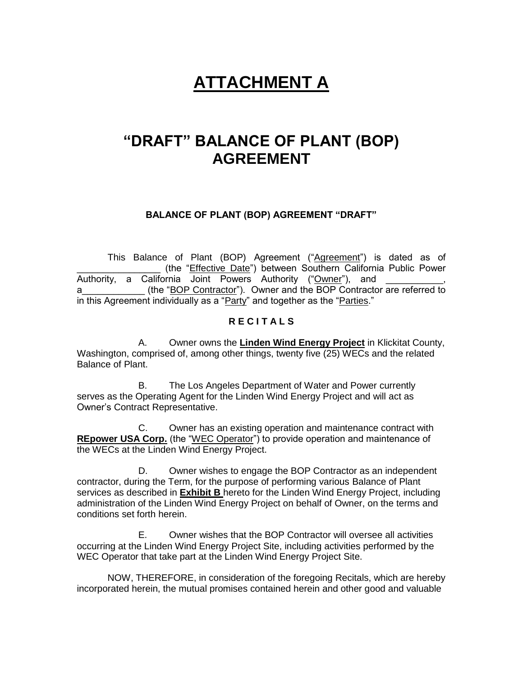# **ATTACHMENT A**

# **"DRAFT" BALANCE OF PLANT (BOP) AGREEMENT**

## **BALANCE OF PLANT (BOP) AGREEMENT "DRAFT"**

This Balance of Plant (BOP) Agreement ("Agreement") is dated as of (the "Effective Date") between Southern California Public Power Authority, a California Joint Powers Authority ("Owner"), and a **EXECUTE:** (the "BOP Contractor"). Owner and the BOP Contractor are referred to in this Agreement individually as a "Party" and together as the "Parties."

## **R E C I T A L S**

A. Owner owns the **Linden Wind Energy Project** in Klickitat County, Washington, comprised of, among other things, twenty five (25) WECs and the related Balance of Plant.

B. The Los Angeles Department of Water and Power currently serves as the Operating Agent for the Linden Wind Energy Project and will act as Owner's Contract Representative.

C. Owner has an existing operation and maintenance contract with **REpower USA Corp.** (the "WEC Operator") to provide operation and maintenance of the WECs at the Linden Wind Energy Project.

D. Owner wishes to engage the BOP Contractor as an independent contractor, during the Term, for the purpose of performing various Balance of Plant services as described in **Exhibit B** hereto for the Linden Wind Energy Project, including administration of the Linden Wind Energy Project on behalf of Owner, on the terms and conditions set forth herein.

E. Owner wishes that the BOP Contractor will oversee all activities occurring at the Linden Wind Energy Project Site, including activities performed by the WEC Operator that take part at the Linden Wind Energy Project Site.

NOW, THEREFORE, in consideration of the foregoing Recitals, which are hereby incorporated herein, the mutual promises contained herein and other good and valuable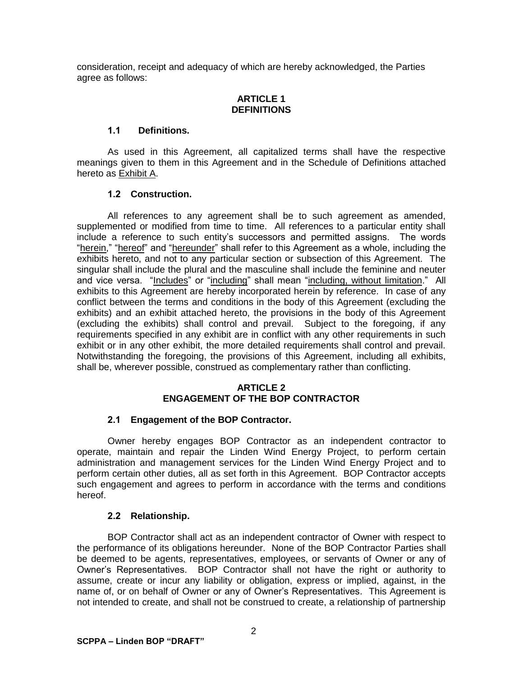consideration, receipt and adequacy of which are hereby acknowledged, the Parties agree as follows:

## **ARTICLE 1 DEFINITIONS**

## **1.1 Definitions.**

As used in this Agreement, all capitalized terms shall have the respective meanings given to them in this Agreement and in the Schedule of Definitions attached hereto as Exhibit A.

## **1.2 Construction.**

All references to any agreement shall be to such agreement as amended, supplemented or modified from time to time. All references to a particular entity shall include a reference to such entity's successors and permitted assigns. The words "herein," "hereof" and "hereunder" shall refer to this Agreement as a whole, including the exhibits hereto, and not to any particular section or subsection of this Agreement. The singular shall include the plural and the masculine shall include the feminine and neuter and vice versa. "Includes" or "including" shall mean "including, without limitation." All exhibits to this Agreement are hereby incorporated herein by reference. In case of any conflict between the terms and conditions in the body of this Agreement (excluding the exhibits) and an exhibit attached hereto, the provisions in the body of this Agreement (excluding the exhibits) shall control and prevail. Subject to the foregoing, if any requirements specified in any exhibit are in conflict with any other requirements in such exhibit or in any other exhibit, the more detailed requirements shall control and prevail. Notwithstanding the foregoing, the provisions of this Agreement, including all exhibits, shall be, wherever possible, construed as complementary rather than conflicting.

### **ARTICLE 2 ENGAGEMENT OF THE BOP CONTRACTOR**

## **2.1 Engagement of the BOP Contractor.**

Owner hereby engages BOP Contractor as an independent contractor to operate, maintain and repair the Linden Wind Energy Project, to perform certain administration and management services for the Linden Wind Energy Project and to perform certain other duties, all as set forth in this Agreement. BOP Contractor accepts such engagement and agrees to perform in accordance with the terms and conditions hereof.

## **2.2 Relationship.**

BOP Contractor shall act as an independent contractor of Owner with respect to the performance of its obligations hereunder. None of the BOP Contractor Parties shall be deemed to be agents, representatives, employees, or servants of Owner or any of Owner's Representatives. BOP Contractor shall not have the right or authority to assume, create or incur any liability or obligation, express or implied, against, in the name of, or on behalf of Owner or any of Owner's Representatives. This Agreement is not intended to create, and shall not be construed to create, a relationship of partnership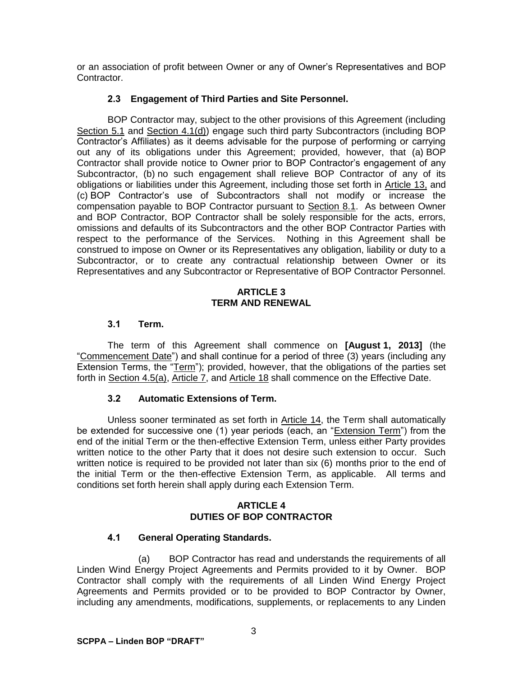or an association of profit between Owner or any of Owner's Representatives and BOP **Contractor** 

## **2.3 Engagement of Third Parties and Site Personnel.**

BOP Contractor may, subject to the other provisions of this Agreement (including Section 5.1 and Section 4.1(d)) engage such third party Subcontractors (including BOP Contractor's Affiliates) as it deems advisable for the purpose of performing or carrying out any of its obligations under this Agreement; provided, however, that (a) BOP Contractor shall provide notice to Owner prior to BOP Contractor's engagement of any Subcontractor, (b) no such engagement shall relieve BOP Contractor of any of its obligations or liabilities under this Agreement, including those set forth in Article 13, and (c) BOP Contractor's use of Subcontractors shall not modify or increase the compensation payable to BOP Contractor pursuant to Section 8.1. As between Owner and BOP Contractor, BOP Contractor shall be solely responsible for the acts, errors, omissions and defaults of its Subcontractors and the other BOP Contractor Parties with respect to the performance of the Services. Nothing in this Agreement shall be construed to impose on Owner or its Representatives any obligation, liability or duty to a Subcontractor, or to create any contractual relationship between Owner or its Representatives and any Subcontractor or Representative of BOP Contractor Personnel.

### **ARTICLE 3 TERM AND RENEWAL**

## **3.1 Term.**

The term of this Agreement shall commence on **[August 1, 2013]** (the "Commencement Date") and shall continue for a period of three (3) years (including any Extension Terms, the "Term"); provided, however, that the obligations of the parties set forth in Section 4.5(a), Article 7, and Article 18 shall commence on the Effective Date.

## **3.2 Automatic Extensions of Term.**

Unless sooner terminated as set forth in Article 14, the Term shall automatically be extended for successive one (1) year periods (each, an "Extension Term") from the end of the initial Term or the then-effective Extension Term, unless either Party provides written notice to the other Party that it does not desire such extension to occur. Such written notice is required to be provided not later than six (6) months prior to the end of the initial Term or the then-effective Extension Term, as applicable. All terms and conditions set forth herein shall apply during each Extension Term.

## **ARTICLE 4 DUTIES OF BOP CONTRACTOR**

## **4.1 General Operating Standards.**

(a) BOP Contractor has read and understands the requirements of all Linden Wind Energy Project Agreements and Permits provided to it by Owner. BOP Contractor shall comply with the requirements of all Linden Wind Energy Project Agreements and Permits provided or to be provided to BOP Contractor by Owner, including any amendments, modifications, supplements, or replacements to any Linden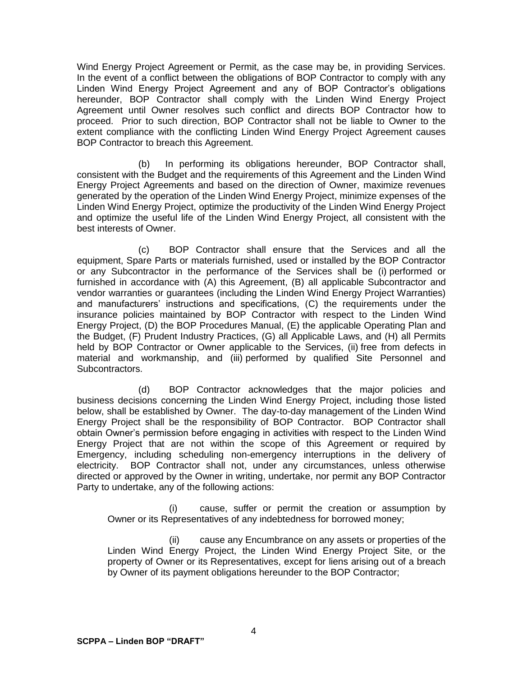Wind Energy Project Agreement or Permit, as the case may be, in providing Services. In the event of a conflict between the obligations of BOP Contractor to comply with any Linden Wind Energy Project Agreement and any of BOP Contractor's obligations hereunder, BOP Contractor shall comply with the Linden Wind Energy Project Agreement until Owner resolves such conflict and directs BOP Contractor how to proceed. Prior to such direction, BOP Contractor shall not be liable to Owner to the extent compliance with the conflicting Linden Wind Energy Project Agreement causes BOP Contractor to breach this Agreement.

(b) In performing its obligations hereunder, BOP Contractor shall, consistent with the Budget and the requirements of this Agreement and the Linden Wind Energy Project Agreements and based on the direction of Owner, maximize revenues generated by the operation of the Linden Wind Energy Project, minimize expenses of the Linden Wind Energy Project, optimize the productivity of the Linden Wind Energy Project and optimize the useful life of the Linden Wind Energy Project, all consistent with the best interests of Owner.

(c) BOP Contractor shall ensure that the Services and all the equipment, Spare Parts or materials furnished, used or installed by the BOP Contractor or any Subcontractor in the performance of the Services shall be (i) performed or furnished in accordance with (A) this Agreement, (B) all applicable Subcontractor and vendor warranties or guarantees (including the Linden Wind Energy Project Warranties) and manufacturers' instructions and specifications, (C) the requirements under the insurance policies maintained by BOP Contractor with respect to the Linden Wind Energy Project, (D) the BOP Procedures Manual, (E) the applicable Operating Plan and the Budget, (F) Prudent Industry Practices, (G) all Applicable Laws, and (H) all Permits held by BOP Contractor or Owner applicable to the Services, (ii) free from defects in material and workmanship, and (iii) performed by qualified Site Personnel and Subcontractors.

(d) BOP Contractor acknowledges that the major policies and business decisions concerning the Linden Wind Energy Project, including those listed below, shall be established by Owner. The day-to-day management of the Linden Wind Energy Project shall be the responsibility of BOP Contractor. BOP Contractor shall obtain Owner's permission before engaging in activities with respect to the Linden Wind Energy Project that are not within the scope of this Agreement or required by Emergency, including scheduling non-emergency interruptions in the delivery of electricity. BOP Contractor shall not, under any circumstances, unless otherwise directed or approved by the Owner in writing, undertake, nor permit any BOP Contractor Party to undertake, any of the following actions:

(i) cause, suffer or permit the creation or assumption by Owner or its Representatives of any indebtedness for borrowed money;

(ii) cause any Encumbrance on any assets or properties of the Linden Wind Energy Project, the Linden Wind Energy Project Site, or the property of Owner or its Representatives, except for liens arising out of a breach by Owner of its payment obligations hereunder to the BOP Contractor;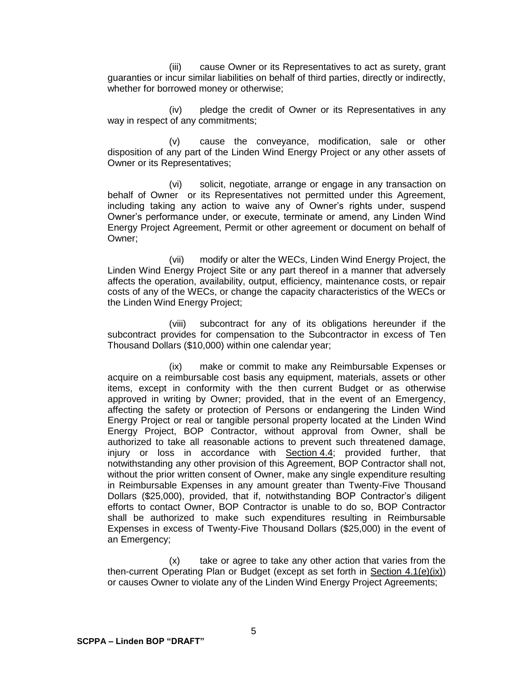(iii) cause Owner or its Representatives to act as surety, grant guaranties or incur similar liabilities on behalf of third parties, directly or indirectly, whether for borrowed money or otherwise;

(iv) pledge the credit of Owner or its Representatives in any way in respect of any commitments;

(v) cause the conveyance, modification, sale or other disposition of any part of the Linden Wind Energy Project or any other assets of Owner or its Representatives;

(vi) solicit, negotiate, arrange or engage in any transaction on behalf of Owner or its Representatives not permitted under this Agreement, including taking any action to waive any of Owner's rights under, suspend Owner's performance under, or execute, terminate or amend, any Linden Wind Energy Project Agreement, Permit or other agreement or document on behalf of Owner;

(vii) modify or alter the WECs, Linden Wind Energy Project, the Linden Wind Energy Project Site or any part thereof in a manner that adversely affects the operation, availability, output, efficiency, maintenance costs, or repair costs of any of the WECs, or change the capacity characteristics of the WECs or the Linden Wind Energy Project;

(viii) subcontract for any of its obligations hereunder if the subcontract provides for compensation to the Subcontractor in excess of Ten Thousand Dollars (\$10,000) within one calendar year;

(ix) make or commit to make any Reimbursable Expenses or acquire on a reimbursable cost basis any equipment, materials, assets or other items, except in conformity with the then current Budget or as otherwise approved in writing by Owner; provided, that in the event of an Emergency, affecting the safety or protection of Persons or endangering the Linden Wind Energy Project or real or tangible personal property located at the Linden Wind Energy Project, BOP Contractor, without approval from Owner, shall be authorized to take all reasonable actions to prevent such threatened damage, injury or loss in accordance with Section 4.4; provided further, that notwithstanding any other provision of this Agreement, BOP Contractor shall not, without the prior written consent of Owner, make any single expenditure resulting in Reimbursable Expenses in any amount greater than Twenty-Five Thousand Dollars (\$25,000), provided, that if, notwithstanding BOP Contractor's diligent efforts to contact Owner, BOP Contractor is unable to do so, BOP Contractor shall be authorized to make such expenditures resulting in Reimbursable Expenses in excess of Twenty-Five Thousand Dollars (\$25,000) in the event of an Emergency;

(x) take or agree to take any other action that varies from the then-current Operating Plan or Budget (except as set forth in Section 4.1(e)(ix)) or causes Owner to violate any of the Linden Wind Energy Project Agreements;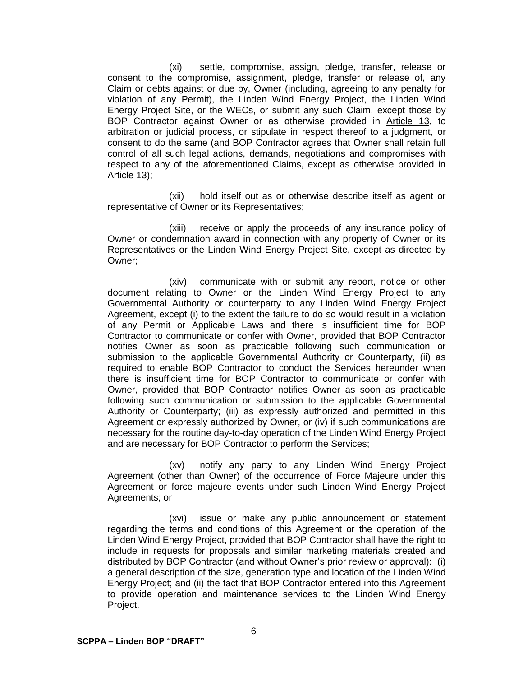(xi) settle, compromise, assign, pledge, transfer, release or consent to the compromise, assignment, pledge, transfer or release of, any Claim or debts against or due by, Owner (including, agreeing to any penalty for violation of any Permit), the Linden Wind Energy Project, the Linden Wind Energy Project Site, or the WECs, or submit any such Claim, except those by BOP Contractor against Owner or as otherwise provided in Article 13, to arbitration or judicial process, or stipulate in respect thereof to a judgment, or consent to do the same (and BOP Contractor agrees that Owner shall retain full control of all such legal actions, demands, negotiations and compromises with respect to any of the aforementioned Claims, except as otherwise provided in Article 13);

(xii) hold itself out as or otherwise describe itself as agent or representative of Owner or its Representatives;

(xiii) receive or apply the proceeds of any insurance policy of Owner or condemnation award in connection with any property of Owner or its Representatives or the Linden Wind Energy Project Site, except as directed by Owner;

(xiv) communicate with or submit any report, notice or other document relating to Owner or the Linden Wind Energy Project to any Governmental Authority or counterparty to any Linden Wind Energy Project Agreement, except (i) to the extent the failure to do so would result in a violation of any Permit or Applicable Laws and there is insufficient time for BOP Contractor to communicate or confer with Owner, provided that BOP Contractor notifies Owner as soon as practicable following such communication or submission to the applicable Governmental Authority or Counterparty, (ii) as required to enable BOP Contractor to conduct the Services hereunder when there is insufficient time for BOP Contractor to communicate or confer with Owner, provided that BOP Contractor notifies Owner as soon as practicable following such communication or submission to the applicable Governmental Authority or Counterparty; (iii) as expressly authorized and permitted in this Agreement or expressly authorized by Owner, or (iv) if such communications are necessary for the routine day-to-day operation of the Linden Wind Energy Project and are necessary for BOP Contractor to perform the Services;

(xv) notify any party to any Linden Wind Energy Project Agreement (other than Owner) of the occurrence of Force Majeure under this Agreement or force majeure events under such Linden Wind Energy Project Agreements; or

(xvi) issue or make any public announcement or statement regarding the terms and conditions of this Agreement or the operation of the Linden Wind Energy Project, provided that BOP Contractor shall have the right to include in requests for proposals and similar marketing materials created and distributed by BOP Contractor (and without Owner's prior review or approval): (i) a general description of the size, generation type and location of the Linden Wind Energy Project; and (ii) the fact that BOP Contractor entered into this Agreement to provide operation and maintenance services to the Linden Wind Energy Project.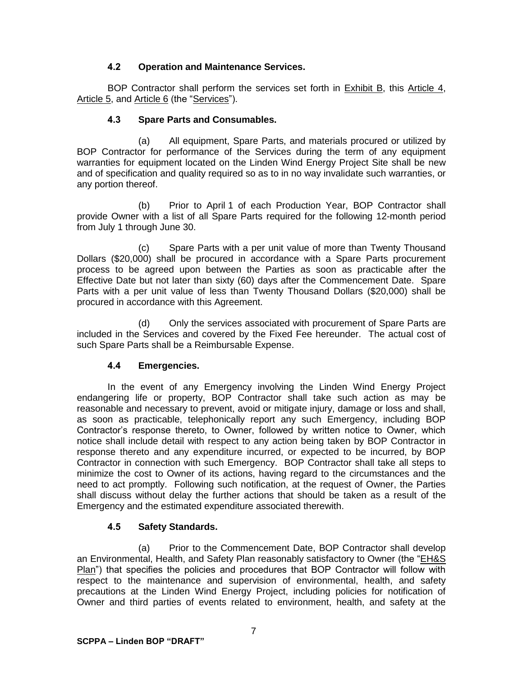## **4.2 Operation and Maintenance Services.**

BOP Contractor shall perform the services set forth in Exhibit B, this Article 4, Article 5, and Article 6 (the "Services").

# **4.3 Spare Parts and Consumables.**

(a) All equipment, Spare Parts, and materials procured or utilized by BOP Contractor for performance of the Services during the term of any equipment warranties for equipment located on the Linden Wind Energy Project Site shall be new and of specification and quality required so as to in no way invalidate such warranties, or any portion thereof.

(b) Prior to April 1 of each Production Year, BOP Contractor shall provide Owner with a list of all Spare Parts required for the following 12-month period from July 1 through June 30.

(c) Spare Parts with a per unit value of more than Twenty Thousand Dollars (\$20,000) shall be procured in accordance with a Spare Parts procurement process to be agreed upon between the Parties as soon as practicable after the Effective Date but not later than sixty (60) days after the Commencement Date. Spare Parts with a per unit value of less than Twenty Thousand Dollars (\$20,000) shall be procured in accordance with this Agreement.

(d) Only the services associated with procurement of Spare Parts are included in the Services and covered by the Fixed Fee hereunder. The actual cost of such Spare Parts shall be a Reimbursable Expense.

## **4.4 Emergencies.**

In the event of any Emergency involving the Linden Wind Energy Project endangering life or property, BOP Contractor shall take such action as may be reasonable and necessary to prevent, avoid or mitigate injury, damage or loss and shall, as soon as practicable, telephonically report any such Emergency, including BOP Contractor's response thereto, to Owner, followed by written notice to Owner, which notice shall include detail with respect to any action being taken by BOP Contractor in response thereto and any expenditure incurred, or expected to be incurred, by BOP Contractor in connection with such Emergency. BOP Contractor shall take all steps to minimize the cost to Owner of its actions, having regard to the circumstances and the need to act promptly. Following such notification, at the request of Owner, the Parties shall discuss without delay the further actions that should be taken as a result of the Emergency and the estimated expenditure associated therewith.

# **4.5 Safety Standards.**

(a) Prior to the Commencement Date, BOP Contractor shall develop an Environmental, Health, and Safety Plan reasonably satisfactory to Owner (the "EH&S Plan") that specifies the policies and procedures that BOP Contractor will follow with respect to the maintenance and supervision of environmental, health, and safety precautions at the Linden Wind Energy Project, including policies for notification of Owner and third parties of events related to environment, health, and safety at the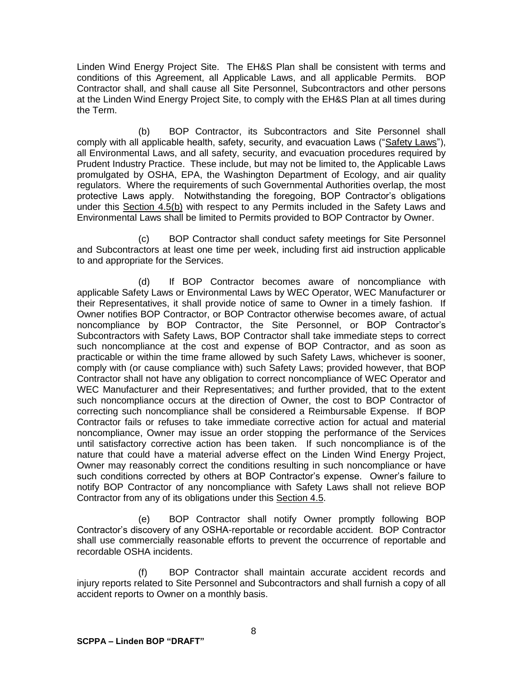Linden Wind Energy Project Site. The EH&S Plan shall be consistent with terms and conditions of this Agreement, all Applicable Laws, and all applicable Permits. BOP Contractor shall, and shall cause all Site Personnel, Subcontractors and other persons at the Linden Wind Energy Project Site, to comply with the EH&S Plan at all times during the Term.

(b) BOP Contractor, its Subcontractors and Site Personnel shall comply with all applicable health, safety, security, and evacuation Laws ("Safety Laws"), all Environmental Laws, and all safety, security, and evacuation procedures required by Prudent Industry Practice. These include, but may not be limited to, the Applicable Laws promulgated by OSHA, EPA, the Washington Department of Ecology, and air quality regulators. Where the requirements of such Governmental Authorities overlap, the most protective Laws apply. Notwithstanding the foregoing, BOP Contractor's obligations under this Section 4.5(b) with respect to any Permits included in the Safety Laws and Environmental Laws shall be limited to Permits provided to BOP Contractor by Owner.

(c) BOP Contractor shall conduct safety meetings for Site Personnel and Subcontractors at least one time per week, including first aid instruction applicable to and appropriate for the Services.

(d) If BOP Contractor becomes aware of noncompliance with applicable Safety Laws or Environmental Laws by WEC Operator, WEC Manufacturer or their Representatives, it shall provide notice of same to Owner in a timely fashion. If Owner notifies BOP Contractor, or BOP Contractor otherwise becomes aware, of actual noncompliance by BOP Contractor, the Site Personnel, or BOP Contractor's Subcontractors with Safety Laws, BOP Contractor shall take immediate steps to correct such noncompliance at the cost and expense of BOP Contractor, and as soon as practicable or within the time frame allowed by such Safety Laws, whichever is sooner, comply with (or cause compliance with) such Safety Laws; provided however, that BOP Contractor shall not have any obligation to correct noncompliance of WEC Operator and WEC Manufacturer and their Representatives; and further provided, that to the extent such noncompliance occurs at the direction of Owner, the cost to BOP Contractor of correcting such noncompliance shall be considered a Reimbursable Expense. If BOP Contractor fails or refuses to take immediate corrective action for actual and material noncompliance, Owner may issue an order stopping the performance of the Services until satisfactory corrective action has been taken. If such noncompliance is of the nature that could have a material adverse effect on the Linden Wind Energy Project, Owner may reasonably correct the conditions resulting in such noncompliance or have such conditions corrected by others at BOP Contractor's expense. Owner's failure to notify BOP Contractor of any noncompliance with Safety Laws shall not relieve BOP Contractor from any of its obligations under this Section 4.5.

(e) BOP Contractor shall notify Owner promptly following BOP Contractor's discovery of any OSHA-reportable or recordable accident. BOP Contractor shall use commercially reasonable efforts to prevent the occurrence of reportable and recordable OSHA incidents.

(f) BOP Contractor shall maintain accurate accident records and injury reports related to Site Personnel and Subcontractors and shall furnish a copy of all accident reports to Owner on a monthly basis.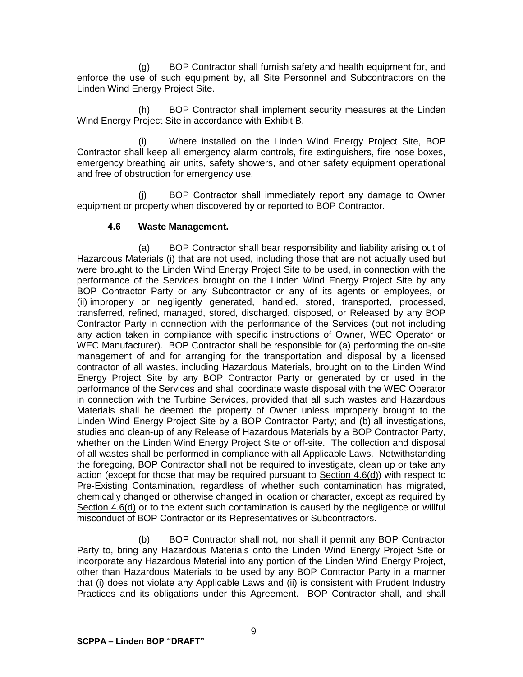(g) BOP Contractor shall furnish safety and health equipment for, and enforce the use of such equipment by, all Site Personnel and Subcontractors on the Linden Wind Energy Project Site.

(h) BOP Contractor shall implement security measures at the Linden Wind Energy Project Site in accordance with Exhibit B.

Where installed on the Linden Wind Energy Project Site, BOP Contractor shall keep all emergency alarm controls, fire extinguishers, fire hose boxes, emergency breathing air units, safety showers, and other safety equipment operational and free of obstruction for emergency use.

(j) BOP Contractor shall immediately report any damage to Owner equipment or property when discovered by or reported to BOP Contractor.

## **4.6 Waste Management.**

(a) BOP Contractor shall bear responsibility and liability arising out of Hazardous Materials (i) that are not used, including those that are not actually used but were brought to the Linden Wind Energy Project Site to be used, in connection with the performance of the Services brought on the Linden Wind Energy Project Site by any BOP Contractor Party or any Subcontractor or any of its agents or employees, or (ii) improperly or negligently generated, handled, stored, transported, processed, transferred, refined, managed, stored, discharged, disposed, or Released by any BOP Contractor Party in connection with the performance of the Services (but not including any action taken in compliance with specific instructions of Owner, WEC Operator or WEC Manufacturer). BOP Contractor shall be responsible for (a) performing the on-site management of and for arranging for the transportation and disposal by a licensed contractor of all wastes, including Hazardous Materials, brought on to the Linden Wind Energy Project Site by any BOP Contractor Party or generated by or used in the performance of the Services and shall coordinate waste disposal with the WEC Operator in connection with the Turbine Services, provided that all such wastes and Hazardous Materials shall be deemed the property of Owner unless improperly brought to the Linden Wind Energy Project Site by a BOP Contractor Party; and (b) all investigations, studies and clean-up of any Release of Hazardous Materials by a BOP Contractor Party, whether on the Linden Wind Energy Project Site or off-site. The collection and disposal of all wastes shall be performed in compliance with all Applicable Laws. Notwithstanding the foregoing, BOP Contractor shall not be required to investigate, clean up or take any action (except for those that may be required pursuant to  $Section 4.6(d)$ ) with respect to Pre-Existing Contamination, regardless of whether such contamination has migrated, chemically changed or otherwise changed in location or character, except as required by Section 4.6(d) or to the extent such contamination is caused by the negligence or willful misconduct of BOP Contractor or its Representatives or Subcontractors.

(b) BOP Contractor shall not, nor shall it permit any BOP Contractor Party to, bring any Hazardous Materials onto the Linden Wind Energy Project Site or incorporate any Hazardous Material into any portion of the Linden Wind Energy Project, other than Hazardous Materials to be used by any BOP Contractor Party in a manner that (i) does not violate any Applicable Laws and (ii) is consistent with Prudent Industry Practices and its obligations under this Agreement. BOP Contractor shall, and shall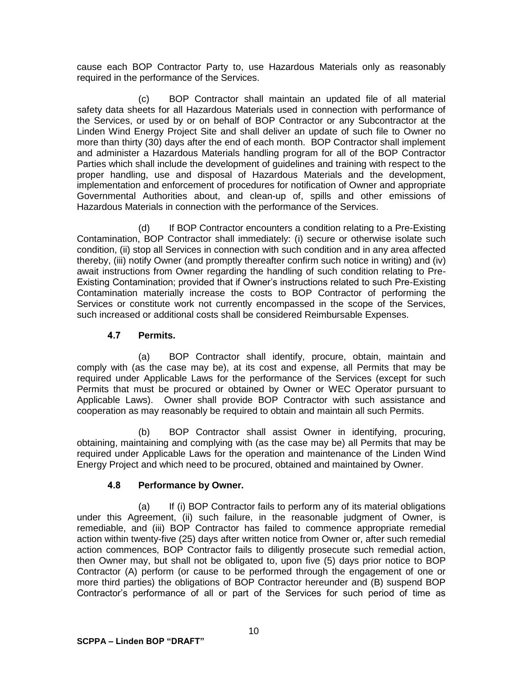cause each BOP Contractor Party to, use Hazardous Materials only as reasonably required in the performance of the Services.

(c) BOP Contractor shall maintain an updated file of all material safety data sheets for all Hazardous Materials used in connection with performance of the Services, or used by or on behalf of BOP Contractor or any Subcontractor at the Linden Wind Energy Project Site and shall deliver an update of such file to Owner no more than thirty (30) days after the end of each month. BOP Contractor shall implement and administer a Hazardous Materials handling program for all of the BOP Contractor Parties which shall include the development of guidelines and training with respect to the proper handling, use and disposal of Hazardous Materials and the development, implementation and enforcement of procedures for notification of Owner and appropriate Governmental Authorities about, and clean-up of, spills and other emissions of Hazardous Materials in connection with the performance of the Services.

(d) If BOP Contractor encounters a condition relating to a Pre-Existing Contamination, BOP Contractor shall immediately: (i) secure or otherwise isolate such condition, (ii) stop all Services in connection with such condition and in any area affected thereby, (iii) notify Owner (and promptly thereafter confirm such notice in writing) and (iv) await instructions from Owner regarding the handling of such condition relating to Pre-Existing Contamination; provided that if Owner's instructions related to such Pre-Existing Contamination materially increase the costs to BOP Contractor of performing the Services or constitute work not currently encompassed in the scope of the Services, such increased or additional costs shall be considered Reimbursable Expenses.

## **4.7 Permits.**

(a) BOP Contractor shall identify, procure, obtain, maintain and comply with (as the case may be), at its cost and expense, all Permits that may be required under Applicable Laws for the performance of the Services (except for such Permits that must be procured or obtained by Owner or WEC Operator pursuant to Applicable Laws). Owner shall provide BOP Contractor with such assistance and cooperation as may reasonably be required to obtain and maintain all such Permits.

(b) BOP Contractor shall assist Owner in identifying, procuring, obtaining, maintaining and complying with (as the case may be) all Permits that may be required under Applicable Laws for the operation and maintenance of the Linden Wind Energy Project and which need to be procured, obtained and maintained by Owner.

# **4.8 Performance by Owner.**

(a) If (i) BOP Contractor fails to perform any of its material obligations under this Agreement, (ii) such failure, in the reasonable judgment of Owner, is remediable, and (iii) BOP Contractor has failed to commence appropriate remedial action within twenty-five (25) days after written notice from Owner or, after such remedial action commences, BOP Contractor fails to diligently prosecute such remedial action, then Owner may, but shall not be obligated to, upon five (5) days prior notice to BOP Contractor (A) perform (or cause to be performed through the engagement of one or more third parties) the obligations of BOP Contractor hereunder and (B) suspend BOP Contractor's performance of all or part of the Services for such period of time as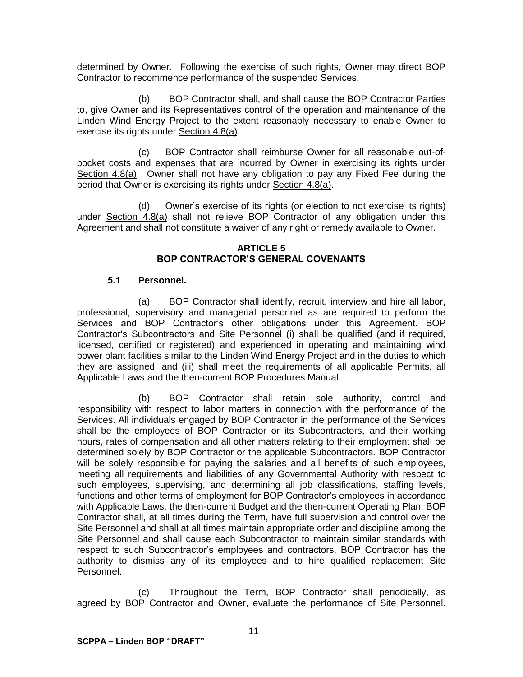determined by Owner. Following the exercise of such rights, Owner may direct BOP Contractor to recommence performance of the suspended Services.

(b) BOP Contractor shall, and shall cause the BOP Contractor Parties to, give Owner and its Representatives control of the operation and maintenance of the Linden Wind Energy Project to the extent reasonably necessary to enable Owner to exercise its rights under Section 4.8(a).

(c) BOP Contractor shall reimburse Owner for all reasonable out-ofpocket costs and expenses that are incurred by Owner in exercising its rights under Section 4.8(a). Owner shall not have any obligation to pay any Fixed Fee during the period that Owner is exercising its rights under Section 4.8(a).

(d) Owner's exercise of its rights (or election to not exercise its rights) under Section 4.8(a) shall not relieve BOP Contractor of any obligation under this Agreement and shall not constitute a waiver of any right or remedy available to Owner.

#### **ARTICLE 5 BOP CONTRACTOR'S GENERAL COVENANTS**

## **5.1 Personnel.**

(a) BOP Contractor shall identify, recruit, interview and hire all labor, professional, supervisory and managerial personnel as are required to perform the Services and BOP Contractor's other obligations under this Agreement. BOP Contractor's Subcontractors and Site Personnel (i) shall be qualified (and if required, licensed, certified or registered) and experienced in operating and maintaining wind power plant facilities similar to the Linden Wind Energy Project and in the duties to which they are assigned, and (iii) shall meet the requirements of all applicable Permits, all Applicable Laws and the then-current BOP Procedures Manual.

(b) BOP Contractor shall retain sole authority, control and responsibility with respect to labor matters in connection with the performance of the Services. All individuals engaged by BOP Contractor in the performance of the Services shall be the employees of BOP Contractor or its Subcontractors, and their working hours, rates of compensation and all other matters relating to their employment shall be determined solely by BOP Contractor or the applicable Subcontractors. BOP Contractor will be solely responsible for paying the salaries and all benefits of such employees, meeting all requirements and liabilities of any Governmental Authority with respect to such employees, supervising, and determining all job classifications, staffing levels, functions and other terms of employment for BOP Contractor's employees in accordance with Applicable Laws, the then-current Budget and the then-current Operating Plan. BOP Contractor shall, at all times during the Term, have full supervision and control over the Site Personnel and shall at all times maintain appropriate order and discipline among the Site Personnel and shall cause each Subcontractor to maintain similar standards with respect to such Subcontractor's employees and contractors. BOP Contractor has the authority to dismiss any of its employees and to hire qualified replacement Site Personnel.

(c) Throughout the Term, BOP Contractor shall periodically, as agreed by BOP Contractor and Owner, evaluate the performance of Site Personnel.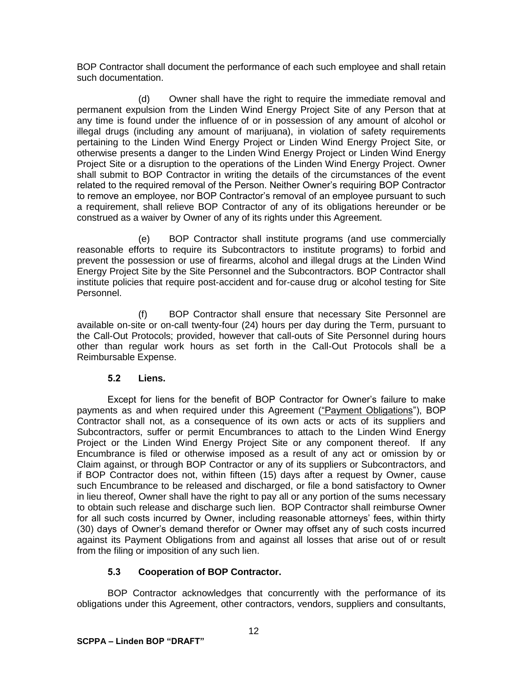BOP Contractor shall document the performance of each such employee and shall retain such documentation.

(d) Owner shall have the right to require the immediate removal and permanent expulsion from the Linden Wind Energy Project Site of any Person that at any time is found under the influence of or in possession of any amount of alcohol or illegal drugs (including any amount of marijuana), in violation of safety requirements pertaining to the Linden Wind Energy Project or Linden Wind Energy Project Site, or otherwise presents a danger to the Linden Wind Energy Project or Linden Wind Energy Project Site or a disruption to the operations of the Linden Wind Energy Project. Owner shall submit to BOP Contractor in writing the details of the circumstances of the event related to the required removal of the Person. Neither Owner's requiring BOP Contractor to remove an employee, nor BOP Contractor's removal of an employee pursuant to such a requirement, shall relieve BOP Contractor of any of its obligations hereunder or be construed as a waiver by Owner of any of its rights under this Agreement.

(e) BOP Contractor shall institute programs (and use commercially reasonable efforts to require its Subcontractors to institute programs) to forbid and prevent the possession or use of firearms, alcohol and illegal drugs at the Linden Wind Energy Project Site by the Site Personnel and the Subcontractors. BOP Contractor shall institute policies that require post-accident and for-cause drug or alcohol testing for Site Personnel.

(f) BOP Contractor shall ensure that necessary Site Personnel are available on-site or on-call twenty-four (24) hours per day during the Term, pursuant to the Call-Out Protocols; provided, however that call-outs of Site Personnel during hours other than regular work hours as set forth in the Call-Out Protocols shall be a Reimbursable Expense.

## **5.2 Liens.**

Except for liens for the benefit of BOP Contractor for Owner's failure to make payments as and when required under this Agreement ("Payment Obligations"), BOP Contractor shall not, as a consequence of its own acts or acts of its suppliers and Subcontractors, suffer or permit Encumbrances to attach to the Linden Wind Energy Project or the Linden Wind Energy Project Site or any component thereof. If any Encumbrance is filed or otherwise imposed as a result of any act or omission by or Claim against, or through BOP Contractor or any of its suppliers or Subcontractors, and if BOP Contractor does not, within fifteen (15) days after a request by Owner, cause such Encumbrance to be released and discharged, or file a bond satisfactory to Owner in lieu thereof, Owner shall have the right to pay all or any portion of the sums necessary to obtain such release and discharge such lien. BOP Contractor shall reimburse Owner for all such costs incurred by Owner, including reasonable attorneys' fees, within thirty (30) days of Owner's demand therefor or Owner may offset any of such costs incurred against its Payment Obligations from and against all losses that arise out of or result from the filing or imposition of any such lien.

# **5.3 Cooperation of BOP Contractor.**

BOP Contractor acknowledges that concurrently with the performance of its obligations under this Agreement, other contractors, vendors, suppliers and consultants,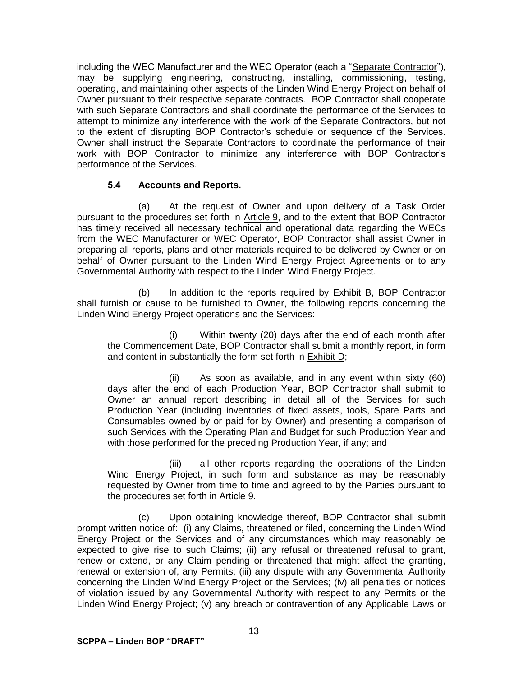including the WEC Manufacturer and the WEC Operator (each a "Separate Contractor"), may be supplying engineering, constructing, installing, commissioning, testing, operating, and maintaining other aspects of the Linden Wind Energy Project on behalf of Owner pursuant to their respective separate contracts. BOP Contractor shall cooperate with such Separate Contractors and shall coordinate the performance of the Services to attempt to minimize any interference with the work of the Separate Contractors, but not to the extent of disrupting BOP Contractor's schedule or sequence of the Services. Owner shall instruct the Separate Contractors to coordinate the performance of their work with BOP Contractor to minimize any interference with BOP Contractor's performance of the Services.

## **5.4 Accounts and Reports.**

(a) At the request of Owner and upon delivery of a Task Order pursuant to the procedures set forth in Article 9, and to the extent that BOP Contractor has timely received all necessary technical and operational data regarding the WECs from the WEC Manufacturer or WEC Operator, BOP Contractor shall assist Owner in preparing all reports, plans and other materials required to be delivered by Owner or on behalf of Owner pursuant to the Linden Wind Energy Project Agreements or to any Governmental Authority with respect to the Linden Wind Energy Project.

(b) In addition to the reports required by Exhibit B, BOP Contractor shall furnish or cause to be furnished to Owner, the following reports concerning the Linden Wind Energy Project operations and the Services:

(i) Within twenty (20) days after the end of each month after the Commencement Date, BOP Contractor shall submit a monthly report, in form and content in substantially the form set forth in **Exhibit D**;

(ii) As soon as available, and in any event within sixty (60) days after the end of each Production Year, BOP Contractor shall submit to Owner an annual report describing in detail all of the Services for such Production Year (including inventories of fixed assets, tools, Spare Parts and Consumables owned by or paid for by Owner) and presenting a comparison of such Services with the Operating Plan and Budget for such Production Year and with those performed for the preceding Production Year, if any; and

(iii) all other reports regarding the operations of the Linden Wind Energy Project, in such form and substance as may be reasonably requested by Owner from time to time and agreed to by the Parties pursuant to the procedures set forth in Article 9.

(c) Upon obtaining knowledge thereof, BOP Contractor shall submit prompt written notice of: (i) any Claims, threatened or filed, concerning the Linden Wind Energy Project or the Services and of any circumstances which may reasonably be expected to give rise to such Claims; (ii) any refusal or threatened refusal to grant, renew or extend, or any Claim pending or threatened that might affect the granting, renewal or extension of, any Permits; (iii) any dispute with any Governmental Authority concerning the Linden Wind Energy Project or the Services; (iv) all penalties or notices of violation issued by any Governmental Authority with respect to any Permits or the Linden Wind Energy Project; (v) any breach or contravention of any Applicable Laws or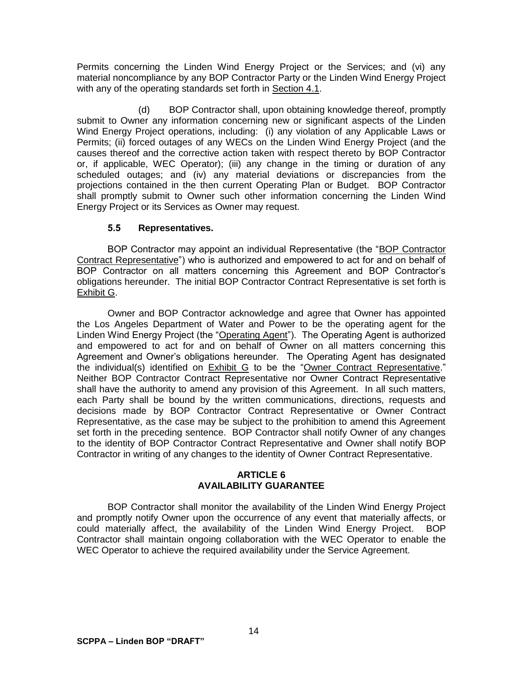Permits concerning the Linden Wind Energy Project or the Services; and (vi) any material noncompliance by any BOP Contractor Party or the Linden Wind Energy Project with any of the operating standards set forth in Section 4.1.

(d) BOP Contractor shall, upon obtaining knowledge thereof, promptly submit to Owner any information concerning new or significant aspects of the Linden Wind Energy Project operations, including: (i) any violation of any Applicable Laws or Permits; (ii) forced outages of any WECs on the Linden Wind Energy Project (and the causes thereof and the corrective action taken with respect thereto by BOP Contractor or, if applicable, WEC Operator); (iii) any change in the timing or duration of any scheduled outages; and (iv) any material deviations or discrepancies from the projections contained in the then current Operating Plan or Budget. BOP Contractor shall promptly submit to Owner such other information concerning the Linden Wind Energy Project or its Services as Owner may request.

## **5.5 Representatives.**

BOP Contractor may appoint an individual Representative (the "BOP Contractor Contract Representative") who is authorized and empowered to act for and on behalf of BOP Contractor on all matters concerning this Agreement and BOP Contractor's obligations hereunder. The initial BOP Contractor Contract Representative is set forth is Exhibit G.

Owner and BOP Contractor acknowledge and agree that Owner has appointed the Los Angeles Department of Water and Power to be the operating agent for the Linden Wind Energy Project (the "Operating Agent"). The Operating Agent is authorized and empowered to act for and on behalf of Owner on all matters concerning this Agreement and Owner's obligations hereunder. The Operating Agent has designated the individual(s) identified on Exhibit G to be the "Owner Contract Representative." Neither BOP Contractor Contract Representative nor Owner Contract Representative shall have the authority to amend any provision of this Agreement. In all such matters, each Party shall be bound by the written communications, directions, requests and decisions made by BOP Contractor Contract Representative or Owner Contract Representative, as the case may be subject to the prohibition to amend this Agreement set forth in the preceding sentence. BOP Contractor shall notify Owner of any changes to the identity of BOP Contractor Contract Representative and Owner shall notify BOP Contractor in writing of any changes to the identity of Owner Contract Representative.

### **ARTICLE 6 AVAILABILITY GUARANTEE**

BOP Contractor shall monitor the availability of the Linden Wind Energy Project and promptly notify Owner upon the occurrence of any event that materially affects, or could materially affect, the availability of the Linden Wind Energy Project. BOP Contractor shall maintain ongoing collaboration with the WEC Operator to enable the WEC Operator to achieve the required availability under the Service Agreement.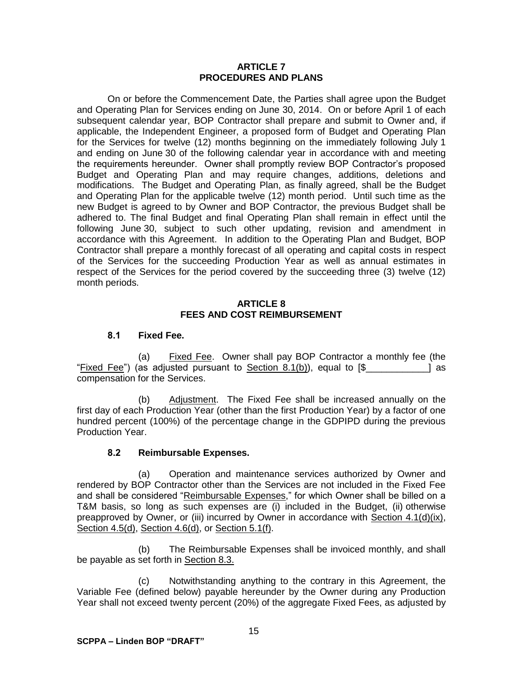#### **ARTICLE 7 PROCEDURES AND PLANS**

On or before the Commencement Date, the Parties shall agree upon the Budget and Operating Plan for Services ending on June 30, 2014. On or before April 1 of each subsequent calendar year, BOP Contractor shall prepare and submit to Owner and, if applicable, the Independent Engineer, a proposed form of Budget and Operating Plan for the Services for twelve (12) months beginning on the immediately following July 1 and ending on June 30 of the following calendar year in accordance with and meeting the requirements hereunder. Owner shall promptly review BOP Contractor's proposed Budget and Operating Plan and may require changes, additions, deletions and modifications. The Budget and Operating Plan, as finally agreed, shall be the Budget and Operating Plan for the applicable twelve (12) month period. Until such time as the new Budget is agreed to by Owner and BOP Contractor, the previous Budget shall be adhered to. The final Budget and final Operating Plan shall remain in effect until the following June 30, subject to such other updating, revision and amendment in accordance with this Agreement. In addition to the Operating Plan and Budget, BOP Contractor shall prepare a monthly forecast of all operating and capital costs in respect of the Services for the succeeding Production Year as well as annual estimates in respect of the Services for the period covered by the succeeding three (3) twelve (12) month periods.

## **ARTICLE 8 FEES AND COST REIMBURSEMENT**

## **8.1 Fixed Fee.**

(a) Fixed Fee. Owner shall pay BOP Contractor a monthly fee (the "Fixed Fee") (as adjusted pursuant to  $Section 8.1(b)$ ), equal to  $[\$$ compensation for the Services.

(b) Adjustment. The Fixed Fee shall be increased annually on the first day of each Production Year (other than the first Production Year) by a factor of one hundred percent (100%) of the percentage change in the GDPIPD during the previous Production Year.

## **8.2 Reimbursable Expenses.**

(a) Operation and maintenance services authorized by Owner and rendered by BOP Contractor other than the Services are not included in the Fixed Fee and shall be considered "Reimbursable Expenses," for which Owner shall be billed on a T&M basis, so long as such expenses are (i) included in the Budget, (ii) otherwise preapproved by Owner, or (iii) incurred by Owner in accordance with Section  $4.1(d)(ix)$ , Section 4.5(d), Section 4.6(d), or Section 5.1(f).

(b) The Reimbursable Expenses shall be invoiced monthly, and shall be payable as set forth in Section 8.3.

(c) Notwithstanding anything to the contrary in this Agreement, the Variable Fee (defined below) payable hereunder by the Owner during any Production Year shall not exceed twenty percent (20%) of the aggregate Fixed Fees, as adjusted by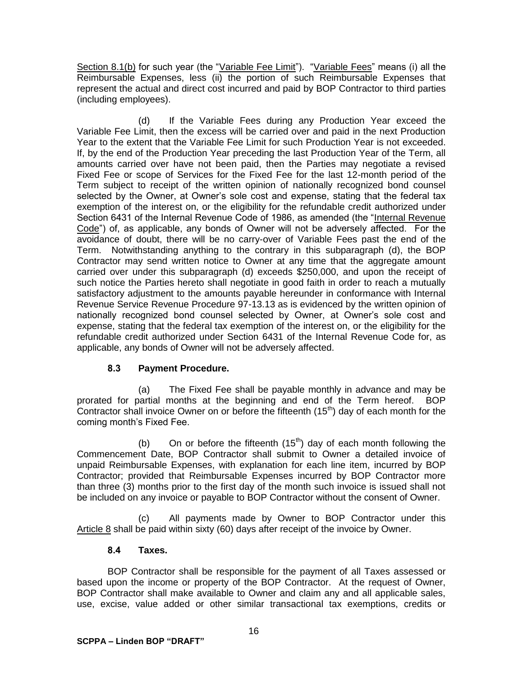Section 8.1(b) for such year (the "Variable Fee Limit"). "Variable Fees" means (i) all the Reimbursable Expenses, less (ii) the portion of such Reimbursable Expenses that represent the actual and direct cost incurred and paid by BOP Contractor to third parties (including employees).

(d) If the Variable Fees during any Production Year exceed the Variable Fee Limit, then the excess will be carried over and paid in the next Production Year to the extent that the Variable Fee Limit for such Production Year is not exceeded. If, by the end of the Production Year preceding the last Production Year of the Term, all amounts carried over have not been paid, then the Parties may negotiate a revised Fixed Fee or scope of Services for the Fixed Fee for the last 12-month period of the Term subject to receipt of the written opinion of nationally recognized bond counsel selected by the Owner, at Owner's sole cost and expense, stating that the federal tax exemption of the interest on, or the eligibility for the refundable credit authorized under Section 6431 of the Internal Revenue Code of 1986, as amended (the "Internal Revenue Code") of, as applicable, any bonds of Owner will not be adversely affected. For the avoidance of doubt, there will be no carry-over of Variable Fees past the end of the Term. Notwithstanding anything to the contrary in this subparagraph (d), the BOP Contractor may send written notice to Owner at any time that the aggregate amount carried over under this subparagraph (d) exceeds \$250,000, and upon the receipt of such notice the Parties hereto shall negotiate in good faith in order to reach a mutually satisfactory adjustment to the amounts payable hereunder in conformance with Internal Revenue Service Revenue Procedure 97-13.13 as is evidenced by the written opinion of nationally recognized bond counsel selected by Owner, at Owner's sole cost and expense, stating that the federal tax exemption of the interest on, or the eligibility for the refundable credit authorized under Section 6431 of the Internal Revenue Code for, as applicable, any bonds of Owner will not be adversely affected.

# **8.3 Payment Procedure.**

(a) The Fixed Fee shall be payable monthly in advance and may be prorated for partial months at the beginning and end of the Term hereof. BOP Contractor shall invoice Owner on or before the fifteenth  $(15<sup>th</sup>)$  day of each month for the coming month's Fixed Fee.

(b) On or before the fifteenth  $(15<sup>th</sup>)$  day of each month following the Commencement Date, BOP Contractor shall submit to Owner a detailed invoice of unpaid Reimbursable Expenses, with explanation for each line item, incurred by BOP Contractor; provided that Reimbursable Expenses incurred by BOP Contractor more than three (3) months prior to the first day of the month such invoice is issued shall not be included on any invoice or payable to BOP Contractor without the consent of Owner.

(c) All payments made by Owner to BOP Contractor under this Article 8 shall be paid within sixty (60) days after receipt of the invoice by Owner.

## **8.4 Taxes.**

BOP Contractor shall be responsible for the payment of all Taxes assessed or based upon the income or property of the BOP Contractor. At the request of Owner, BOP Contractor shall make available to Owner and claim any and all applicable sales, use, excise, value added or other similar transactional tax exemptions, credits or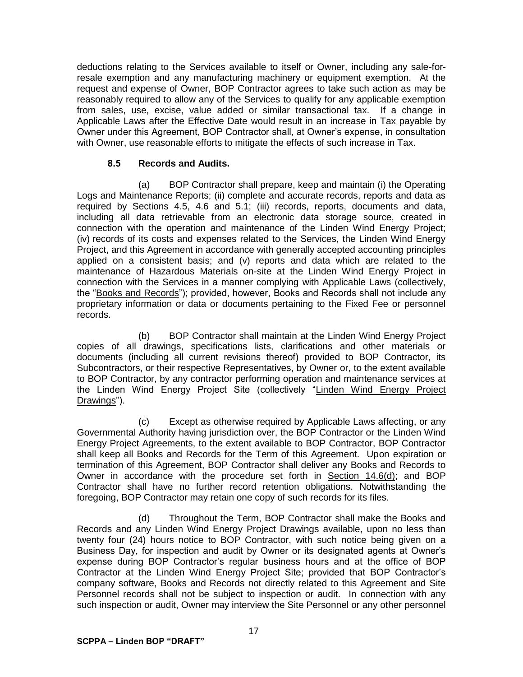deductions relating to the Services available to itself or Owner, including any sale-forresale exemption and any manufacturing machinery or equipment exemption. At the request and expense of Owner, BOP Contractor agrees to take such action as may be reasonably required to allow any of the Services to qualify for any applicable exemption from sales, use, excise, value added or similar transactional tax. If a change in Applicable Laws after the Effective Date would result in an increase in Tax payable by Owner under this Agreement, BOP Contractor shall, at Owner's expense, in consultation with Owner, use reasonable efforts to mitigate the effects of such increase in Tax.

## **8.5 Records and Audits.**

(a) BOP Contractor shall prepare, keep and maintain (i) the Operating Logs and Maintenance Reports; (ii) complete and accurate records, reports and data as required by **Sections 4.5, 4.6 and 5.1;** (iii) records, reports, documents and data, including all data retrievable from an electronic data storage source, created in connection with the operation and maintenance of the Linden Wind Energy Project; (iv) records of its costs and expenses related to the Services, the Linden Wind Energy Project, and this Agreement in accordance with generally accepted accounting principles applied on a consistent basis; and (v) reports and data which are related to the maintenance of Hazardous Materials on-site at the Linden Wind Energy Project in connection with the Services in a manner complying with Applicable Laws (collectively, the "Books and Records"); provided, however, Books and Records shall not include any proprietary information or data or documents pertaining to the Fixed Fee or personnel records.

(b) BOP Contractor shall maintain at the Linden Wind Energy Project copies of all drawings, specifications lists, clarifications and other materials or documents (including all current revisions thereof) provided to BOP Contractor, its Subcontractors, or their respective Representatives, by Owner or, to the extent available to BOP Contractor, by any contractor performing operation and maintenance services at the Linden Wind Energy Project Site (collectively "Linden Wind Energy Project Drawings").

(c) Except as otherwise required by Applicable Laws affecting, or any Governmental Authority having jurisdiction over, the BOP Contractor or the Linden Wind Energy Project Agreements, to the extent available to BOP Contractor, BOP Contractor shall keep all Books and Records for the Term of this Agreement. Upon expiration or termination of this Agreement, BOP Contractor shall deliver any Books and Records to Owner in accordance with the procedure set forth in Section 14.6(d); and BOP Contractor shall have no further record retention obligations. Notwithstanding the foregoing, BOP Contractor may retain one copy of such records for its files.

(d) Throughout the Term, BOP Contractor shall make the Books and Records and any Linden Wind Energy Project Drawings available, upon no less than twenty four (24) hours notice to BOP Contractor, with such notice being given on a Business Day, for inspection and audit by Owner or its designated agents at Owner's expense during BOP Contractor's regular business hours and at the office of BOP Contractor at the Linden Wind Energy Project Site; provided that BOP Contractor's company software, Books and Records not directly related to this Agreement and Site Personnel records shall not be subject to inspection or audit. In connection with any such inspection or audit, Owner may interview the Site Personnel or any other personnel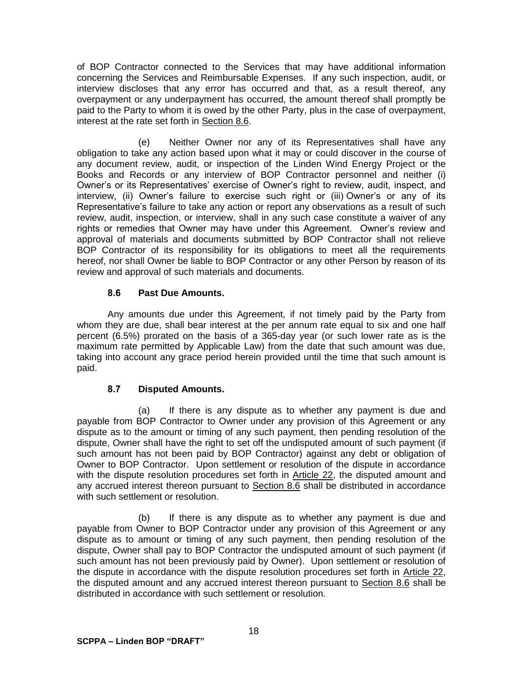of BOP Contractor connected to the Services that may have additional information concerning the Services and Reimbursable Expenses. If any such inspection, audit, or interview discloses that any error has occurred and that, as a result thereof, any overpayment or any underpayment has occurred, the amount thereof shall promptly be paid to the Party to whom it is owed by the other Party, plus in the case of overpayment, interest at the rate set forth in Section 8.6.

(e) Neither Owner nor any of its Representatives shall have any obligation to take any action based upon what it may or could discover in the course of any document review, audit, or inspection of the Linden Wind Energy Project or the Books and Records or any interview of BOP Contractor personnel and neither (i) Owner's or its Representatives' exercise of Owner's right to review, audit, inspect, and interview, (ii) Owner's failure to exercise such right or (iii) Owner's or any of its Representative's failure to take any action or report any observations as a result of such review, audit, inspection, or interview, shall in any such case constitute a waiver of any rights or remedies that Owner may have under this Agreement. Owner's review and approval of materials and documents submitted by BOP Contractor shall not relieve BOP Contractor of its responsibility for its obligations to meet all the requirements hereof, nor shall Owner be liable to BOP Contractor or any other Person by reason of its review and approval of such materials and documents.

## **8.6 Past Due Amounts.**

Any amounts due under this Agreement, if not timely paid by the Party from whom they are due, shall bear interest at the per annum rate equal to six and one half percent (6.5%) prorated on the basis of a 365-day year (or such lower rate as is the maximum rate permitted by Applicable Law) from the date that such amount was due, taking into account any grace period herein provided until the time that such amount is paid.

# **8.7 Disputed Amounts.**

(a) If there is any dispute as to whether any payment is due and payable from BOP Contractor to Owner under any provision of this Agreement or any dispute as to the amount or timing of any such payment, then pending resolution of the dispute, Owner shall have the right to set off the undisputed amount of such payment (if such amount has not been paid by BOP Contractor) against any debt or obligation of Owner to BOP Contractor. Upon settlement or resolution of the dispute in accordance with the dispute resolution procedures set forth in Article 22, the disputed amount and any accrued interest thereon pursuant to Section 8.6 shall be distributed in accordance with such settlement or resolution.

(b) If there is any dispute as to whether any payment is due and payable from Owner to BOP Contractor under any provision of this Agreement or any dispute as to amount or timing of any such payment, then pending resolution of the dispute, Owner shall pay to BOP Contractor the undisputed amount of such payment (if such amount has not been previously paid by Owner). Upon settlement or resolution of the dispute in accordance with the dispute resolution procedures set forth in Article 22, the disputed amount and any accrued interest thereon pursuant to Section 8.6 shall be distributed in accordance with such settlement or resolution.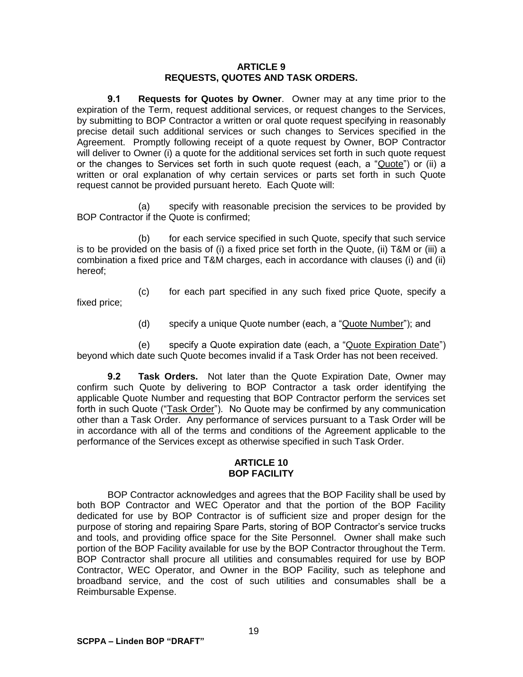#### **ARTICLE 9 REQUESTS, QUOTES AND TASK ORDERS.**

**9.1 Requests for Quotes by Owner**. Owner may at any time prior to the expiration of the Term, request additional services, or request changes to the Services, by submitting to BOP Contractor a written or oral quote request specifying in reasonably precise detail such additional services or such changes to Services specified in the Agreement. Promptly following receipt of a quote request by Owner, BOP Contractor will deliver to Owner (i) a quote for the additional services set forth in such quote request or the changes to Services set forth in such quote request (each, a "Quote") or (ii) a written or oral explanation of why certain services or parts set forth in such Quote request cannot be provided pursuant hereto. Each Quote will:

(a) specify with reasonable precision the services to be provided by BOP Contractor if the Quote is confirmed;

(b) for each service specified in such Quote, specify that such service is to be provided on the basis of (i) a fixed price set forth in the Quote, (ii) T&M or (iii) a combination a fixed price and T&M charges, each in accordance with clauses (i) and (ii) hereof;

(c) for each part specified in any such fixed price Quote, specify a fixed price;

(d) specify a unique Quote number (each, a "Quote Number"); and

(e) specify a Quote expiration date (each, a "Quote Expiration Date") beyond which date such Quote becomes invalid if a Task Order has not been received.

**9.2 Task Orders.** Not later than the Quote Expiration Date, Owner may confirm such Quote by delivering to BOP Contractor a task order identifying the applicable Quote Number and requesting that BOP Contractor perform the services set forth in such Quote ("Task Order"). No Quote may be confirmed by any communication other than a Task Order. Any performance of services pursuant to a Task Order will be in accordance with all of the terms and conditions of the Agreement applicable to the performance of the Services except as otherwise specified in such Task Order.

#### **ARTICLE 10 BOP FACILITY**

BOP Contractor acknowledges and agrees that the BOP Facility shall be used by both BOP Contractor and WEC Operator and that the portion of the BOP Facility dedicated for use by BOP Contractor is of sufficient size and proper design for the purpose of storing and repairing Spare Parts, storing of BOP Contractor's service trucks and tools, and providing office space for the Site Personnel. Owner shall make such portion of the BOP Facility available for use by the BOP Contractor throughout the Term. BOP Contractor shall procure all utilities and consumables required for use by BOP Contractor, WEC Operator, and Owner in the BOP Facility, such as telephone and broadband service, and the cost of such utilities and consumables shall be a Reimbursable Expense.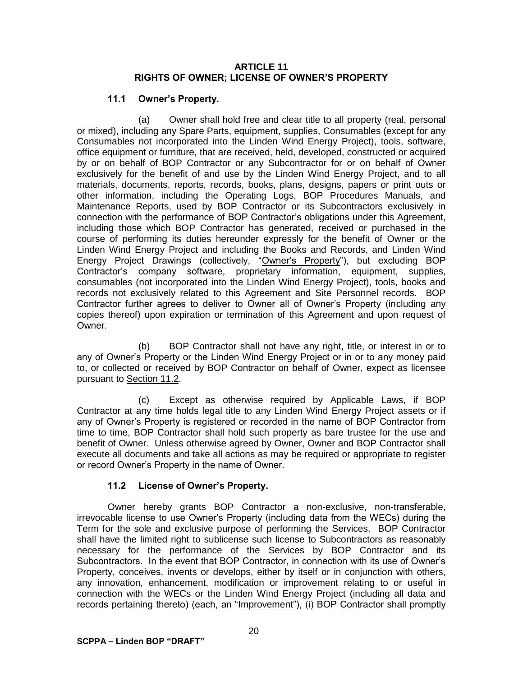#### **ARTICLE 11 RIGHTS OF OWNER; LICENSE OF OWNER'S PROPERTY**

## **11.1 Owner's Property.**

(a) Owner shall hold free and clear title to all property (real, personal or mixed), including any Spare Parts, equipment, supplies, Consumables (except for any Consumables not incorporated into the Linden Wind Energy Project), tools, software, office equipment or furniture, that are received, held, developed, constructed or acquired by or on behalf of BOP Contractor or any Subcontractor for or on behalf of Owner exclusively for the benefit of and use by the Linden Wind Energy Project, and to all materials, documents, reports, records, books, plans, designs, papers or print outs or other information, including the Operating Logs, BOP Procedures Manuals, and Maintenance Reports, used by BOP Contractor or its Subcontractors exclusively in connection with the performance of BOP Contractor's obligations under this Agreement, including those which BOP Contractor has generated, received or purchased in the course of performing its duties hereunder expressly for the benefit of Owner or the Linden Wind Energy Project and including the Books and Records, and Linden Wind Energy Project Drawings (collectively, "Owner's Property"), but excluding BOP Contractor's company software, proprietary information, equipment, supplies, consumables (not incorporated into the Linden Wind Energy Project), tools, books and records not exclusively related to this Agreement and Site Personnel records. BOP Contractor further agrees to deliver to Owner all of Owner's Property (including any copies thereof) upon expiration or termination of this Agreement and upon request of Owner.

(b) BOP Contractor shall not have any right, title, or interest in or to any of Owner's Property or the Linden Wind Energy Project or in or to any money paid to, or collected or received by BOP Contractor on behalf of Owner, expect as licensee pursuant to Section 11.2.

(c) Except as otherwise required by Applicable Laws, if BOP Contractor at any time holds legal title to any Linden Wind Energy Project assets or if any of Owner's Property is registered or recorded in the name of BOP Contractor from time to time, BOP Contractor shall hold such property as bare trustee for the use and benefit of Owner. Unless otherwise agreed by Owner, Owner and BOP Contractor shall execute all documents and take all actions as may be required or appropriate to register or record Owner's Property in the name of Owner.

# **11.2 License of Owner's Property.**

Owner hereby grants BOP Contractor a non-exclusive, non-transferable, irrevocable license to use Owner's Property (including data from the WECs) during the Term for the sole and exclusive purpose of performing the Services. BOP Contractor shall have the limited right to sublicense such license to Subcontractors as reasonably necessary for the performance of the Services by BOP Contractor and its Subcontractors. In the event that BOP Contractor, in connection with its use of Owner's Property, conceives, invents or develops, either by itself or in conjunction with others, any innovation, enhancement, modification or improvement relating to or useful in connection with the WECs or the Linden Wind Energy Project (including all data and records pertaining thereto) (each, an "Improvement"), (i) BOP Contractor shall promptly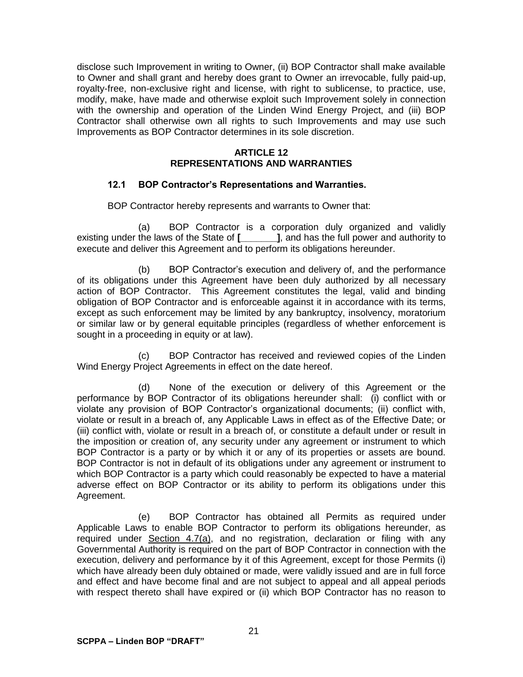disclose such Improvement in writing to Owner, (ii) BOP Contractor shall make available to Owner and shall grant and hereby does grant to Owner an irrevocable, fully paid-up, royalty-free, non-exclusive right and license, with right to sublicense, to practice, use, modify, make, have made and otherwise exploit such Improvement solely in connection with the ownership and operation of the Linden Wind Energy Project, and (iii) BOP Contractor shall otherwise own all rights to such Improvements and may use such Improvements as BOP Contractor determines in its sole discretion.

#### **ARTICLE 12 REPRESENTATIONS AND WARRANTIES**

### **12.1 BOP Contractor's Representations and Warranties.**

BOP Contractor hereby represents and warrants to Owner that:

(a) BOP Contractor is a corporation duly organized and validly existing under the laws of the State of **[\_\_\_\_\_\_\_]**, and has the full power and authority to execute and deliver this Agreement and to perform its obligations hereunder.

(b) BOP Contractor's execution and delivery of, and the performance of its obligations under this Agreement have been duly authorized by all necessary action of BOP Contractor. This Agreement constitutes the legal, valid and binding obligation of BOP Contractor and is enforceable against it in accordance with its terms, except as such enforcement may be limited by any bankruptcy, insolvency, moratorium or similar law or by general equitable principles (regardless of whether enforcement is sought in a proceeding in equity or at law).

(c) BOP Contractor has received and reviewed copies of the Linden Wind Energy Project Agreements in effect on the date hereof.

(d) None of the execution or delivery of this Agreement or the performance by BOP Contractor of its obligations hereunder shall: (i) conflict with or violate any provision of BOP Contractor's organizational documents; (ii) conflict with, violate or result in a breach of, any Applicable Laws in effect as of the Effective Date; or (iii) conflict with, violate or result in a breach of, or constitute a default under or result in the imposition or creation of, any security under any agreement or instrument to which BOP Contractor is a party or by which it or any of its properties or assets are bound. BOP Contractor is not in default of its obligations under any agreement or instrument to which BOP Contractor is a party which could reasonably be expected to have a material adverse effect on BOP Contractor or its ability to perform its obligations under this Agreement.

(e) BOP Contractor has obtained all Permits as required under Applicable Laws to enable BOP Contractor to perform its obligations hereunder, as required under Section 4.7(a), and no registration, declaration or filing with any Governmental Authority is required on the part of BOP Contractor in connection with the execution, delivery and performance by it of this Agreement, except for those Permits (i) which have already been duly obtained or made, were validly issued and are in full force and effect and have become final and are not subject to appeal and all appeal periods with respect thereto shall have expired or (ii) which BOP Contractor has no reason to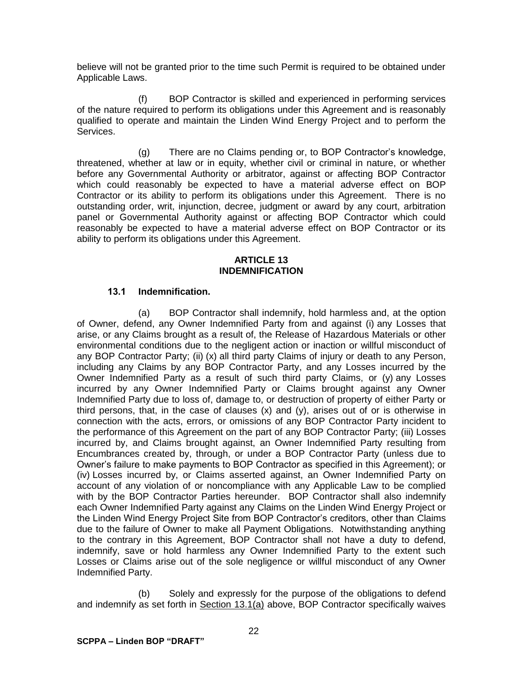believe will not be granted prior to the time such Permit is required to be obtained under Applicable Laws.

(f) BOP Contractor is skilled and experienced in performing services of the nature required to perform its obligations under this Agreement and is reasonably qualified to operate and maintain the Linden Wind Energy Project and to perform the Services.

(g) There are no Claims pending or, to BOP Contractor's knowledge, threatened, whether at law or in equity, whether civil or criminal in nature, or whether before any Governmental Authority or arbitrator, against or affecting BOP Contractor which could reasonably be expected to have a material adverse effect on BOP Contractor or its ability to perform its obligations under this Agreement. There is no outstanding order, writ, injunction, decree, judgment or award by any court, arbitration panel or Governmental Authority against or affecting BOP Contractor which could reasonably be expected to have a material adverse effect on BOP Contractor or its ability to perform its obligations under this Agreement.

#### **ARTICLE 13 INDEMNIFICATION**

## **13.1 Indemnification.**

(a) BOP Contractor shall indemnify, hold harmless and, at the option of Owner, defend, any Owner Indemnified Party from and against (i) any Losses that arise, or any Claims brought as a result of, the Release of Hazardous Materials or other environmental conditions due to the negligent action or inaction or willful misconduct of any BOP Contractor Party; (ii) (x) all third party Claims of injury or death to any Person, including any Claims by any BOP Contractor Party, and any Losses incurred by the Owner Indemnified Party as a result of such third party Claims, or (y) any Losses incurred by any Owner Indemnified Party or Claims brought against any Owner Indemnified Party due to loss of, damage to, or destruction of property of either Party or third persons, that, in the case of clauses (x) and (y), arises out of or is otherwise in connection with the acts, errors, or omissions of any BOP Contractor Party incident to the performance of this Agreement on the part of any BOP Contractor Party; (iii) Losses incurred by, and Claims brought against, an Owner Indemnified Party resulting from Encumbrances created by, through, or under a BOP Contractor Party (unless due to Owner's failure to make payments to BOP Contractor as specified in this Agreement); or (iv) Losses incurred by, or Claims asserted against, an Owner Indemnified Party on account of any violation of or noncompliance with any Applicable Law to be complied with by the BOP Contractor Parties hereunder. BOP Contractor shall also indemnify each Owner Indemnified Party against any Claims on the Linden Wind Energy Project or the Linden Wind Energy Project Site from BOP Contractor's creditors, other than Claims due to the failure of Owner to make all Payment Obligations. Notwithstanding anything to the contrary in this Agreement, BOP Contractor shall not have a duty to defend, indemnify, save or hold harmless any Owner Indemnified Party to the extent such Losses or Claims arise out of the sole negligence or willful misconduct of any Owner Indemnified Party.

(b) Solely and expressly for the purpose of the obligations to defend and indemnify as set forth in Section 13.1(a) above, BOP Contractor specifically waives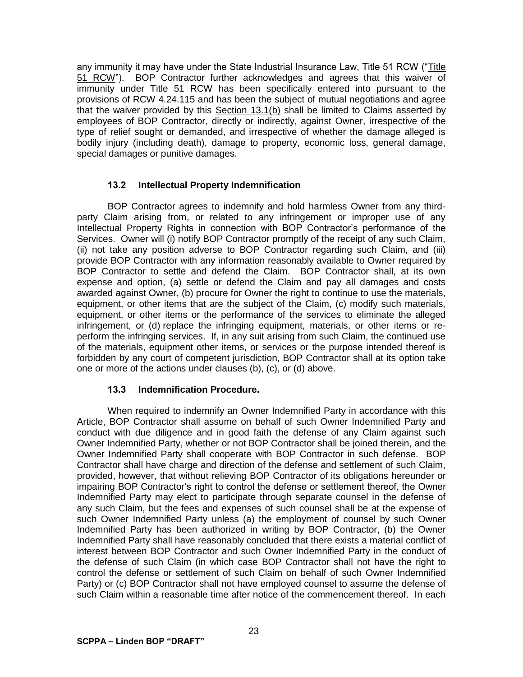any immunity it may have under the State Industrial Insurance Law, Title 51 RCW ("Title 51 RCW"). BOP Contractor further acknowledges and agrees that this waiver of immunity under Title 51 RCW has been specifically entered into pursuant to the provisions of RCW 4.24.115 and has been the subject of mutual negotiations and agree that the waiver provided by this Section 13.1(b) shall be limited to Claims asserted by employees of BOP Contractor, directly or indirectly, against Owner, irrespective of the type of relief sought or demanded, and irrespective of whether the damage alleged is bodily injury (including death), damage to property, economic loss, general damage, special damages or punitive damages.

## **13.2 Intellectual Property Indemnification**

BOP Contractor agrees to indemnify and hold harmless Owner from any thirdparty Claim arising from, or related to any infringement or improper use of any Intellectual Property Rights in connection with BOP Contractor's performance of the Services. Owner will (i) notify BOP Contractor promptly of the receipt of any such Claim, (ii) not take any position adverse to BOP Contractor regarding such Claim, and (iii) provide BOP Contractor with any information reasonably available to Owner required by BOP Contractor to settle and defend the Claim. BOP Contractor shall, at its own expense and option, (a) settle or defend the Claim and pay all damages and costs awarded against Owner, (b) procure for Owner the right to continue to use the materials, equipment, or other items that are the subject of the Claim, (c) modify such materials, equipment, or other items or the performance of the services to eliminate the alleged infringement, or (d) replace the infringing equipment, materials, or other items or reperform the infringing services. If, in any suit arising from such Claim, the continued use of the materials, equipment other items, or services or the purpose intended thereof is forbidden by any court of competent jurisdiction, BOP Contractor shall at its option take one or more of the actions under clauses (b), (c), or (d) above.

## **13.3 Indemnification Procedure.**

When required to indemnify an Owner Indemnified Party in accordance with this Article, BOP Contractor shall assume on behalf of such Owner Indemnified Party and conduct with due diligence and in good faith the defense of any Claim against such Owner Indemnified Party, whether or not BOP Contractor shall be joined therein, and the Owner Indemnified Party shall cooperate with BOP Contractor in such defense. BOP Contractor shall have charge and direction of the defense and settlement of such Claim, provided, however, that without relieving BOP Contractor of its obligations hereunder or impairing BOP Contractor's right to control the defense or settlement thereof, the Owner Indemnified Party may elect to participate through separate counsel in the defense of any such Claim, but the fees and expenses of such counsel shall be at the expense of such Owner Indemnified Party unless (a) the employment of counsel by such Owner Indemnified Party has been authorized in writing by BOP Contractor, (b) the Owner Indemnified Party shall have reasonably concluded that there exists a material conflict of interest between BOP Contractor and such Owner Indemnified Party in the conduct of the defense of such Claim (in which case BOP Contractor shall not have the right to control the defense or settlement of such Claim on behalf of such Owner Indemnified Party) or (c) BOP Contractor shall not have employed counsel to assume the defense of such Claim within a reasonable time after notice of the commencement thereof. In each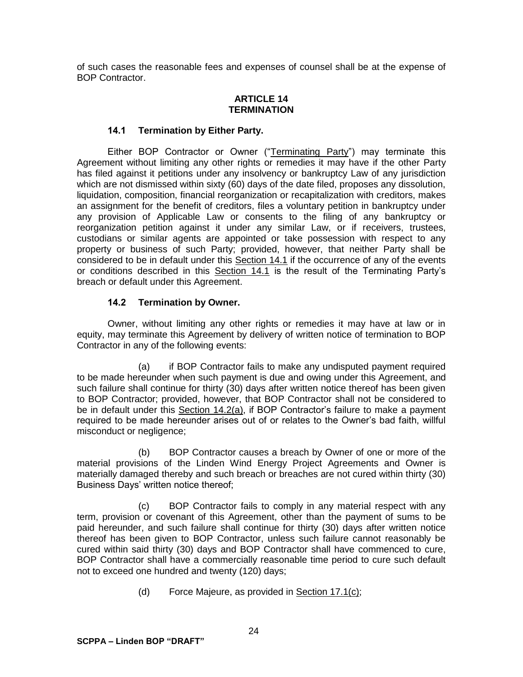of such cases the reasonable fees and expenses of counsel shall be at the expense of BOP Contractor.

## **ARTICLE 14 TERMINATION**

## **14.1 Termination by Either Party.**

Either BOP Contractor or Owner ("Terminating Party") may terminate this Agreement without limiting any other rights or remedies it may have if the other Party has filed against it petitions under any insolvency or bankruptcy Law of any jurisdiction which are not dismissed within sixty (60) days of the date filed, proposes any dissolution, liquidation, composition, financial reorganization or recapitalization with creditors, makes an assignment for the benefit of creditors, files a voluntary petition in bankruptcy under any provision of Applicable Law or consents to the filing of any bankruptcy or reorganization petition against it under any similar Law, or if receivers, trustees, custodians or similar agents are appointed or take possession with respect to any property or business of such Party; provided, however, that neither Party shall be considered to be in default under this Section 14.1 if the occurrence of any of the events or conditions described in this Section 14.1 is the result of the Terminating Party's breach or default under this Agreement.

### **14.2 Termination by Owner.**

Owner, without limiting any other rights or remedies it may have at law or in equity, may terminate this Agreement by delivery of written notice of termination to BOP Contractor in any of the following events:

(a) if BOP Contractor fails to make any undisputed payment required to be made hereunder when such payment is due and owing under this Agreement, and such failure shall continue for thirty (30) days after written notice thereof has been given to BOP Contractor; provided, however, that BOP Contractor shall not be considered to be in default under this Section 14.2(a), if BOP Contractor's failure to make a payment required to be made hereunder arises out of or relates to the Owner's bad faith, willful misconduct or negligence;

(b) BOP Contractor causes a breach by Owner of one or more of the material provisions of the Linden Wind Energy Project Agreements and Owner is materially damaged thereby and such breach or breaches are not cured within thirty (30) Business Days' written notice thereof;

(c) BOP Contractor fails to comply in any material respect with any term, provision or covenant of this Agreement, other than the payment of sums to be paid hereunder, and such failure shall continue for thirty (30) days after written notice thereof has been given to BOP Contractor, unless such failure cannot reasonably be cured within said thirty (30) days and BOP Contractor shall have commenced to cure, BOP Contractor shall have a commercially reasonable time period to cure such default not to exceed one hundred and twenty (120) days;

(d) Force Majeure, as provided in Section 17.1(c);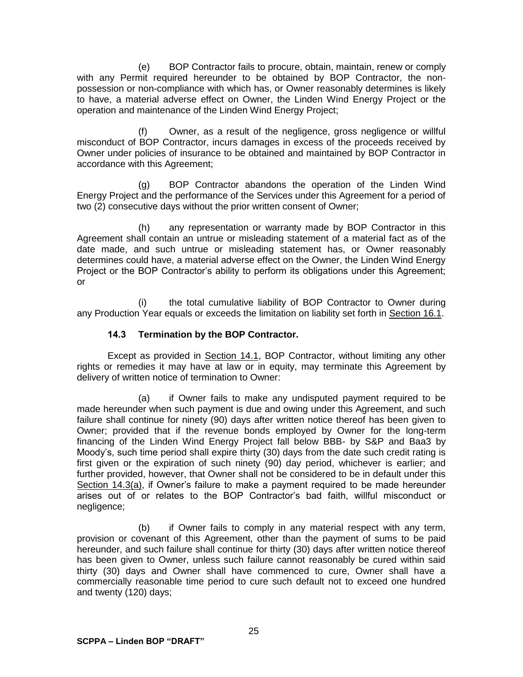(e) BOP Contractor fails to procure, obtain, maintain, renew or comply with any Permit required hereunder to be obtained by BOP Contractor, the nonpossession or non-compliance with which has, or Owner reasonably determines is likely to have, a material adverse effect on Owner, the Linden Wind Energy Project or the operation and maintenance of the Linden Wind Energy Project;

(f) Owner, as a result of the negligence, gross negligence or willful misconduct of BOP Contractor, incurs damages in excess of the proceeds received by Owner under policies of insurance to be obtained and maintained by BOP Contractor in accordance with this Agreement;

(g) BOP Contractor abandons the operation of the Linden Wind Energy Project and the performance of the Services under this Agreement for a period of two (2) consecutive days without the prior written consent of Owner;

(h) any representation or warranty made by BOP Contractor in this Agreement shall contain an untrue or misleading statement of a material fact as of the date made, and such untrue or misleading statement has, or Owner reasonably determines could have, a material adverse effect on the Owner, the Linden Wind Energy Project or the BOP Contractor's ability to perform its obligations under this Agreement; or

(i) the total cumulative liability of BOP Contractor to Owner during any Production Year equals or exceeds the limitation on liability set forth in Section 16.1.

## **14.3 Termination by the BOP Contractor.**

Except as provided in Section 14.1, BOP Contractor, without limiting any other rights or remedies it may have at law or in equity, may terminate this Agreement by delivery of written notice of termination to Owner:

(a) if Owner fails to make any undisputed payment required to be made hereunder when such payment is due and owing under this Agreement, and such failure shall continue for ninety (90) days after written notice thereof has been given to Owner; provided that if the revenue bonds employed by Owner for the long-term financing of the Linden Wind Energy Project fall below BBB- by S&P and Baa3 by Moody's, such time period shall expire thirty (30) days from the date such credit rating is first given or the expiration of such ninety (90) day period, whichever is earlier; and further provided, however, that Owner shall not be considered to be in default under this Section 14.3(a), if Owner's failure to make a payment required to be made hereunder arises out of or relates to the BOP Contractor's bad faith, willful misconduct or negligence;

(b) if Owner fails to comply in any material respect with any term, provision or covenant of this Agreement, other than the payment of sums to be paid hereunder, and such failure shall continue for thirty (30) days after written notice thereof has been given to Owner, unless such failure cannot reasonably be cured within said thirty (30) days and Owner shall have commenced to cure, Owner shall have a commercially reasonable time period to cure such default not to exceed one hundred and twenty (120) days;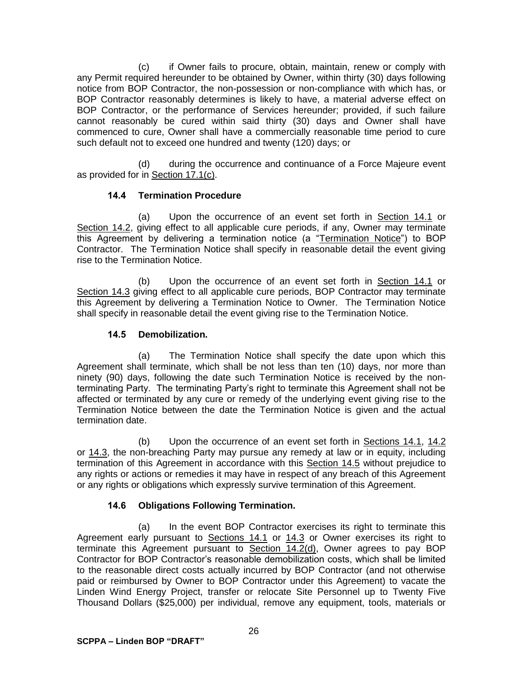(c) if Owner fails to procure, obtain, maintain, renew or comply with any Permit required hereunder to be obtained by Owner, within thirty (30) days following notice from BOP Contractor, the non-possession or non-compliance with which has, or BOP Contractor reasonably determines is likely to have, a material adverse effect on BOP Contractor, or the performance of Services hereunder; provided, if such failure cannot reasonably be cured within said thirty (30) days and Owner shall have commenced to cure, Owner shall have a commercially reasonable time period to cure such default not to exceed one hundred and twenty (120) days; or

(d) during the occurrence and continuance of a Force Majeure event as provided for in Section 17.1(c).

## **14.4 Termination Procedure**

(a) Upon the occurrence of an event set forth in Section 14.1 or Section 14.2, giving effect to all applicable cure periods, if any, Owner may terminate this Agreement by delivering a termination notice (a "Termination Notice") to BOP Contractor. The Termination Notice shall specify in reasonable detail the event giving rise to the Termination Notice.

(b) Upon the occurrence of an event set forth in Section 14.1 or Section 14.3 giving effect to all applicable cure periods, BOP Contractor may terminate this Agreement by delivering a Termination Notice to Owner. The Termination Notice shall specify in reasonable detail the event giving rise to the Termination Notice.

## **14.5 Demobilization.**

(a) The Termination Notice shall specify the date upon which this Agreement shall terminate, which shall be not less than ten (10) days, nor more than ninety (90) days, following the date such Termination Notice is received by the nonterminating Party. The terminating Party's right to terminate this Agreement shall not be affected or terminated by any cure or remedy of the underlying event giving rise to the Termination Notice between the date the Termination Notice is given and the actual termination date.

(b) Upon the occurrence of an event set forth in Sections 14.1, 14.2 or 14.3, the non-breaching Party may pursue any remedy at law or in equity, including termination of this Agreement in accordance with this Section 14.5 without prejudice to any rights or actions or remedies it may have in respect of any breach of this Agreement or any rights or obligations which expressly survive termination of this Agreement.

# **14.6 Obligations Following Termination.**

(a) In the event BOP Contractor exercises its right to terminate this Agreement early pursuant to Sections 14.1 or 14.3 or Owner exercises its right to terminate this Agreement pursuant to Section 14.2(d), Owner agrees to pay BOP Contractor for BOP Contractor's reasonable demobilization costs, which shall be limited to the reasonable direct costs actually incurred by BOP Contractor (and not otherwise paid or reimbursed by Owner to BOP Contractor under this Agreement) to vacate the Linden Wind Energy Project, transfer or relocate Site Personnel up to Twenty Five Thousand Dollars (\$25,000) per individual, remove any equipment, tools, materials or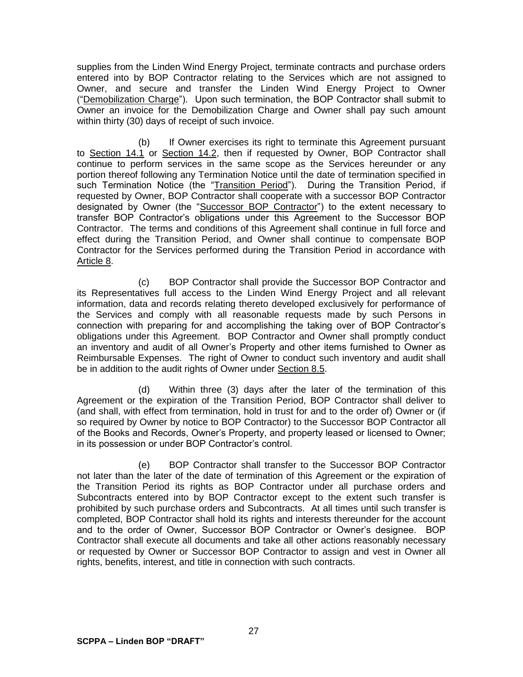supplies from the Linden Wind Energy Project, terminate contracts and purchase orders entered into by BOP Contractor relating to the Services which are not assigned to Owner, and secure and transfer the Linden Wind Energy Project to Owner ("Demobilization Charge"). Upon such termination, the BOP Contractor shall submit to Owner an invoice for the Demobilization Charge and Owner shall pay such amount within thirty (30) days of receipt of such invoice.

(b) If Owner exercises its right to terminate this Agreement pursuant to Section 14.1 or Section 14.2, then if requested by Owner, BOP Contractor shall continue to perform services in the same scope as the Services hereunder or any portion thereof following any Termination Notice until the date of termination specified in such Termination Notice (the "Transition Period"). During the Transition Period, if requested by Owner, BOP Contractor shall cooperate with a successor BOP Contractor designated by Owner (the "Successor BOP Contractor") to the extent necessary to transfer BOP Contractor's obligations under this Agreement to the Successor BOP Contractor. The terms and conditions of this Agreement shall continue in full force and effect during the Transition Period, and Owner shall continue to compensate BOP Contractor for the Services performed during the Transition Period in accordance with Article 8.

(c) BOP Contractor shall provide the Successor BOP Contractor and its Representatives full access to the Linden Wind Energy Project and all relevant information, data and records relating thereto developed exclusively for performance of the Services and comply with all reasonable requests made by such Persons in connection with preparing for and accomplishing the taking over of BOP Contractor's obligations under this Agreement. BOP Contractor and Owner shall promptly conduct an inventory and audit of all Owner's Property and other items furnished to Owner as Reimbursable Expenses. The right of Owner to conduct such inventory and audit shall be in addition to the audit rights of Owner under Section 8.5.

(d) Within three (3) days after the later of the termination of this Agreement or the expiration of the Transition Period, BOP Contractor shall deliver to (and shall, with effect from termination, hold in trust for and to the order of) Owner or (if so required by Owner by notice to BOP Contractor) to the Successor BOP Contractor all of the Books and Records, Owner's Property, and property leased or licensed to Owner; in its possession or under BOP Contractor's control.

(e) BOP Contractor shall transfer to the Successor BOP Contractor not later than the later of the date of termination of this Agreement or the expiration of the Transition Period its rights as BOP Contractor under all purchase orders and Subcontracts entered into by BOP Contractor except to the extent such transfer is prohibited by such purchase orders and Subcontracts. At all times until such transfer is completed, BOP Contractor shall hold its rights and interests thereunder for the account and to the order of Owner, Successor BOP Contractor or Owner's designee. BOP Contractor shall execute all documents and take all other actions reasonably necessary or requested by Owner or Successor BOP Contractor to assign and vest in Owner all rights, benefits, interest, and title in connection with such contracts.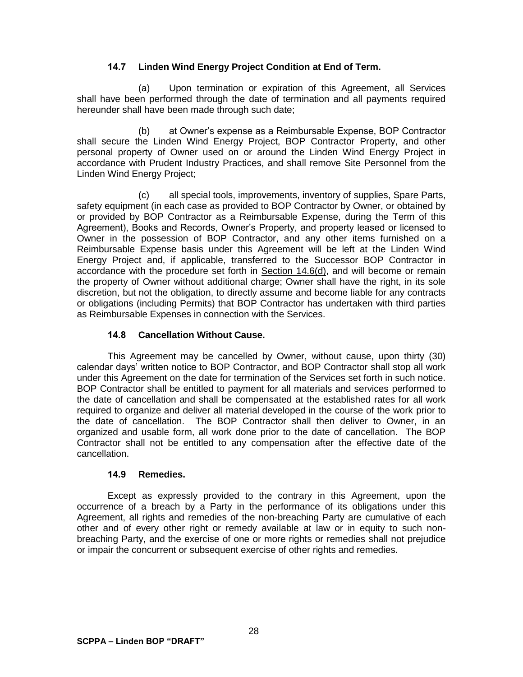## **14.7 Linden Wind Energy Project Condition at End of Term.**

(a) Upon termination or expiration of this Agreement, all Services shall have been performed through the date of termination and all payments required hereunder shall have been made through such date;

(b) at Owner's expense as a Reimbursable Expense, BOP Contractor shall secure the Linden Wind Energy Project, BOP Contractor Property, and other personal property of Owner used on or around the Linden Wind Energy Project in accordance with Prudent Industry Practices, and shall remove Site Personnel from the Linden Wind Energy Project;

(c) all special tools, improvements, inventory of supplies, Spare Parts, safety equipment (in each case as provided to BOP Contractor by Owner, or obtained by or provided by BOP Contractor as a Reimbursable Expense, during the Term of this Agreement), Books and Records, Owner's Property, and property leased or licensed to Owner in the possession of BOP Contractor, and any other items furnished on a Reimbursable Expense basis under this Agreement will be left at the Linden Wind Energy Project and, if applicable, transferred to the Successor BOP Contractor in accordance with the procedure set forth in Section 14.6(d), and will become or remain the property of Owner without additional charge; Owner shall have the right, in its sole discretion, but not the obligation, to directly assume and become liable for any contracts or obligations (including Permits) that BOP Contractor has undertaken with third parties as Reimbursable Expenses in connection with the Services.

## **14.8 Cancellation Without Cause.**

This Agreement may be cancelled by Owner, without cause, upon thirty (30) calendar days' written notice to BOP Contractor, and BOP Contractor shall stop all work under this Agreement on the date for termination of the Services set forth in such notice. BOP Contractor shall be entitled to payment for all materials and services performed to the date of cancellation and shall be compensated at the established rates for all work required to organize and deliver all material developed in the course of the work prior to the date of cancellation. The BOP Contractor shall then deliver to Owner, in an organized and usable form, all work done prior to the date of cancellation. The BOP Contractor shall not be entitled to any compensation after the effective date of the cancellation.

## **14.9 Remedies.**

Except as expressly provided to the contrary in this Agreement, upon the occurrence of a breach by a Party in the performance of its obligations under this Agreement, all rights and remedies of the non-breaching Party are cumulative of each other and of every other right or remedy available at law or in equity to such nonbreaching Party, and the exercise of one or more rights or remedies shall not prejudice or impair the concurrent or subsequent exercise of other rights and remedies.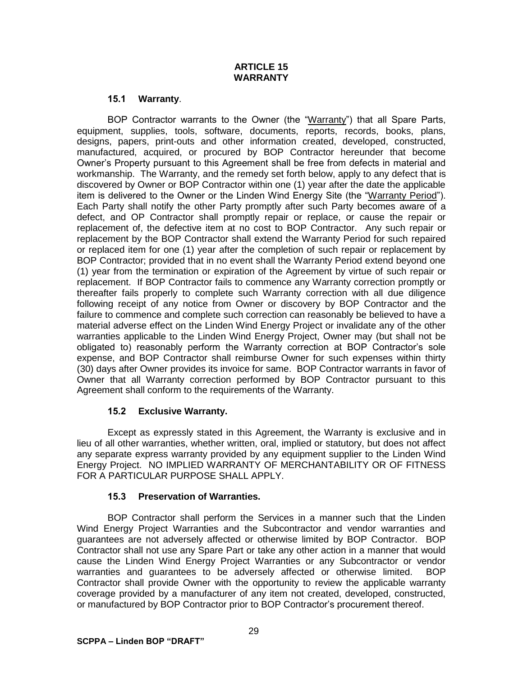## **ARTICLE 15 WARRANTY**

### **15.1 Warranty**.

BOP Contractor warrants to the Owner (the "Warranty") that all Spare Parts, equipment, supplies, tools, software, documents, reports, records, books, plans, designs, papers, print-outs and other information created, developed, constructed, manufactured, acquired, or procured by BOP Contractor hereunder that become Owner's Property pursuant to this Agreement shall be free from defects in material and workmanship. The Warranty, and the remedy set forth below, apply to any defect that is discovered by Owner or BOP Contractor within one (1) year after the date the applicable item is delivered to the Owner or the Linden Wind Energy Site (the "Warranty Period"). Each Party shall notify the other Party promptly after such Party becomes aware of a defect, and OP Contractor shall promptly repair or replace, or cause the repair or replacement of, the defective item at no cost to BOP Contractor. Any such repair or replacement by the BOP Contractor shall extend the Warranty Period for such repaired or replaced item for one (1) year after the completion of such repair or replacement by BOP Contractor; provided that in no event shall the Warranty Period extend beyond one (1) year from the termination or expiration of the Agreement by virtue of such repair or replacement. If BOP Contractor fails to commence any Warranty correction promptly or thereafter fails properly to complete such Warranty correction with all due diligence following receipt of any notice from Owner or discovery by BOP Contractor and the failure to commence and complete such correction can reasonably be believed to have a material adverse effect on the Linden Wind Energy Project or invalidate any of the other warranties applicable to the Linden Wind Energy Project, Owner may (but shall not be obligated to) reasonably perform the Warranty correction at BOP Contractor's sole expense, and BOP Contractor shall reimburse Owner for such expenses within thirty (30) days after Owner provides its invoice for same. BOP Contractor warrants in favor of Owner that all Warranty correction performed by BOP Contractor pursuant to this Agreement shall conform to the requirements of the Warranty.

## **15.2 Exclusive Warranty.**

Except as expressly stated in this Agreement, the Warranty is exclusive and in lieu of all other warranties, whether written, oral, implied or statutory, but does not affect any separate express warranty provided by any equipment supplier to the Linden Wind Energy Project. NO IMPLIED WARRANTY OF MERCHANTABILITY OR OF FITNESS FOR A PARTICULAR PURPOSE SHALL APPLY.

## **15.3 Preservation of Warranties.**

BOP Contractor shall perform the Services in a manner such that the Linden Wind Energy Project Warranties and the Subcontractor and vendor warranties and guarantees are not adversely affected or otherwise limited by BOP Contractor. BOP Contractor shall not use any Spare Part or take any other action in a manner that would cause the Linden Wind Energy Project Warranties or any Subcontractor or vendor warranties and guarantees to be adversely affected or otherwise limited. BOP Contractor shall provide Owner with the opportunity to review the applicable warranty coverage provided by a manufacturer of any item not created, developed, constructed, or manufactured by BOP Contractor prior to BOP Contractor's procurement thereof.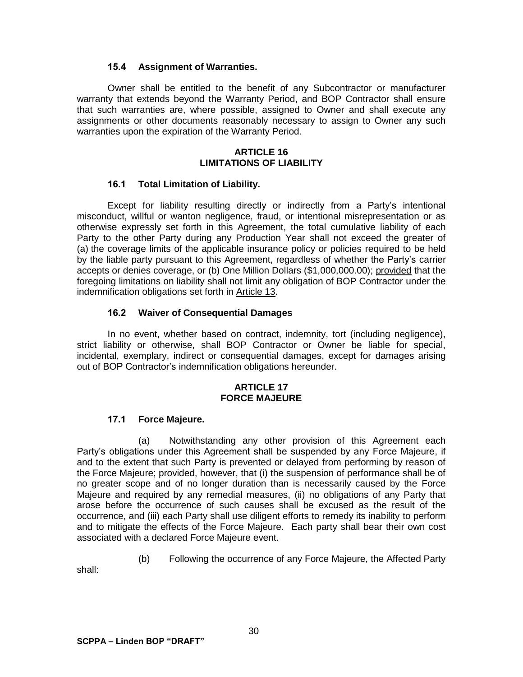### **15.4 Assignment of Warranties.**

Owner shall be entitled to the benefit of any Subcontractor or manufacturer warranty that extends beyond the Warranty Period, and BOP Contractor shall ensure that such warranties are, where possible, assigned to Owner and shall execute any assignments or other documents reasonably necessary to assign to Owner any such warranties upon the expiration of the Warranty Period.

#### **ARTICLE 16 LIMITATIONS OF LIABILITY**

### **16.1 Total Limitation of Liability.**

Except for liability resulting directly or indirectly from a Party's intentional misconduct, willful or wanton negligence, fraud, or intentional misrepresentation or as otherwise expressly set forth in this Agreement, the total cumulative liability of each Party to the other Party during any Production Year shall not exceed the greater of (a) the coverage limits of the applicable insurance policy or policies required to be held by the liable party pursuant to this Agreement, regardless of whether the Party's carrier accepts or denies coverage, or (b) One Million Dollars (\$1,000,000.00); provided that the foregoing limitations on liability shall not limit any obligation of BOP Contractor under the indemnification obligations set forth in Article 13.

### **16.2 Waiver of Consequential Damages**

In no event, whether based on contract, indemnity, tort (including negligence), strict liability or otherwise, shall BOP Contractor or Owner be liable for special, incidental, exemplary, indirect or consequential damages, except for damages arising out of BOP Contractor's indemnification obligations hereunder.

#### **ARTICLE 17 FORCE MAJEURE**

## **17.1 Force Majeure.**

(a) Notwithstanding any other provision of this Agreement each Party's obligations under this Agreement shall be suspended by any Force Majeure, if and to the extent that such Party is prevented or delayed from performing by reason of the Force Majeure; provided, however, that (i) the suspension of performance shall be of no greater scope and of no longer duration than is necessarily caused by the Force Majeure and required by any remedial measures, (ii) no obligations of any Party that arose before the occurrence of such causes shall be excused as the result of the occurrence, and (iii) each Party shall use diligent efforts to remedy its inability to perform and to mitigate the effects of the Force Majeure. Each party shall bear their own cost associated with a declared Force Majeure event.

(b) Following the occurrence of any Force Majeure, the Affected Party

shall: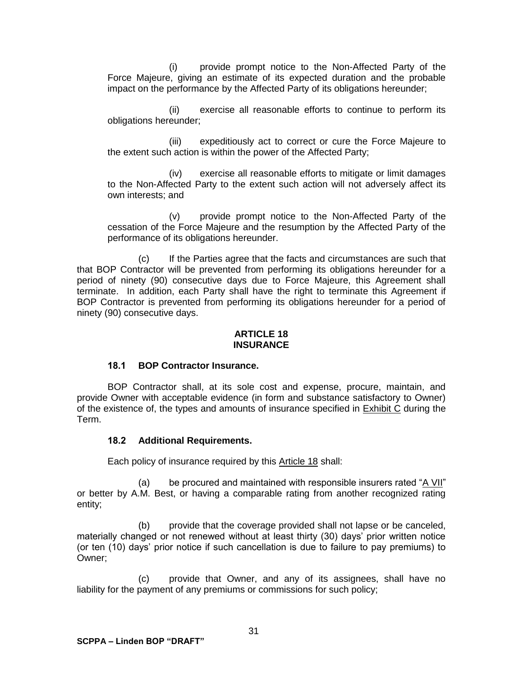(i) provide prompt notice to the Non-Affected Party of the Force Majeure, giving an estimate of its expected duration and the probable impact on the performance by the Affected Party of its obligations hereunder;

(ii) exercise all reasonable efforts to continue to perform its obligations hereunder;

(iii) expeditiously act to correct or cure the Force Majeure to the extent such action is within the power of the Affected Party;

(iv) exercise all reasonable efforts to mitigate or limit damages to the Non-Affected Party to the extent such action will not adversely affect its own interests; and

(v) provide prompt notice to the Non-Affected Party of the cessation of the Force Majeure and the resumption by the Affected Party of the performance of its obligations hereunder.

(c) If the Parties agree that the facts and circumstances are such that that BOP Contractor will be prevented from performing its obligations hereunder for a period of ninety (90) consecutive days due to Force Majeure, this Agreement shall terminate. In addition, each Party shall have the right to terminate this Agreement if BOP Contractor is prevented from performing its obligations hereunder for a period of ninety (90) consecutive days.

#### **ARTICLE 18 INSURANCE**

## **18.1 BOP Contractor Insurance.**

BOP Contractor shall, at its sole cost and expense, procure, maintain, and provide Owner with acceptable evidence (in form and substance satisfactory to Owner) of the existence of, the types and amounts of insurance specified in Exhibit C during the Term.

#### **18.2 Additional Requirements.**

Each policy of insurance required by this Article 18 shall:

(a) be procured and maintained with responsible insurers rated "A VII" or better by A.M. Best, or having a comparable rating from another recognized rating entity;

(b) provide that the coverage provided shall not lapse or be canceled, materially changed or not renewed without at least thirty (30) days' prior written notice (or ten (10) days' prior notice if such cancellation is due to failure to pay premiums) to Owner;

(c) provide that Owner, and any of its assignees, shall have no liability for the payment of any premiums or commissions for such policy;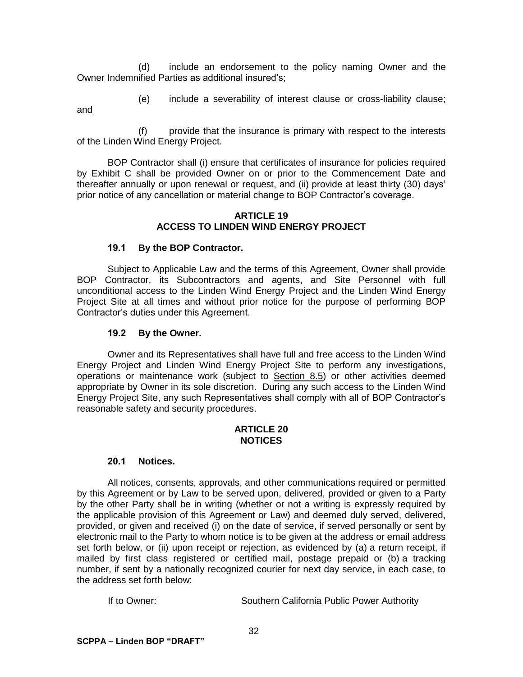(d) include an endorsement to the policy naming Owner and the Owner Indemnified Parties as additional insured's;

(e) include a severability of interest clause or cross-liability clause;

and

(f) provide that the insurance is primary with respect to the interests of the Linden Wind Energy Project.

BOP Contractor shall (i) ensure that certificates of insurance for policies required by Exhibit C shall be provided Owner on or prior to the Commencement Date and thereafter annually or upon renewal or request, and (ii) provide at least thirty (30) days' prior notice of any cancellation or material change to BOP Contractor's coverage.

#### **ARTICLE 19 ACCESS TO LINDEN WIND ENERGY PROJECT**

## **19.1 By the BOP Contractor.**

Subject to Applicable Law and the terms of this Agreement, Owner shall provide BOP Contractor, its Subcontractors and agents, and Site Personnel with full unconditional access to the Linden Wind Energy Project and the Linden Wind Energy Project Site at all times and without prior notice for the purpose of performing BOP Contractor's duties under this Agreement.

## **19.2 By the Owner.**

Owner and its Representatives shall have full and free access to the Linden Wind Energy Project and Linden Wind Energy Project Site to perform any investigations, operations or maintenance work (subject to Section 8.5) or other activities deemed appropriate by Owner in its sole discretion. During any such access to the Linden Wind Energy Project Site, any such Representatives shall comply with all of BOP Contractor's reasonable safety and security procedures.

#### **ARTICLE 20 NOTICES**

## **20.1 Notices.**

All notices, consents, approvals, and other communications required or permitted by this Agreement or by Law to be served upon, delivered, provided or given to a Party by the other Party shall be in writing (whether or not a writing is expressly required by the applicable provision of this Agreement or Law) and deemed duly served, delivered, provided, or given and received (i) on the date of service, if served personally or sent by electronic mail to the Party to whom notice is to be given at the address or email address set forth below, or (ii) upon receipt or rejection, as evidenced by (a) a return receipt, if mailed by first class registered or certified mail, postage prepaid or (b) a tracking number, if sent by a nationally recognized courier for next day service, in each case, to the address set forth below:

If to Owner: Southern California Public Power Authority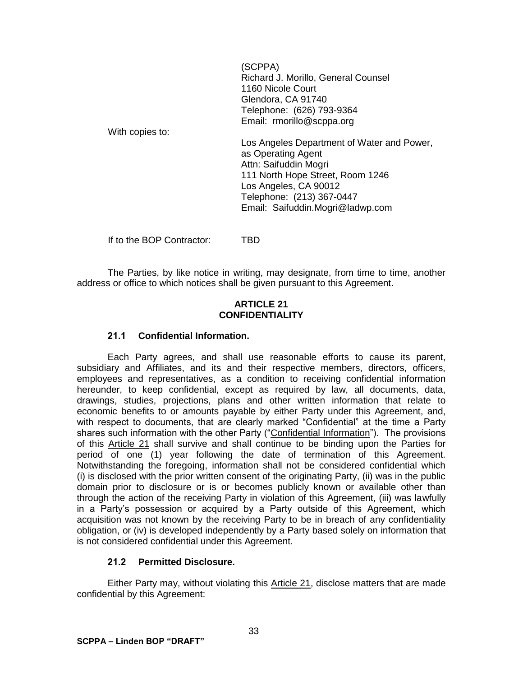(SCPPA) Richard J. Morillo, General Counsel 1160 Nicole Court Glendora, CA 91740 Telephone: (626) 793-9364 Email: rmorillo@scppa.org

With copies to:

Los Angeles Department of Water and Power, as Operating Agent Attn: Saifuddin Mogri 111 North Hope Street, Room 1246 Los Angeles, CA 90012 Telephone: (213) 367-0447 Email: Saifuddin.Mogri@ladwp.com

If to the BOP Contractor: TBD

The Parties, by like notice in writing, may designate, from time to time, another address or office to which notices shall be given pursuant to this Agreement.

#### **ARTICLE 21 CONFIDENTIALITY**

## **21.1 Confidential Information.**

Each Party agrees, and shall use reasonable efforts to cause its parent, subsidiary and Affiliates, and its and their respective members, directors, officers, employees and representatives, as a condition to receiving confidential information hereunder, to keep confidential, except as required by law, all documents, data, drawings, studies, projections, plans and other written information that relate to economic benefits to or amounts payable by either Party under this Agreement, and, with respect to documents, that are clearly marked "Confidential" at the time a Party shares such information with the other Party ("Confidential Information"). The provisions of this Article 21 shall survive and shall continue to be binding upon the Parties for period of one (1) year following the date of termination of this Agreement. Notwithstanding the foregoing, information shall not be considered confidential which (i) is disclosed with the prior written consent of the originating Party, (ii) was in the public domain prior to disclosure or is or becomes publicly known or available other than through the action of the receiving Party in violation of this Agreement, (iii) was lawfully in a Party's possession or acquired by a Party outside of this Agreement, which acquisition was not known by the receiving Party to be in breach of any confidentiality obligation, or (iv) is developed independently by a Party based solely on information that is not considered confidential under this Agreement.

## **21.2 Permitted Disclosure.**

Either Party may, without violating this Article 21, disclose matters that are made confidential by this Agreement: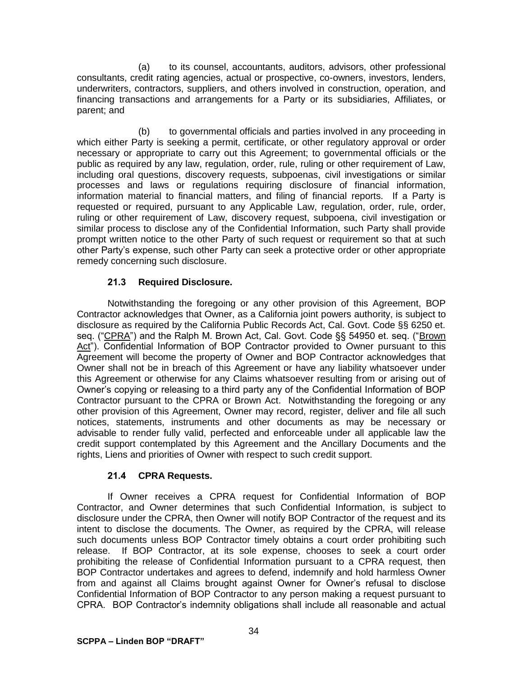(a) to its counsel, accountants, auditors, advisors, other professional consultants, credit rating agencies, actual or prospective, co-owners, investors, lenders, underwriters, contractors, suppliers, and others involved in construction, operation, and financing transactions and arrangements for a Party or its subsidiaries, Affiliates, or parent; and

(b) to governmental officials and parties involved in any proceeding in which either Party is seeking a permit, certificate, or other regulatory approval or order necessary or appropriate to carry out this Agreement; to governmental officials or the public as required by any law, regulation, order, rule, ruling or other requirement of Law, including oral questions, discovery requests, subpoenas, civil investigations or similar processes and laws or regulations requiring disclosure of financial information, information material to financial matters, and filing of financial reports. If a Party is requested or required, pursuant to any Applicable Law, regulation, order, rule, order, ruling or other requirement of Law, discovery request, subpoena, civil investigation or similar process to disclose any of the Confidential Information, such Party shall provide prompt written notice to the other Party of such request or requirement so that at such other Party's expense, such other Party can seek a protective order or other appropriate remedy concerning such disclosure.

## **21.3 Required Disclosure.**

Notwithstanding the foregoing or any other provision of this Agreement, BOP Contractor acknowledges that Owner, as a California joint powers authority, is subject to disclosure as required by the California Public Records Act, Cal. Govt. Code §§ 6250 et. seq. ("CPRA") and the Ralph M. Brown Act, Cal. Govt. Code §§ 54950 et. seq. ("Brown Act"). Confidential Information of BOP Contractor provided to Owner pursuant to this Agreement will become the property of Owner and BOP Contractor acknowledges that Owner shall not be in breach of this Agreement or have any liability whatsoever under this Agreement or otherwise for any Claims whatsoever resulting from or arising out of Owner's copying or releasing to a third party any of the Confidential Information of BOP Contractor pursuant to the CPRA or Brown Act. Notwithstanding the foregoing or any other provision of this Agreement, Owner may record, register, deliver and file all such notices, statements, instruments and other documents as may be necessary or advisable to render fully valid, perfected and enforceable under all applicable law the credit support contemplated by this Agreement and the Ancillary Documents and the rights, Liens and priorities of Owner with respect to such credit support.

## **21.4 CPRA Requests.**

If Owner receives a CPRA request for Confidential Information of BOP Contractor, and Owner determines that such Confidential Information, is subject to disclosure under the CPRA, then Owner will notify BOP Contractor of the request and its intent to disclose the documents. The Owner, as required by the CPRA, will release such documents unless BOP Contractor timely obtains a court order prohibiting such release. If BOP Contractor, at its sole expense, chooses to seek a court order prohibiting the release of Confidential Information pursuant to a CPRA request, then BOP Contractor undertakes and agrees to defend, indemnify and hold harmless Owner from and against all Claims brought against Owner for Owner's refusal to disclose Confidential Information of BOP Contractor to any person making a request pursuant to CPRA. BOP Contractor's indemnity obligations shall include all reasonable and actual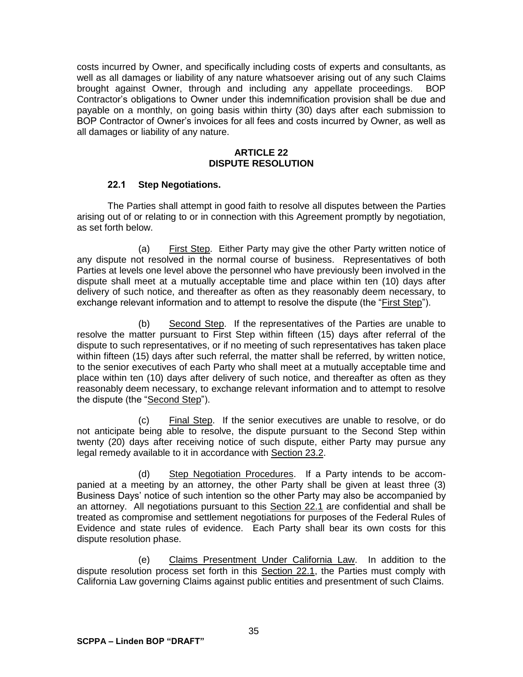costs incurred by Owner, and specifically including costs of experts and consultants, as well as all damages or liability of any nature whatsoever arising out of any such Claims brought against Owner, through and including any appellate proceedings. BOP Contractor's obligations to Owner under this indemnification provision shall be due and payable on a monthly, on going basis within thirty (30) days after each submission to BOP Contractor of Owner's invoices for all fees and costs incurred by Owner, as well as all damages or liability of any nature.

#### **ARTICLE 22 DISPUTE RESOLUTION**

### **22.1 Step Negotiations.**

The Parties shall attempt in good faith to resolve all disputes between the Parties arising out of or relating to or in connection with this Agreement promptly by negotiation, as set forth below.

(a) First Step. Either Party may give the other Party written notice of any dispute not resolved in the normal course of business. Representatives of both Parties at levels one level above the personnel who have previously been involved in the dispute shall meet at a mutually acceptable time and place within ten (10) days after delivery of such notice, and thereafter as often as they reasonably deem necessary, to exchange relevant information and to attempt to resolve the dispute (the "First Step").

(b) Second Step. If the representatives of the Parties are unable to resolve the matter pursuant to First Step within fifteen (15) days after referral of the dispute to such representatives, or if no meeting of such representatives has taken place within fifteen (15) days after such referral, the matter shall be referred, by written notice, to the senior executives of each Party who shall meet at a mutually acceptable time and place within ten (10) days after delivery of such notice, and thereafter as often as they reasonably deem necessary, to exchange relevant information and to attempt to resolve the dispute (the "Second Step").

(c) Final Step. If the senior executives are unable to resolve, or do not anticipate being able to resolve, the dispute pursuant to the Second Step within twenty (20) days after receiving notice of such dispute, either Party may pursue any legal remedy available to it in accordance with Section 23.2.

(d) Step Negotiation Procedures. If a Party intends to be accompanied at a meeting by an attorney, the other Party shall be given at least three (3) Business Days' notice of such intention so the other Party may also be accompanied by an attorney. All negotiations pursuant to this Section 22.1 are confidential and shall be treated as compromise and settlement negotiations for purposes of the Federal Rules of Evidence and state rules of evidence. Each Party shall bear its own costs for this dispute resolution phase.

(e) Claims Presentment Under California Law. In addition to the dispute resolution process set forth in this Section 22.1, the Parties must comply with California Law governing Claims against public entities and presentment of such Claims.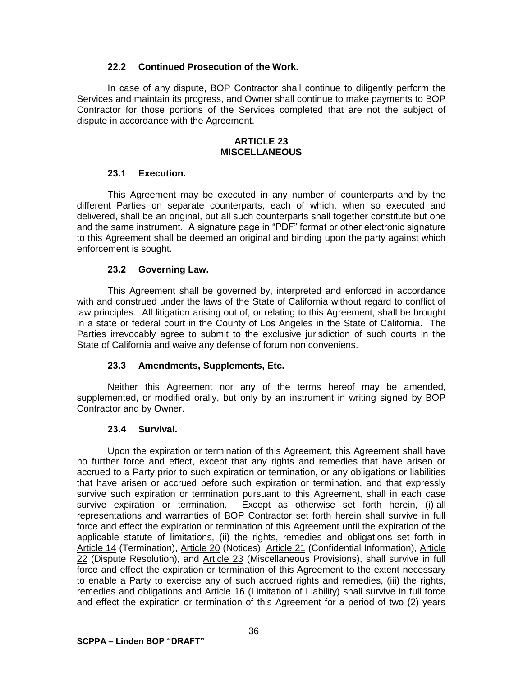### **22.2 Continued Prosecution of the Work.**

In case of any dispute, BOP Contractor shall continue to diligently perform the Services and maintain its progress, and Owner shall continue to make payments to BOP Contractor for those portions of the Services completed that are not the subject of dispute in accordance with the Agreement.

#### **ARTICLE 23 MISCELLANEOUS**

#### **23.1 Execution.**

This Agreement may be executed in any number of counterparts and by the different Parties on separate counterparts, each of which, when so executed and delivered, shall be an original, but all such counterparts shall together constitute but one and the same instrument. A signature page in "PDF" format or other electronic signature to this Agreement shall be deemed an original and binding upon the party against which enforcement is sought.

### **23.2 Governing Law.**

This Agreement shall be governed by, interpreted and enforced in accordance with and construed under the laws of the State of California without regard to conflict of law principles. All litigation arising out of, or relating to this Agreement, shall be brought in a state or federal court in the County of Los Angeles in the State of California. The Parties irrevocably agree to submit to the exclusive jurisdiction of such courts in the State of California and waive any defense of forum non conveniens.

## **23.3 Amendments, Supplements, Etc.**

Neither this Agreement nor any of the terms hereof may be amended, supplemented, or modified orally, but only by an instrument in writing signed by BOP Contractor and by Owner.

#### **23.4 Survival.**

Upon the expiration or termination of this Agreement, this Agreement shall have no further force and effect, except that any rights and remedies that have arisen or accrued to a Party prior to such expiration or termination, or any obligations or liabilities that have arisen or accrued before such expiration or termination, and that expressly survive such expiration or termination pursuant to this Agreement, shall in each case survive expiration or termination. Except as otherwise set forth herein, (i) all representations and warranties of BOP Contractor set forth herein shall survive in full force and effect the expiration or termination of this Agreement until the expiration of the applicable statute of limitations, (ii) the rights, remedies and obligations set forth in Article 14 (Termination), Article 20 (Notices), Article 21 (Confidential Information), Article 22 (Dispute Resolution), and Article 23 (Miscellaneous Provisions), shall survive in full force and effect the expiration or termination of this Agreement to the extent necessary to enable a Party to exercise any of such accrued rights and remedies, (iii) the rights, remedies and obligations and Article 16 (Limitation of Liability) shall survive in full force and effect the expiration or termination of this Agreement for a period of two (2) years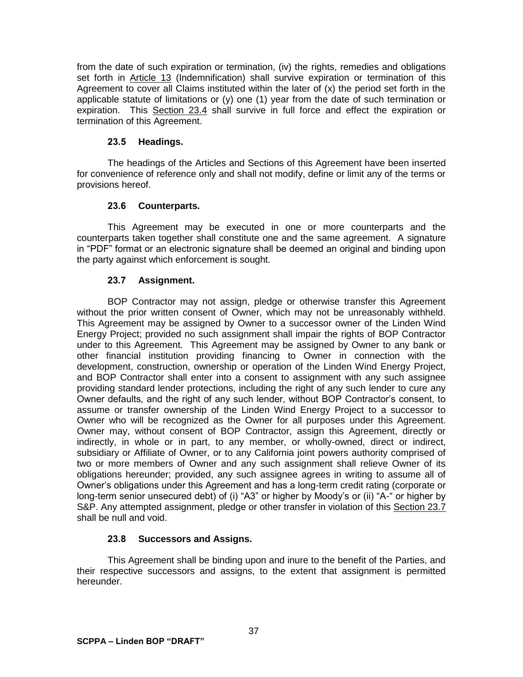from the date of such expiration or termination, (iv) the rights, remedies and obligations set forth in Article 13 (Indemnification) shall survive expiration or termination of this Agreement to cover all Claims instituted within the later of (x) the period set forth in the applicable statute of limitations or (y) one (1) year from the date of such termination or expiration. This Section 23.4 shall survive in full force and effect the expiration or termination of this Agreement.

## **23.5 Headings.**

The headings of the Articles and Sections of this Agreement have been inserted for convenience of reference only and shall not modify, define or limit any of the terms or provisions hereof.

## **23.6 Counterparts.**

This Agreement may be executed in one or more counterparts and the counterparts taken together shall constitute one and the same agreement. A signature in "PDF" format or an electronic signature shall be deemed an original and binding upon the party against which enforcement is sought.

## **23.7 Assignment.**

BOP Contractor may not assign, pledge or otherwise transfer this Agreement without the prior written consent of Owner, which may not be unreasonably withheld. This Agreement may be assigned by Owner to a successor owner of the Linden Wind Energy Project; provided no such assignment shall impair the rights of BOP Contractor under to this Agreement. This Agreement may be assigned by Owner to any bank or other financial institution providing financing to Owner in connection with the development, construction, ownership or operation of the Linden Wind Energy Project, and BOP Contractor shall enter into a consent to assignment with any such assignee providing standard lender protections, including the right of any such lender to cure any Owner defaults, and the right of any such lender, without BOP Contractor's consent, to assume or transfer ownership of the Linden Wind Energy Project to a successor to Owner who will be recognized as the Owner for all purposes under this Agreement. Owner may, without consent of BOP Contractor, assign this Agreement, directly or indirectly, in whole or in part, to any member, or wholly-owned, direct or indirect, subsidiary or Affiliate of Owner, or to any California joint powers authority comprised of two or more members of Owner and any such assignment shall relieve Owner of its obligations hereunder; provided, any such assignee agrees in writing to assume all of Owner's obligations under this Agreement and has a long-term credit rating (corporate or long-term senior unsecured debt) of (i) "A3" or higher by Moody's or (ii) "A-" or higher by S&P. Any attempted assignment, pledge or other transfer in violation of this Section 23.7 shall be null and void.

## **23.8 Successors and Assigns.**

This Agreement shall be binding upon and inure to the benefit of the Parties, and their respective successors and assigns, to the extent that assignment is permitted hereunder.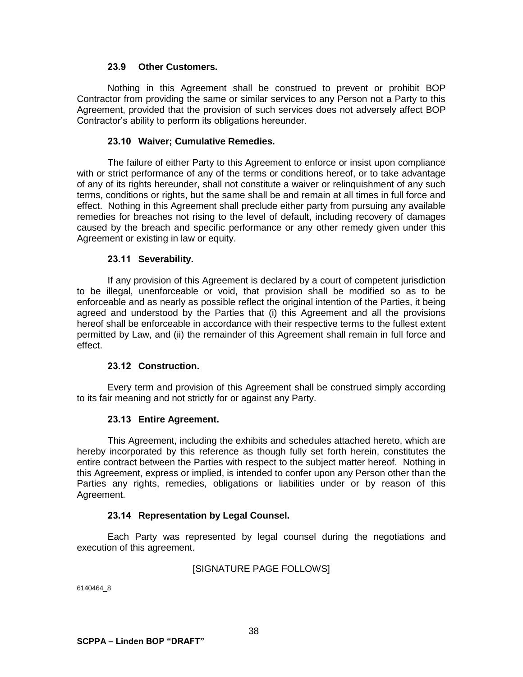### **23.9 Other Customers.**

Nothing in this Agreement shall be construed to prevent or prohibit BOP Contractor from providing the same or similar services to any Person not a Party to this Agreement, provided that the provision of such services does not adversely affect BOP Contractor's ability to perform its obligations hereunder.

#### **23.10 Waiver; Cumulative Remedies.**

The failure of either Party to this Agreement to enforce or insist upon compliance with or strict performance of any of the terms or conditions hereof, or to take advantage of any of its rights hereunder, shall not constitute a waiver or relinquishment of any such terms, conditions or rights, but the same shall be and remain at all times in full force and effect. Nothing in this Agreement shall preclude either party from pursuing any available remedies for breaches not rising to the level of default, including recovery of damages caused by the breach and specific performance or any other remedy given under this Agreement or existing in law or equity.

#### **23.11 Severability.**

If any provision of this Agreement is declared by a court of competent jurisdiction to be illegal, unenforceable or void, that provision shall be modified so as to be enforceable and as nearly as possible reflect the original intention of the Parties, it being agreed and understood by the Parties that (i) this Agreement and all the provisions hereof shall be enforceable in accordance with their respective terms to the fullest extent permitted by Law, and (ii) the remainder of this Agreement shall remain in full force and effect.

#### **23.12 Construction.**

Every term and provision of this Agreement shall be construed simply according to its fair meaning and not strictly for or against any Party.

#### **23.13 Entire Agreement.**

This Agreement, including the exhibits and schedules attached hereto, which are hereby incorporated by this reference as though fully set forth herein, constitutes the entire contract between the Parties with respect to the subject matter hereof. Nothing in this Agreement, express or implied, is intended to confer upon any Person other than the Parties any rights, remedies, obligations or liabilities under or by reason of this Agreement.

## **23.14 Representation by Legal Counsel.**

Each Party was represented by legal counsel during the negotiations and execution of this agreement.

#### [SIGNATURE PAGE FOLLOWS]

6140464\_8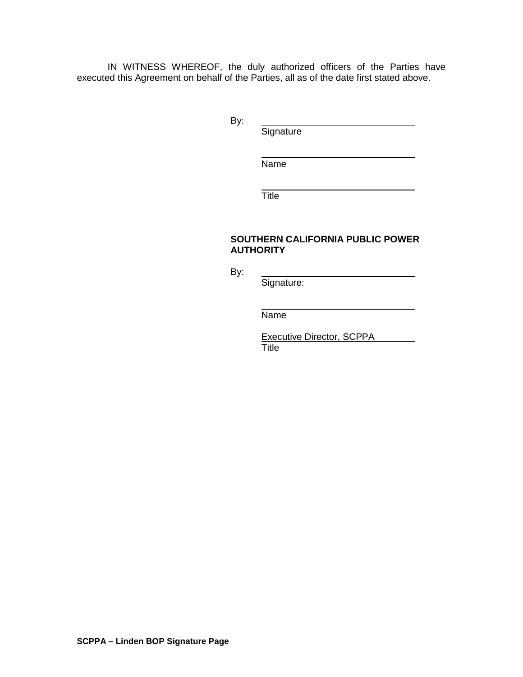IN WITNESS WHEREOF, the duly authorized officers of the Parties have executed this Agreement on behalf of the Parties, all as of the date first stated above.

By:

**Signature** 

Name

**Title** 

#### **SOUTHERN CALIFORNIA PUBLIC POWER AUTHORITY**

By:

Signature:

Name

Executive Director, SCPPA

Title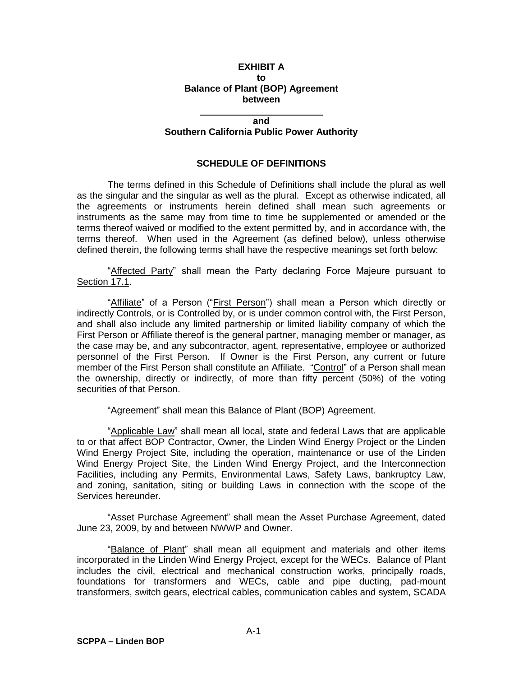#### **EXHIBIT A to Balance of Plant (BOP) Agreement between**

#### **and**

#### **Southern California Public Power Authority**

### **SCHEDULE OF DEFINITIONS**

The terms defined in this Schedule of Definitions shall include the plural as well as the singular and the singular as well as the plural. Except as otherwise indicated, all the agreements or instruments herein defined shall mean such agreements or instruments as the same may from time to time be supplemented or amended or the terms thereof waived or modified to the extent permitted by, and in accordance with, the terms thereof. When used in the Agreement (as defined below), unless otherwise defined therein, the following terms shall have the respective meanings set forth below:

'Affected Party" shall mean the Party declaring Force Majeure pursuant to Section 17.1.

"Affiliate" of a Person ("First Person") shall mean a Person which directly or indirectly Controls, or is Controlled by, or is under common control with, the First Person, and shall also include any limited partnership or limited liability company of which the First Person or Affiliate thereof is the general partner, managing member or manager, as the case may be, and any subcontractor, agent, representative, employee or authorized personnel of the First Person. If Owner is the First Person, any current or future member of the First Person shall constitute an Affiliate. "Control" of a Person shall mean the ownership, directly or indirectly, of more than fifty percent (50%) of the voting securities of that Person.

"Agreement" shall mean this Balance of Plant (BOP) Agreement.

"Applicable Law" shall mean all local, state and federal Laws that are applicable to or that affect BOP Contractor, Owner, the Linden Wind Energy Project or the Linden Wind Energy Project Site, including the operation, maintenance or use of the Linden Wind Energy Project Site, the Linden Wind Energy Project, and the Interconnection Facilities, including any Permits, Environmental Laws, Safety Laws, bankruptcy Law, and zoning, sanitation, siting or building Laws in connection with the scope of the Services hereunder.

"Asset Purchase Agreement" shall mean the Asset Purchase Agreement, dated June 23, 2009, by and between NWWP and Owner.

"Balance of Plant" shall mean all equipment and materials and other items incorporated in the Linden Wind Energy Project, except for the WECs. Balance of Plant includes the civil, electrical and mechanical construction works, principally roads, foundations for transformers and WECs, cable and pipe ducting, pad-mount transformers, switch gears, electrical cables, communication cables and system, SCADA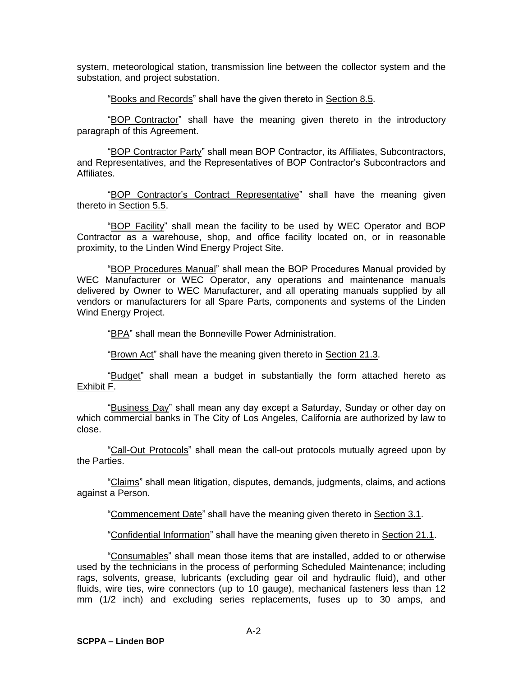system, meteorological station, transmission line between the collector system and the substation, and project substation.

"Books and Records" shall have the given thereto in Section 8.5.

"BOP Contractor" shall have the meaning given thereto in the introductory paragraph of this Agreement.

"BOP Contractor Party" shall mean BOP Contractor, its Affiliates, Subcontractors, and Representatives, and the Representatives of BOP Contractor's Subcontractors and Affiliates.

"BOP Contractor's Contract Representative" shall have the meaning given thereto in Section 5.5.

"BOP Facility" shall mean the facility to be used by WEC Operator and BOP Contractor as a warehouse, shop, and office facility located on, or in reasonable proximity, to the Linden Wind Energy Project Site.

"BOP Procedures Manual" shall mean the BOP Procedures Manual provided by WEC Manufacturer or WEC Operator, any operations and maintenance manuals delivered by Owner to WEC Manufacturer, and all operating manuals supplied by all vendors or manufacturers for all Spare Parts, components and systems of the Linden Wind Energy Project.

"BPA" shall mean the Bonneville Power Administration.

"Brown Act" shall have the meaning given thereto in Section 21.3.

"Budget" shall mean a budget in substantially the form attached hereto as Exhibit F.

"Business Day" shall mean any day except a Saturday, Sunday or other day on which commercial banks in The City of Los Angeles, California are authorized by law to close.

"Call-Out Protocols" shall mean the call-out protocols mutually agreed upon by the Parties.

"Claims" shall mean litigation, disputes, demands, judgments, claims, and actions against a Person.

"Commencement Date" shall have the meaning given thereto in Section 3.1.

"Confidential Information" shall have the meaning given thereto in Section 21.1.

"Consumables" shall mean those items that are installed, added to or otherwise used by the technicians in the process of performing Scheduled Maintenance; including rags, solvents, grease, lubricants (excluding gear oil and hydraulic fluid), and other fluids, wire ties, wire connectors (up to 10 gauge), mechanical fasteners less than 12 mm (1/2 inch) and excluding series replacements, fuses up to 30 amps, and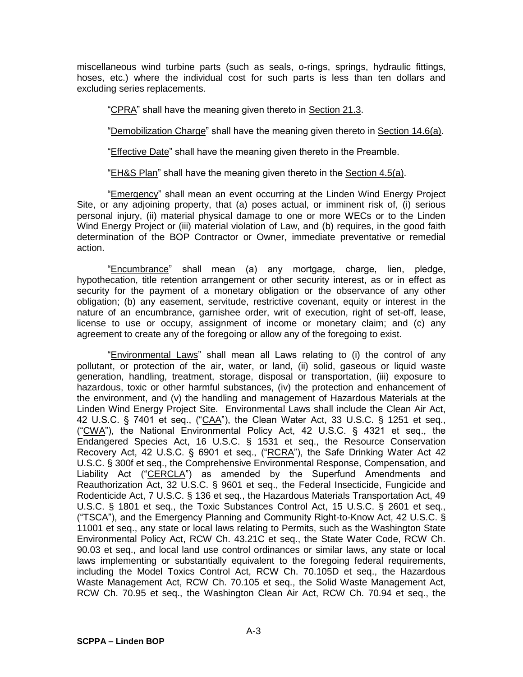miscellaneous wind turbine parts (such as seals, o-rings, springs, hydraulic fittings, hoses, etc.) where the individual cost for such parts is less than ten dollars and excluding series replacements.

"CPRA" shall have the meaning given thereto in Section 21.3.

"Demobilization Charge" shall have the meaning given thereto in Section 14.6(a).

"Effective Date" shall have the meaning given thereto in the Preamble.

"EH&S Plan" shall have the meaning given thereto in the Section 4.5(a).

"Emergency" shall mean an event occurring at the Linden Wind Energy Project Site, or any adjoining property, that (a) poses actual, or imminent risk of, (i) serious personal injury, (ii) material physical damage to one or more WECs or to the Linden Wind Energy Project or (iii) material violation of Law, and (b) requires, in the good faith determination of the BOP Contractor or Owner, immediate preventative or remedial action.

"Encumbrance" shall mean (a) any mortgage, charge, lien, pledge, hypothecation, title retention arrangement or other security interest, as or in effect as security for the payment of a monetary obligation or the observance of any other obligation; (b) any easement, servitude, restrictive covenant, equity or interest in the nature of an encumbrance, garnishee order, writ of execution, right of set-off, lease, license to use or occupy, assignment of income or monetary claim; and (c) any agreement to create any of the foregoing or allow any of the foregoing to exist.

"Environmental Laws" shall mean all Laws relating to (i) the control of any pollutant, or protection of the air, water, or land, (ii) solid, gaseous or liquid waste generation, handling, treatment, storage, disposal or transportation, (iii) exposure to hazardous, toxic or other harmful substances, (iv) the protection and enhancement of the environment, and (v) the handling and management of Hazardous Materials at the Linden Wind Energy Project Site. Environmental Laws shall include the Clean Air Act, 42 U.S.C. § 7401 et seq., ("CAA"), the Clean Water Act, 33 U.S.C. § 1251 et seq., ("CWA"), the National Environmental Policy Act, 42 U.S.C. § 4321 et seq., the Endangered Species Act, 16 U.S.C. § 1531 et seq., the Resource Conservation Recovery Act, 42 U.S.C. § 6901 et seq., ("RCRA"), the Safe Drinking Water Act 42 U.S.C. § 300f et seq., the Comprehensive Environmental Response, Compensation, and Liability Act ("CERCLA") as amended by the Superfund Amendments and Reauthorization Act, 32 U.S.C. § 9601 et seq., the Federal Insecticide, Fungicide and Rodenticide Act, 7 U.S.C. § 136 et seq., the Hazardous Materials Transportation Act, 49 U.S.C. § 1801 et seq., the Toxic Substances Control Act, 15 U.S.C. § 2601 et seq., ("TSCA"), and the Emergency Planning and Community Right-to-Know Act, 42 U.S.C.  $\S$ 11001 et seq., any state or local laws relating to Permits, such as the Washington State Environmental Policy Act, RCW Ch. 43.21C et seq., the State Water Code, RCW Ch. 90.03 et seq., and local land use control ordinances or similar laws, any state or local laws implementing or substantially equivalent to the foregoing federal requirements, including the Model Toxics Control Act, RCW Ch. 70.105D et seq., the Hazardous Waste Management Act, RCW Ch. 70.105 et seq., the Solid Waste Management Act, RCW Ch. 70.95 et seq., the Washington Clean Air Act, RCW Ch. 70.94 et seq., the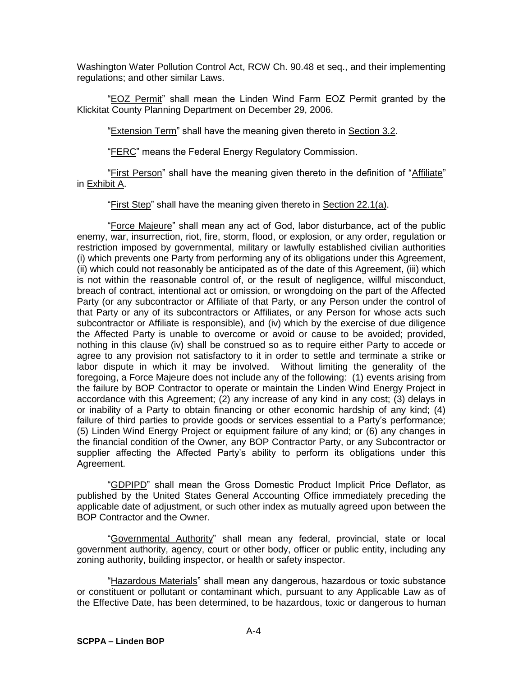Washington Water Pollution Control Act, RCW Ch. 90.48 et seq., and their implementing regulations; and other similar Laws.

"EOZ Permit" shall mean the Linden Wind Farm EOZ Permit granted by the Klickitat County Planning Department on December 29, 2006.

"Extension Term" shall have the meaning given thereto in Section 3.2.

"FERC" means the Federal Energy Regulatory Commission.

"First Person" shall have the meaning given thereto in the definition of "Affiliate" in Exhibit A.

"First Step" shall have the meaning given thereto in Section 22.1(a).

"Force Majeure" shall mean any act of God, labor disturbance, act of the public enemy, war, insurrection, riot, fire, storm, flood, or explosion, or any order, regulation or restriction imposed by governmental, military or lawfully established civilian authorities (i) which prevents one Party from performing any of its obligations under this Agreement, (ii) which could not reasonably be anticipated as of the date of this Agreement, (iii) which is not within the reasonable control of, or the result of negligence, willful misconduct, breach of contract, intentional act or omission, or wrongdoing on the part of the Affected Party (or any subcontractor or Affiliate of that Party, or any Person under the control of that Party or any of its subcontractors or Affiliates, or any Person for whose acts such subcontractor or Affiliate is responsible), and (iv) which by the exercise of due diligence the Affected Party is unable to overcome or avoid or cause to be avoided; provided, nothing in this clause (iv) shall be construed so as to require either Party to accede or agree to any provision not satisfactory to it in order to settle and terminate a strike or labor dispute in which it may be involved. Without limiting the generality of the foregoing, a Force Majeure does not include any of the following: (1) events arising from the failure by BOP Contractor to operate or maintain the Linden Wind Energy Project in accordance with this Agreement; (2) any increase of any kind in any cost; (3) delays in or inability of a Party to obtain financing or other economic hardship of any kind; (4) failure of third parties to provide goods or services essential to a Party's performance; (5) Linden Wind Energy Project or equipment failure of any kind; or (6) any changes in the financial condition of the Owner, any BOP Contractor Party, or any Subcontractor or supplier affecting the Affected Party's ability to perform its obligations under this Agreement.

"GDPIPD" shall mean the Gross Domestic Product Implicit Price Deflator, as published by the United States General Accounting Office immediately preceding the applicable date of adjustment, or such other index as mutually agreed upon between the BOP Contractor and the Owner.

"Governmental Authority" shall mean any federal, provincial, state or local government authority, agency, court or other body, officer or public entity, including any zoning authority, building inspector, or health or safety inspector.

"Hazardous Materials" shall mean any dangerous, hazardous or toxic substance or constituent or pollutant or contaminant which, pursuant to any Applicable Law as of the Effective Date, has been determined, to be hazardous, toxic or dangerous to human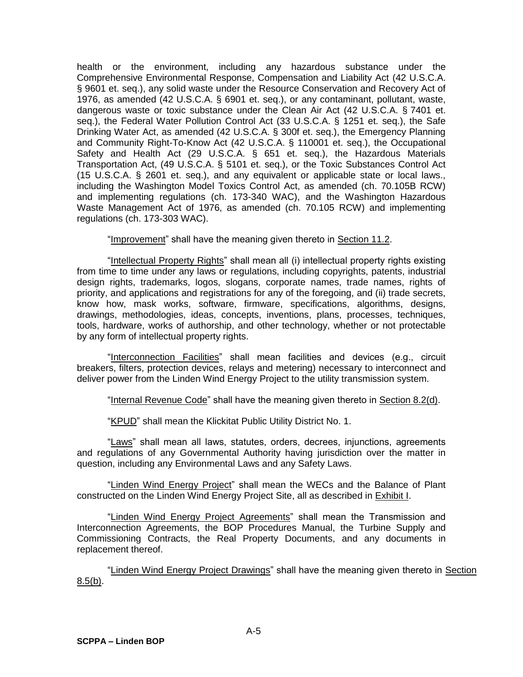health or the environment, including any hazardous substance under the Comprehensive Environmental Response, Compensation and Liability Act (42 U.S.C.A. § 9601 et. seq.), any solid waste under the Resource Conservation and Recovery Act of 1976, as amended (42 U.S.C.A. § 6901 et. seq.), or any contaminant, pollutant, waste, dangerous waste or toxic substance under the Clean Air Act (42 U.S.C.A. § 7401 et. seq.), the Federal Water Pollution Control Act (33 U.S.C.A. § 1251 et. seq.), the Safe Drinking Water Act, as amended (42 U.S.C.A. § 300f et. seq.), the Emergency Planning and Community Right-To-Know Act (42 U.S.C.A. § 110001 et. seq.), the Occupational Safety and Health Act (29 U.S.C.A. § 651 et. seq.), the Hazardous Materials Transportation Act, (49 U.S.C.A. § 5101 et. seq.), or the Toxic Substances Control Act (15 U.S.C.A. § 2601 et. seq.), and any equivalent or applicable state or local laws., including the Washington Model Toxics Control Act, as amended (ch. 70.105B RCW) and implementing regulations (ch. 173-340 WAC), and the Washington Hazardous Waste Management Act of 1976, as amended (ch. 70.105 RCW) and implementing regulations (ch. 173-303 WAC).

"Improvement" shall have the meaning given thereto in Section 11.2.

"Intellectual Property Rights" shall mean all (i) intellectual property rights existing from time to time under any laws or regulations, including copyrights, patents, industrial design rights, trademarks, logos, slogans, corporate names, trade names, rights of priority, and applications and registrations for any of the foregoing, and (ii) trade secrets, know how, mask works, software, firmware, specifications, algorithms, designs, drawings, methodologies, ideas, concepts, inventions, plans, processes, techniques, tools, hardware, works of authorship, and other technology, whether or not protectable by any form of intellectual property rights.

"Interconnection Facilities" shall mean facilities and devices (e.g., circuit breakers, filters, protection devices, relays and metering) necessary to interconnect and deliver power from the Linden Wind Energy Project to the utility transmission system.

"Internal Revenue Code" shall have the meaning given thereto in Section 8.2(d).

"KPUD" shall mean the Klickitat Public Utility District No. 1.

"Laws" shall mean all laws, statutes, orders, decrees, injunctions, agreements and regulations of any Governmental Authority having jurisdiction over the matter in question, including any Environmental Laws and any Safety Laws.

"Linden Wind Energy Project" shall mean the WECs and the Balance of Plant constructed on the Linden Wind Energy Project Site, all as described in Exhibit I.

"Linden Wind Energy Project Agreements" shall mean the Transmission and Interconnection Agreements, the BOP Procedures Manual, the Turbine Supply and Commissioning Contracts, the Real Property Documents, and any documents in replacement thereof.

"Linden Wind Energy Project Drawings" shall have the meaning given thereto in Section  $8.5(b)$ .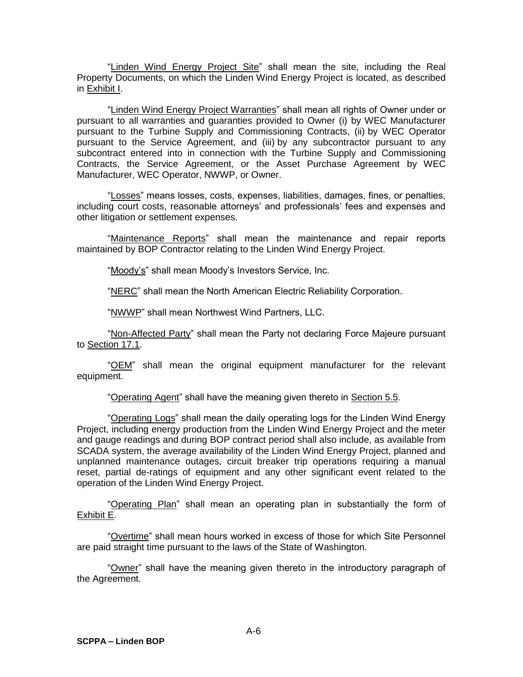"Linden Wind Energy Project Site" shall mean the site, including the Real Property Documents, on which the Linden Wind Energy Project is located, as described in Exhibit I.

"Linden Wind Energy Project Warranties" shall mean all rights of Owner under or pursuant to all warranties and guaranties provided to Owner (i) by WEC Manufacturer pursuant to the Turbine Supply and Commissioning Contracts, (ii) by WEC Operator pursuant to the Service Agreement, and (iii) by any subcontractor pursuant to any subcontract entered into in connection with the Turbine Supply and Commissioning Contracts, the Service Agreement, or the Asset Purchase Agreement by WEC Manufacturer, WEC Operator, NWWP, or Owner.

"Losses" means losses, costs, expenses, liabilities, damages, fines, or penalties, including court costs, reasonable attorneys' and professionals' fees and expenses and other litigation or settlement expenses.

"Maintenance Reports" shall mean the maintenance and repair reports maintained by BOP Contractor relating to the Linden Wind Energy Project.

"Moody's" shall mean Moody's Investors Service, Inc.

"NERC" shall mean the North American Electric Reliability Corporation.

"NWWP" shall mean Northwest Wind Partners, LLC.

"Non-Affected Party" shall mean the Party not declaring Force Majeure pursuant to Section 17.1.

"OEM" shall mean the original equipment manufacturer for the relevant equipment.

"Operating Agent" shall have the meaning given thereto in Section 5.5.

"Operating Logs" shall mean the daily operating logs for the Linden Wind Energy Project, including energy production from the Linden Wind Energy Project and the meter and gauge readings and during BOP contract period shall also include, as available from SCADA system, the average availability of the Linden Wind Energy Project, planned and unplanned maintenance outages, circuit breaker trip operations requiring a manual reset, partial de-ratings of equipment and any other significant event related to the operation of the Linden Wind Energy Project.

"Operating Plan" shall mean an operating plan in substantially the form of Exhibit E.

"Overtime" shall mean hours worked in excess of those for which Site Personnel are paid straight time pursuant to the laws of the State of Washington.

"Owner" shall have the meaning given thereto in the introductory paragraph of the Agreement.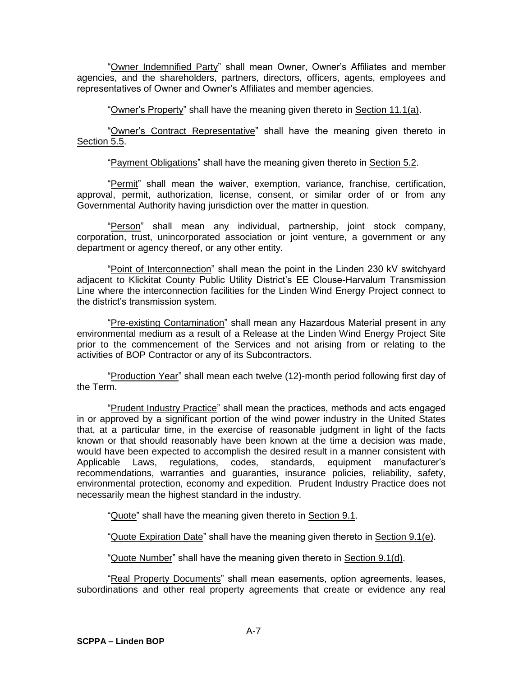"Owner Indemnified Party" shall mean Owner, Owner's Affiliates and member agencies, and the shareholders, partners, directors, officers, agents, employees and representatives of Owner and Owner's Affiliates and member agencies.

"Owner's Property" shall have the meaning given thereto in Section 11.1(a).

"Owner's Contract Representative" shall have the meaning given thereto in Section 5.5.

"Payment Obligations" shall have the meaning given thereto in Section 5.2.

"Permit" shall mean the waiver, exemption, variance, franchise, certification, approval, permit, authorization, license, consent, or similar order of or from any Governmental Authority having jurisdiction over the matter in question.

"Person" shall mean any individual, partnership, joint stock company, corporation, trust, unincorporated association or joint venture, a government or any department or agency thereof, or any other entity.

"Point of Interconnection" shall mean the point in the Linden 230 kV switchyard adjacent to Klickitat County Public Utility District's EE Clouse-Harvalum Transmission Line where the interconnection facilities for the Linden Wind Energy Project connect to the district's transmission system.

"Pre-existing Contamination" shall mean any Hazardous Material present in any environmental medium as a result of a Release at the Linden Wind Energy Project Site prior to the commencement of the Services and not arising from or relating to the activities of BOP Contractor or any of its Subcontractors.

"Production Year" shall mean each twelve (12)-month period following first day of the Term.

"Prudent Industry Practice" shall mean the practices, methods and acts engaged in or approved by a significant portion of the wind power industry in the United States that, at a particular time, in the exercise of reasonable judgment in light of the facts known or that should reasonably have been known at the time a decision was made, would have been expected to accomplish the desired result in a manner consistent with Applicable Laws, regulations, codes, standards, equipment manufacturer's recommendations, warranties and guaranties, insurance policies, reliability, safety, environmental protection, economy and expedition. Prudent Industry Practice does not necessarily mean the highest standard in the industry.

"Quote" shall have the meaning given thereto in Section 9.1.

"Quote Expiration Date" shall have the meaning given thereto in Section 9.1(e).

"Quote Number" shall have the meaning given thereto in Section 9.1(d).

"Real Property Documents" shall mean easements, option agreements, leases, subordinations and other real property agreements that create or evidence any real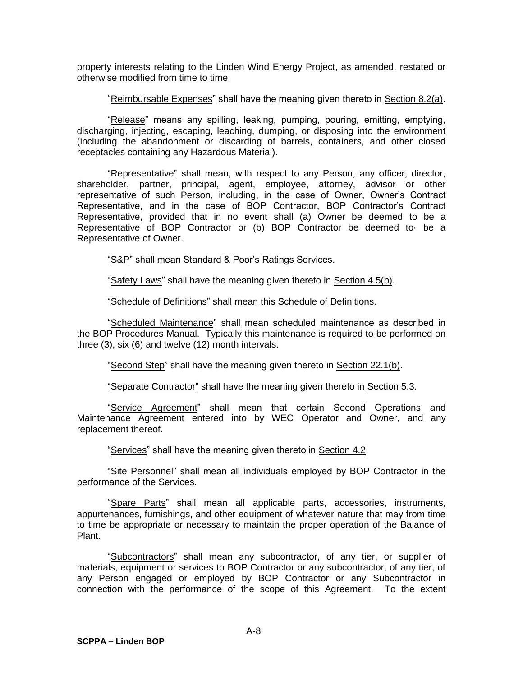property interests relating to the Linden Wind Energy Project, as amended, restated or otherwise modified from time to time.

"Reimbursable Expenses" shall have the meaning given thereto in Section 8.2(a).

"Release" means any spilling, leaking, pumping, pouring, emitting, emptying, discharging, injecting, escaping, leaching, dumping, or disposing into the environment (including the abandonment or discarding of barrels, containers, and other closed receptacles containing any Hazardous Material).

"Representative" shall mean, with respect to any Person, any officer, director, shareholder, partner, principal, agent, employee, attorney, advisor or other representative of such Person, including, in the case of Owner, Owner's Contract Representative, and in the case of BOP Contractor, BOP Contractor's Contract Representative, provided that in no event shall (a) Owner be deemed to be a Representative of BOP Contractor or (b) BOP Contractor be deemed to· be a Representative of Owner.

"S&P" shall mean Standard & Poor's Ratings Services.

"Safety Laws" shall have the meaning given thereto in Section 4.5(b).

"Schedule of Definitions" shall mean this Schedule of Definitions.

"Scheduled Maintenance" shall mean scheduled maintenance as described in the BOP Procedures Manual. Typically this maintenance is required to be performed on three (3), six (6) and twelve (12) month intervals.

"Second Step" shall have the meaning given thereto in Section 22.1(b).

"Separate Contractor" shall have the meaning given thereto in Section 5.3.

"Service Agreement" shall mean that certain Second Operations and Maintenance Agreement entered into by WEC Operator and Owner, and any replacement thereof.

"Services" shall have the meaning given thereto in Section 4.2.

"Site Personnel" shall mean all individuals employed by BOP Contractor in the performance of the Services.

"Spare Parts" shall mean all applicable parts, accessories, instruments, appurtenances, furnishings, and other equipment of whatever nature that may from time to time be appropriate or necessary to maintain the proper operation of the Balance of Plant.

"Subcontractors" shall mean any subcontractor, of any tier, or supplier of materials, equipment or services to BOP Contractor or any subcontractor, of any tier, of any Person engaged or employed by BOP Contractor or any Subcontractor in connection with the performance of the scope of this Agreement. To the extent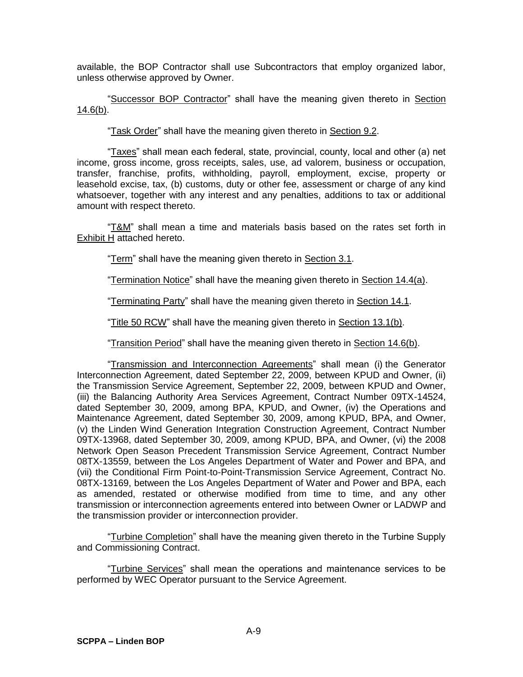available, the BOP Contractor shall use Subcontractors that employ organized labor, unless otherwise approved by Owner.

"Successor BOP Contractor" shall have the meaning given thereto in Section 14.6(b).

"Task Order" shall have the meaning given thereto in Section 9.2.

"Taxes" shall mean each federal, state, provincial, county, local and other (a) net income, gross income, gross receipts, sales, use, ad valorem, business or occupation, transfer, franchise, profits, withholding, payroll, employment, excise, property or leasehold excise, tax, (b) customs, duty or other fee, assessment or charge of any kind whatsoever, together with any interest and any penalties, additions to tax or additional amount with respect thereto.

"T&M" shall mean a time and materials basis based on the rates set forth in Exhibit H attached hereto.

"Term" shall have the meaning given thereto in Section 3.1.

"Termination Notice" shall have the meaning given thereto in Section 14.4(a).

"Terminating Party" shall have the meaning given thereto in Section 14.1.

"Title 50 RCW" shall have the meaning given thereto in Section 13.1(b).

"Transition Period" shall have the meaning given thereto in Section 14.6(b).

"Transmission and Interconnection Agreements" shall mean (i) the Generator Interconnection Agreement, dated September 22, 2009, between KPUD and Owner, (ii) the Transmission Service Agreement, September 22, 2009, between KPUD and Owner, (iii) the Balancing Authority Area Services Agreement, Contract Number 09TX-14524, dated September 30, 2009, among BPA, KPUD, and Owner, (iv) the Operations and Maintenance Agreement, dated September 30, 2009, among KPUD, BPA, and Owner, (v) the Linden Wind Generation Integration Construction Agreement, Contract Number 09TX-13968, dated September 30, 2009, among KPUD, BPA, and Owner, (vi) the 2008 Network Open Season Precedent Transmission Service Agreement, Contract Number 08TX-13559, between the Los Angeles Department of Water and Power and BPA, and (vii) the Conditional Firm Point-to-Point-Transmission Service Agreement, Contract No. 08TX-13169, between the Los Angeles Department of Water and Power and BPA, each as amended, restated or otherwise modified from time to time, and any other transmission or interconnection agreements entered into between Owner or LADWP and the transmission provider or interconnection provider.

"Turbine Completion" shall have the meaning given thereto in the Turbine Supply and Commissioning Contract.

"Turbine Services" shall mean the operations and maintenance services to be performed by WEC Operator pursuant to the Service Agreement.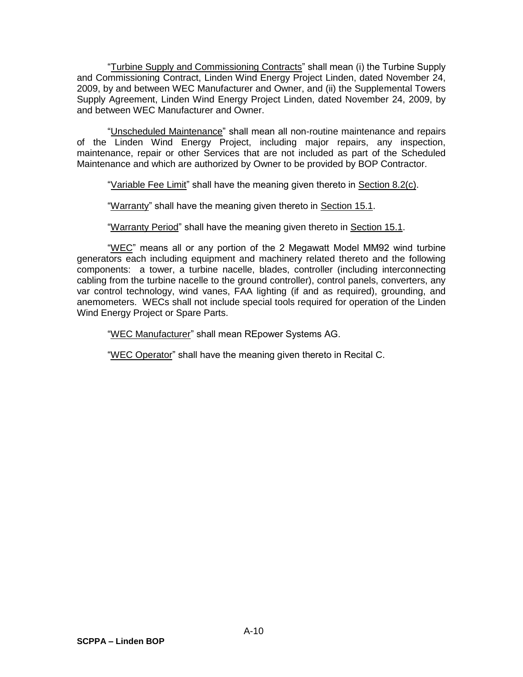"Turbine Supply and Commissioning Contracts" shall mean (i) the Turbine Supply and Commissioning Contract, Linden Wind Energy Project Linden, dated November 24, 2009, by and between WEC Manufacturer and Owner, and (ii) the Supplemental Towers Supply Agreement, Linden Wind Energy Project Linden, dated November 24, 2009, by and between WEC Manufacturer and Owner.

"Unscheduled Maintenance" shall mean all non-routine maintenance and repairs of the Linden Wind Energy Project, including major repairs, any inspection, maintenance, repair or other Services that are not included as part of the Scheduled Maintenance and which are authorized by Owner to be provided by BOP Contractor.

"Variable Fee Limit" shall have the meaning given thereto in Section 8.2(c).

"Warranty" shall have the meaning given thereto in Section 15.1.

"Warranty Period" shall have the meaning given thereto in Section 15.1.

"WEC" means all or any portion of the 2 Megawatt Model MM92 wind turbine generators each including equipment and machinery related thereto and the following components: a tower, a turbine nacelle, blades, controller (including interconnecting cabling from the turbine nacelle to the ground controller), control panels, converters, any var control technology, wind vanes, FAA lighting (if and as required), grounding, and anemometers. WECs shall not include special tools required for operation of the Linden Wind Energy Project or Spare Parts.

"WEC Manufacturer" shall mean REpower Systems AG.

"WEC Operator" shall have the meaning given thereto in Recital C.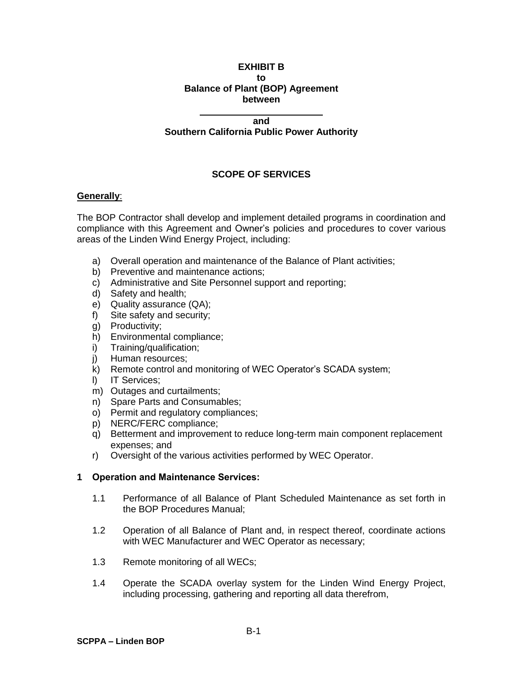#### **EXHIBIT B to Balance of Plant (BOP) Agreement between**

#### **and**

#### **Southern California Public Power Authority**

# **SCOPE OF SERVICES**

### **Generally**:

The BOP Contractor shall develop and implement detailed programs in coordination and compliance with this Agreement and Owner's policies and procedures to cover various areas of the Linden Wind Energy Project, including:

- a) Overall operation and maintenance of the Balance of Plant activities;
- b) Preventive and maintenance actions;
- c) Administrative and Site Personnel support and reporting;
- d) Safety and health;
- e) Quality assurance (QA);
- f) Site safety and security;
- g) Productivity;
- h) Environmental compliance;
- i) Training/qualification;
- j) Human resources;
- k) Remote control and monitoring of WEC Operator's SCADA system;
- l) IT Services;
- m) Outages and curtailments;
- n) Spare Parts and Consumables;
- o) Permit and regulatory compliances;
- p) NERC/FERC compliance;
- q) Betterment and improvement to reduce long-term main component replacement expenses; and
- r) Oversight of the various activities performed by WEC Operator.

#### **1 Operation and Maintenance Services:**

- 1.1 Performance of all Balance of Plant Scheduled Maintenance as set forth in the BOP Procedures Manual;
- 1.2 Operation of all Balance of Plant and, in respect thereof, coordinate actions with WEC Manufacturer and WEC Operator as necessary;
- 1.3 Remote monitoring of all WECs;
- 1.4 Operate the SCADA overlay system for the Linden Wind Energy Project, including processing, gathering and reporting all data therefrom,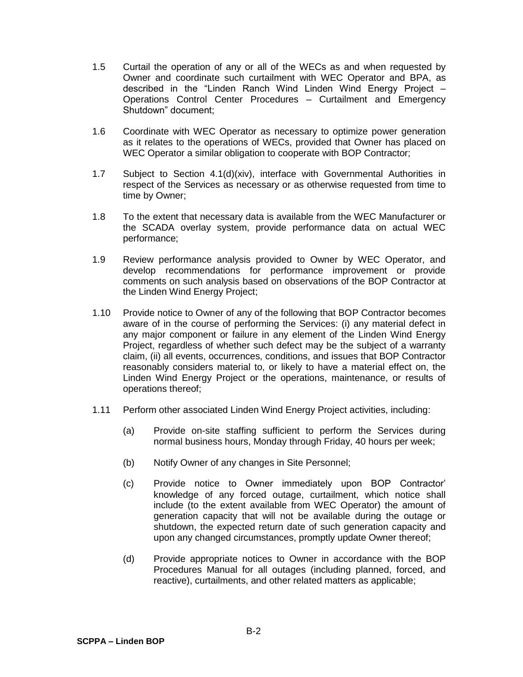- 1.5 Curtail the operation of any or all of the WECs as and when requested by Owner and coordinate such curtailment with WEC Operator and BPA, as described in the "Linden Ranch Wind Linden Wind Energy Project – Operations Control Center Procedures – Curtailment and Emergency Shutdown" document;
- 1.6 Coordinate with WEC Operator as necessary to optimize power generation as it relates to the operations of WECs, provided that Owner has placed on WEC Operator a similar obligation to cooperate with BOP Contractor;
- 1.7 Subject to Section 4.1(d)(xiv), interface with Governmental Authorities in respect of the Services as necessary or as otherwise requested from time to time by Owner;
- 1.8 To the extent that necessary data is available from the WEC Manufacturer or the SCADA overlay system, provide performance data on actual WEC performance;
- 1.9 Review performance analysis provided to Owner by WEC Operator, and develop recommendations for performance improvement or provide comments on such analysis based on observations of the BOP Contractor at the Linden Wind Energy Project;
- 1.10 Provide notice to Owner of any of the following that BOP Contractor becomes aware of in the course of performing the Services: (i) any material defect in any major component or failure in any element of the Linden Wind Energy Project, regardless of whether such defect may be the subject of a warranty claim, (ii) all events, occurrences, conditions, and issues that BOP Contractor reasonably considers material to, or likely to have a material effect on, the Linden Wind Energy Project or the operations, maintenance, or results of operations thereof;
- 1.11 Perform other associated Linden Wind Energy Project activities, including:
	- (a) Provide on-site staffing sufficient to perform the Services during normal business hours, Monday through Friday, 40 hours per week;
	- (b) Notify Owner of any changes in Site Personnel;
	- (c) Provide notice to Owner immediately upon BOP Contractor' knowledge of any forced outage, curtailment, which notice shall include (to the extent available from WEC Operator) the amount of generation capacity that will not be available during the outage or shutdown, the expected return date of such generation capacity and upon any changed circumstances, promptly update Owner thereof;
	- (d) Provide appropriate notices to Owner in accordance with the BOP Procedures Manual for all outages (including planned, forced, and reactive), curtailments, and other related matters as applicable;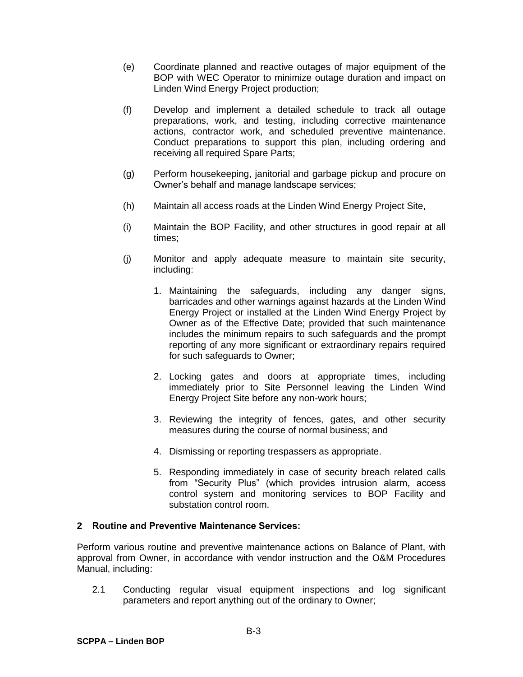- (e) Coordinate planned and reactive outages of major equipment of the BOP with WEC Operator to minimize outage duration and impact on Linden Wind Energy Project production;
- (f) Develop and implement a detailed schedule to track all outage preparations, work, and testing, including corrective maintenance actions, contractor work, and scheduled preventive maintenance. Conduct preparations to support this plan, including ordering and receiving all required Spare Parts;
- (g) Perform housekeeping, janitorial and garbage pickup and procure on Owner's behalf and manage landscape services;
- (h) Maintain all access roads at the Linden Wind Energy Project Site,
- (i) Maintain the BOP Facility, and other structures in good repair at all times;
- (j) Monitor and apply adequate measure to maintain site security, including:
	- 1. Maintaining the safeguards, including any danger signs, barricades and other warnings against hazards at the Linden Wind Energy Project or installed at the Linden Wind Energy Project by Owner as of the Effective Date; provided that such maintenance includes the minimum repairs to such safeguards and the prompt reporting of any more significant or extraordinary repairs required for such safeguards to Owner;
	- 2. Locking gates and doors at appropriate times, including immediately prior to Site Personnel leaving the Linden Wind Energy Project Site before any non-work hours;
	- 3. Reviewing the integrity of fences, gates, and other security measures during the course of normal business; and
	- 4. Dismissing or reporting trespassers as appropriate.
	- 5. Responding immediately in case of security breach related calls from "Security Plus" (which provides intrusion alarm, access control system and monitoring services to BOP Facility and substation control room.

## **2 Routine and Preventive Maintenance Services:**

Perform various routine and preventive maintenance actions on Balance of Plant, with approval from Owner, in accordance with vendor instruction and the O&M Procedures Manual, including:

2.1 Conducting regular visual equipment inspections and log significant parameters and report anything out of the ordinary to Owner;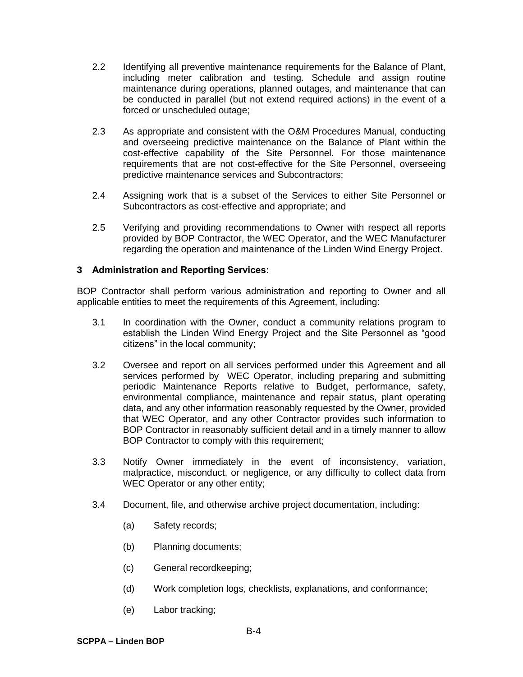- 2.2 Identifying all preventive maintenance requirements for the Balance of Plant, including meter calibration and testing. Schedule and assign routine maintenance during operations, planned outages, and maintenance that can be conducted in parallel (but not extend required actions) in the event of a forced or unscheduled outage;
- 2.3 As appropriate and consistent with the O&M Procedures Manual, conducting and overseeing predictive maintenance on the Balance of Plant within the cost-effective capability of the Site Personnel. For those maintenance requirements that are not cost-effective for the Site Personnel, overseeing predictive maintenance services and Subcontractors;
- 2.4 Assigning work that is a subset of the Services to either Site Personnel or Subcontractors as cost-effective and appropriate; and
- 2.5 Verifying and providing recommendations to Owner with respect all reports provided by BOP Contractor, the WEC Operator, and the WEC Manufacturer regarding the operation and maintenance of the Linden Wind Energy Project.

### **3 Administration and Reporting Services:**

BOP Contractor shall perform various administration and reporting to Owner and all applicable entities to meet the requirements of this Agreement, including:

- 3.1 In coordination with the Owner, conduct a community relations program to establish the Linden Wind Energy Project and the Site Personnel as "good citizens" in the local community;
- 3.2 Oversee and report on all services performed under this Agreement and all services performed by WEC Operator, including preparing and submitting periodic Maintenance Reports relative to Budget, performance, safety, environmental compliance, maintenance and repair status, plant operating data, and any other information reasonably requested by the Owner, provided that WEC Operator, and any other Contractor provides such information to BOP Contractor in reasonably sufficient detail and in a timely manner to allow BOP Contractor to comply with this requirement;
- 3.3 Notify Owner immediately in the event of inconsistency, variation, malpractice, misconduct, or negligence, or any difficulty to collect data from WEC Operator or any other entity;
- 3.4 Document, file, and otherwise archive project documentation, including:
	- (a) Safety records;
	- (b) Planning documents;
	- (c) General recordkeeping;
	- (d) Work completion logs, checklists, explanations, and conformance;
	- (e) Labor tracking;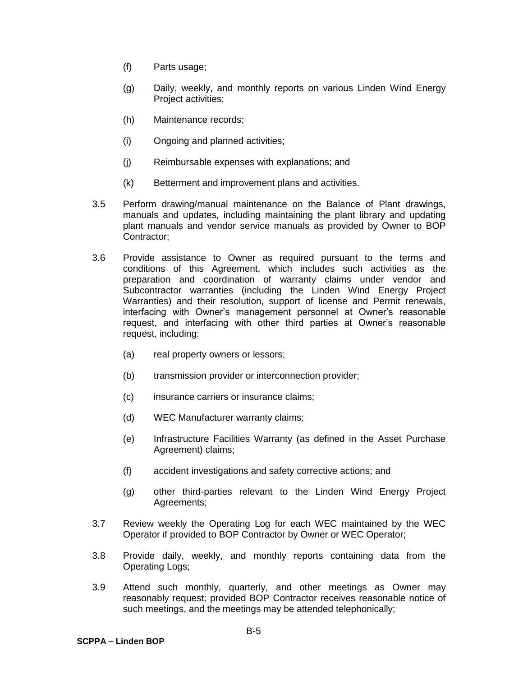- (f) Parts usage;
- (g) Daily, weekly, and monthly reports on various Linden Wind Energy Project activities;
- (h) Maintenance records;
- (i) Ongoing and planned activities;
- (j) Reimbursable expenses with explanations; and
- (k) Betterment and improvement plans and activities.
- 3.5 Perform drawing/manual maintenance on the Balance of Plant drawings, manuals and updates, including maintaining the plant library and updating plant manuals and vendor service manuals as provided by Owner to BOP Contractor;
- 3.6 Provide assistance to Owner as required pursuant to the terms and conditions of this Agreement, which includes such activities as the preparation and coordination of warranty claims under vendor and Subcontractor warranties (including the Linden Wind Energy Project Warranties) and their resolution, support of license and Permit renewals, interfacing with Owner's management personnel at Owner's reasonable request, and interfacing with other third parties at Owner's reasonable request, including:
	- (a) real property owners or lessors;
	- (b) transmission provider or interconnection provider;
	- (c) insurance carriers or insurance claims;
	- (d) WEC Manufacturer warranty claims;
	- (e) Infrastructure Facilities Warranty (as defined in the Asset Purchase Agreement) claims;
	- (f) accident investigations and safety corrective actions; and
	- (g) other third-parties relevant to the Linden Wind Energy Project Agreements;
- 3.7 Review weekly the Operating Log for each WEC maintained by the WEC Operator if provided to BOP Contractor by Owner or WEC Operator;
- 3.8 Provide daily, weekly, and monthly reports containing data from the Operating Logs;
- 3.9 Attend such monthly, quarterly, and other meetings as Owner may reasonably request; provided BOP Contractor receives reasonable notice of such meetings, and the meetings may be attended telephonically;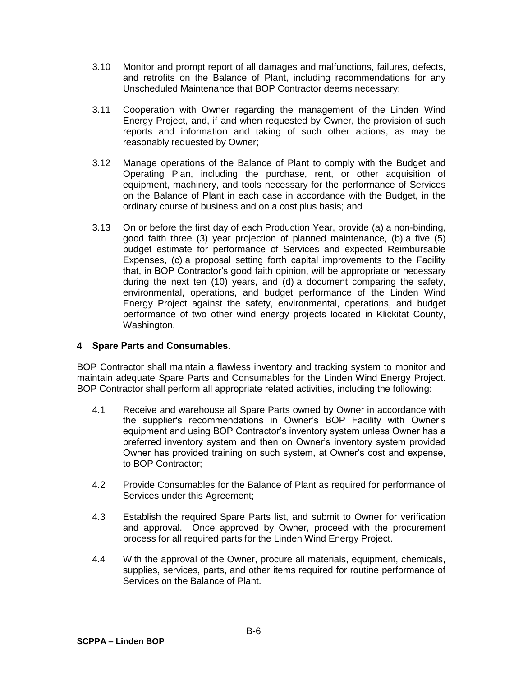- 3.10 Monitor and prompt report of all damages and malfunctions, failures, defects, and retrofits on the Balance of Plant, including recommendations for any Unscheduled Maintenance that BOP Contractor deems necessary;
- 3.11 Cooperation with Owner regarding the management of the Linden Wind Energy Project, and, if and when requested by Owner, the provision of such reports and information and taking of such other actions, as may be reasonably requested by Owner;
- 3.12 Manage operations of the Balance of Plant to comply with the Budget and Operating Plan, including the purchase, rent, or other acquisition of equipment, machinery, and tools necessary for the performance of Services on the Balance of Plant in each case in accordance with the Budget, in the ordinary course of business and on a cost plus basis; and
- 3.13 On or before the first day of each Production Year, provide (a) a non-binding, good faith three (3) year projection of planned maintenance, (b) a five (5) budget estimate for performance of Services and expected Reimbursable Expenses, (c) a proposal setting forth capital improvements to the Facility that, in BOP Contractor's good faith opinion, will be appropriate or necessary during the next ten (10) years, and (d) a document comparing the safety, environmental, operations, and budget performance of the Linden Wind Energy Project against the safety, environmental, operations, and budget performance of two other wind energy projects located in Klickitat County, Washington.

## **4 Spare Parts and Consumables.**

BOP Contractor shall maintain a flawless inventory and tracking system to monitor and maintain adequate Spare Parts and Consumables for the Linden Wind Energy Project. BOP Contractor shall perform all appropriate related activities, including the following:

- 4.1 Receive and warehouse all Spare Parts owned by Owner in accordance with the supplier's recommendations in Owner's BOP Facility with Owner's equipment and using BOP Contractor's inventory system unless Owner has a preferred inventory system and then on Owner's inventory system provided Owner has provided training on such system, at Owner's cost and expense, to BOP Contractor;
- 4.2 Provide Consumables for the Balance of Plant as required for performance of Services under this Agreement;
- 4.3 Establish the required Spare Parts list, and submit to Owner for verification and approval. Once approved by Owner, proceed with the procurement process for all required parts for the Linden Wind Energy Project.
- 4.4 With the approval of the Owner, procure all materials, equipment, chemicals, supplies, services, parts, and other items required for routine performance of Services on the Balance of Plant.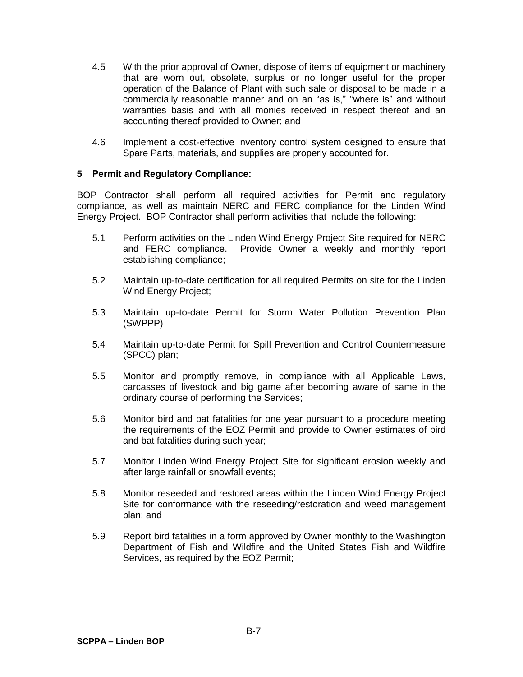- 4.5 With the prior approval of Owner, dispose of items of equipment or machinery that are worn out, obsolete, surplus or no longer useful for the proper operation of the Balance of Plant with such sale or disposal to be made in a commercially reasonable manner and on an "as is," "where is" and without warranties basis and with all monies received in respect thereof and an accounting thereof provided to Owner; and
- 4.6 Implement a cost-effective inventory control system designed to ensure that Spare Parts, materials, and supplies are properly accounted for.

### **5 Permit and Regulatory Compliance:**

BOP Contractor shall perform all required activities for Permit and regulatory compliance, as well as maintain NERC and FERC compliance for the Linden Wind Energy Project. BOP Contractor shall perform activities that include the following:

- 5.1 Perform activities on the Linden Wind Energy Project Site required for NERC and FERC compliance. Provide Owner a weekly and monthly report establishing compliance;
- 5.2 Maintain up-to-date certification for all required Permits on site for the Linden Wind Energy Project;
- 5.3 Maintain up-to-date Permit for Storm Water Pollution Prevention Plan (SWPPP)
- 5.4 Maintain up-to-date Permit for Spill Prevention and Control Countermeasure (SPCC) plan;
- 5.5 Monitor and promptly remove, in compliance with all Applicable Laws, carcasses of livestock and big game after becoming aware of same in the ordinary course of performing the Services;
- 5.6 Monitor bird and bat fatalities for one year pursuant to a procedure meeting the requirements of the EOZ Permit and provide to Owner estimates of bird and bat fatalities during such year;
- 5.7 Monitor Linden Wind Energy Project Site for significant erosion weekly and after large rainfall or snowfall events;
- 5.8 Monitor reseeded and restored areas within the Linden Wind Energy Project Site for conformance with the reseeding/restoration and weed management plan; and
- 5.9 Report bird fatalities in a form approved by Owner monthly to the Washington Department of Fish and Wildfire and the United States Fish and Wildfire Services, as required by the EOZ Permit;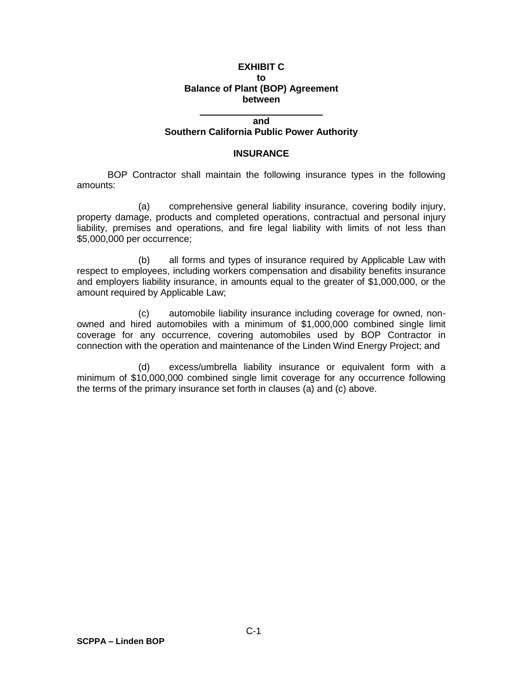#### **EXHIBIT C to Balance of Plant (BOP) Agreement between**

#### **and**

#### **Southern California Public Power Authority**

#### **INSURANCE**

BOP Contractor shall maintain the following insurance types in the following amounts:

(a) comprehensive general liability insurance, covering bodily injury, property damage, products and completed operations, contractual and personal injury liability, premises and operations, and fire legal liability with limits of not less than \$5,000,000 per occurrence;

(b) all forms and types of insurance required by Applicable Law with respect to employees, including workers compensation and disability benefits insurance and employers liability insurance, in amounts equal to the greater of \$1,000,000, or the amount required by Applicable Law;

(c) automobile liability insurance including coverage for owned, nonowned and hired automobiles with a minimum of \$1,000,000 combined single limit coverage for any occurrence, covering automobiles used by BOP Contractor in connection with the operation and maintenance of the Linden Wind Energy Project; and

(d) excess/umbrella liability insurance or equivalent form with a minimum of \$10,000,000 combined single limit coverage for any occurrence following the terms of the primary insurance set forth in clauses (a) and (c) above.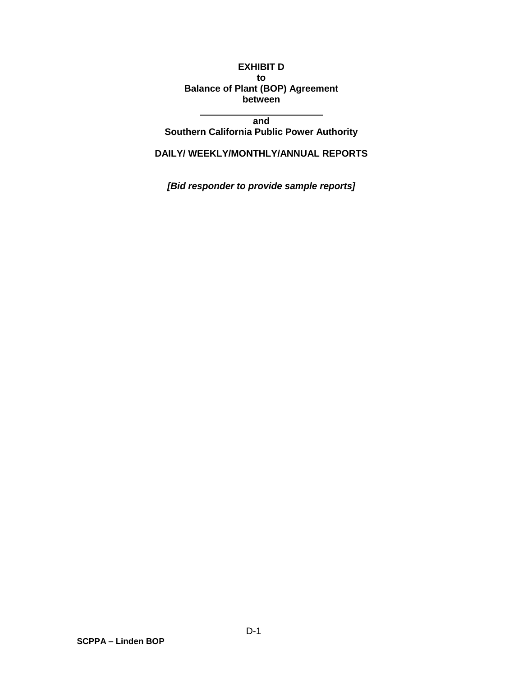### **EXHIBIT D to Balance of Plant (BOP) Agreement between**

**and Southern California Public Power Authority**

**DAILY/ WEEKLY/MONTHLY/ANNUAL REPORTS**

*[Bid responder to provide sample reports]*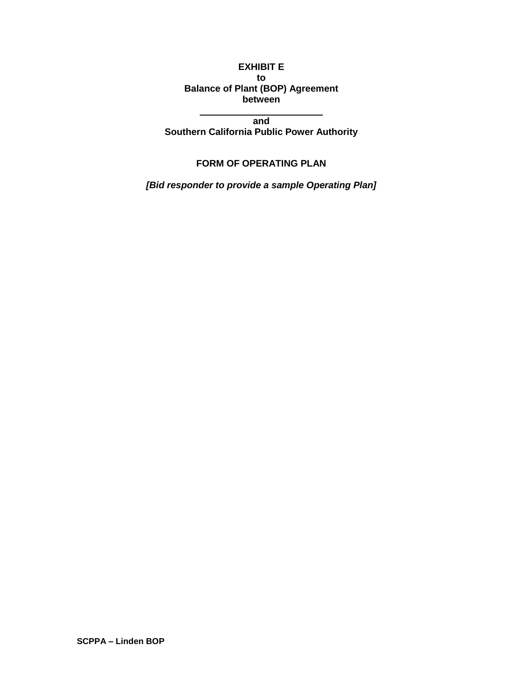## **EXHIBIT E to Balance of Plant (BOP) Agreement between**

**and Southern California Public Power Authority**

## **FORM OF OPERATING PLAN**

*[Bid responder to provide a sample Operating Plan]*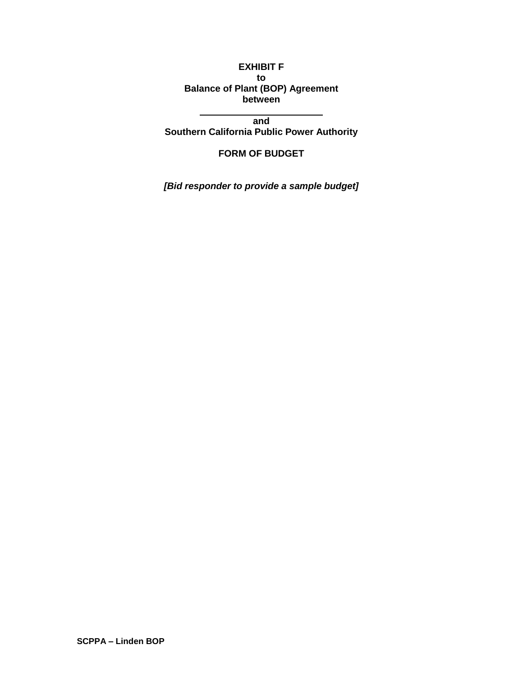## **EXHIBIT F to Balance of Plant (BOP) Agreement between**

**and Southern California Public Power Authority**

# **FORM OF BUDGET**

*[Bid responder to provide a sample budget]*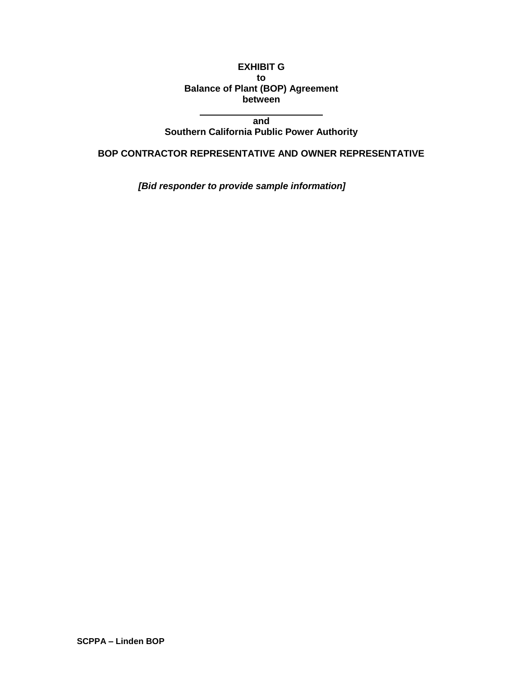## **EXHIBIT G to Balance of Plant (BOP) Agreement between**

**and**

**Southern California Public Power Authority**

**BOP CONTRACTOR REPRESENTATIVE AND OWNER REPRESENTATIVE**

*[Bid responder to provide sample information]*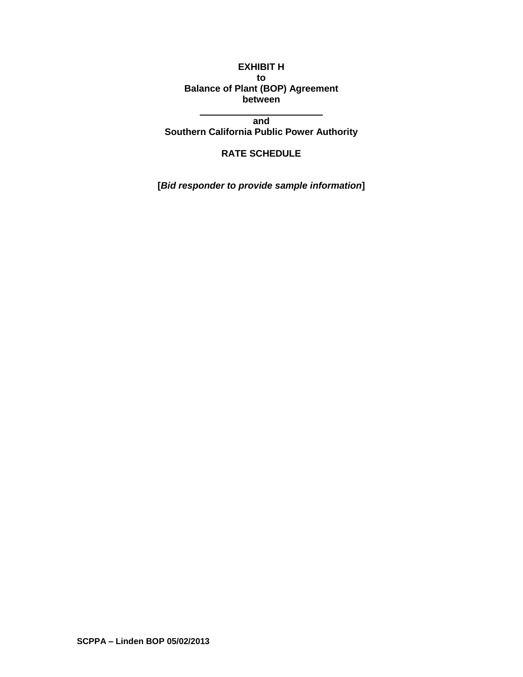## **EXHIBIT H to Balance of Plant (BOP) Agreement between**

**and Southern California Public Power Authority**

# **RATE SCHEDULE**

**[***Bid responder to provide sample information***]**